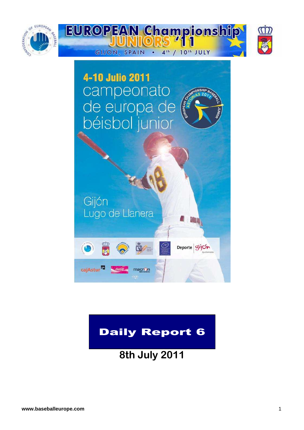



# Daily Report 6

**8th July 2011**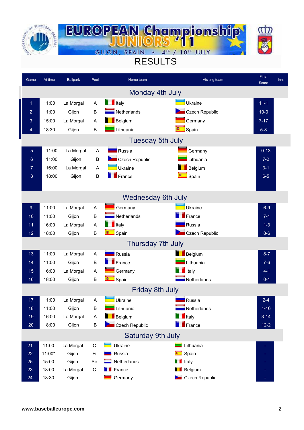



# RESULTS

| Game           | At time | <b>Ballpark</b> | Pool         | Home team                  | Visiting team              | Final<br>Score | Inn. |
|----------------|---------|-----------------|--------------|----------------------------|----------------------------|----------------|------|
|                |         |                 |              |                            | Monday 4th July            |                |      |
| 1              | 11:00   | La Morgal       | A            | $\blacksquare$ Italy       | Ukraine                    | $11-1$         |      |
| $\overline{2}$ | 11:00   | Gijon           | B            | $\blacksquare$ Netherlands | Czech Republic             | $10 - 0$       |      |
| 3              | 15:00   | La Morgal       | A            | <b>Belgium</b>             | Germany                    | $7 - 17$       |      |
| 4              | 18:30   | Gijon           | B            | Lithuania                  | $\Box$ Spain               | $5 - 8$        |      |
|                |         |                 |              |                            | <b>Tuesday 5th July</b>    |                |      |
| $\sqrt{5}$     | 11:00   | La Morgal       | A            | Russia                     | Germany                    | $0 - 13$       |      |
| $6\phantom{1}$ | 11:00   | Gijon           | $\sf B$      | Czech Republic             | Lithuania                  | $7 - 2$        |      |
| 7              | 16:00   | La Morgal       | $\mathsf{A}$ | Ukraine                    | Belgium                    | $3 - 1$        |      |
| 8              | 18:00   | Gijon           | B            | France                     | $\Box$ Spain               | $6-5$          |      |
|                |         |                 |              |                            |                            |                |      |
|                |         |                 |              |                            | <b>Wednesday 6th July</b>  |                |      |
| 9              | 11:00   | La Morgal       | A            | Germany                    | Ukraine                    | $6-9$          |      |
| 10             | 11:00   | Gijon           | B            | $\blacksquare$ Netherlands | $\blacksquare$ France      | $7 - 1$        |      |
| 11             | 16:00   | La Morgal       | A            | $\blacksquare$ Italy       | Russia                     | $1 - 3$        |      |
| 12             | 18:00   | Gijon           | B            | <b>C</b> Spain             | Czech Republic             | $8-6$          |      |
|                |         |                 |              |                            | Thursday 7th July          |                |      |
| 13             | 11:00   | La Morgal       | Α            | Russia                     | Belgium                    | $8 - 7$        |      |
| 14             | 11:00   | Gijon           | B            | $F$ France                 | Lithuania                  | $7 - 6$        |      |
| 15             | 16:00   | La Morgal       | A            | Germany                    | $\blacksquare$ Italy       | $4 - 1$        |      |
| 16             | 18:00   | Gijon           | $\sf B$      | Spain                      | $\blacksquare$ Netherlands | $0 - 1$        |      |
|                |         |                 |              |                            | <b>Friday 8th July</b>     |                |      |
| 17             | 11:00   | La Morgal       | A            | Ukraine                    | <b>R</b> ussia             | $2 - 4$        |      |
| 18             | 11:00   | Gijon           | B            | Lithuania                  | Netherlands                | $1 - 16$       |      |
| 19             | 16:00   | La Morgal       | A            | Belgium                    | $\blacksquare$ Italy       | $3 - 14$       |      |
| $20\,$         | 18:00   | Gijon           | B            | Czech Republic             | $F$ rance                  | $12 - 2$       |      |
|                |         |                 |              | <b>Saturday 9th July</b>   |                            |                |      |
| 21             | 11:00   | La Morgal       | ${\rm C}$    | Ukraine                    | Lithuania                  |                |      |
| 22             | 11:00*  | Gijon           | Fi           | Russia                     | Spain                      |                |      |
| 25             | 15:00   | Gijon           | Se           | Netherlands                | $\blacksquare$ Italy       |                |      |
| 23             | 18:00   | La Morgal       | $\mathsf C$  | $\blacksquare$ France      | <b>Belgium</b>             |                |      |
| 24             | 18:30   | Gijon           |              | Germany                    | Czech Republic             |                |      |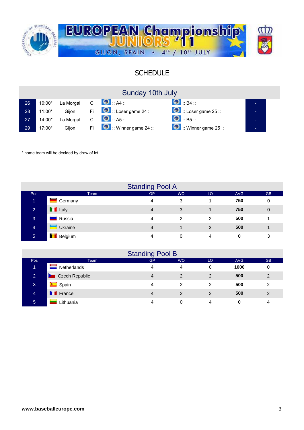

### SCHEDULE

| Sunday 10th July |  |  |  |
|------------------|--|--|--|
|------------------|--|--|--|

| 26 <sup>°</sup> | 10:00*   | La Morgal | $\overline{C}$ | $\bullet$ $A4$                                    | $\bigcirc$ $_{\mathsf{B4}}$ :                                                                                                                                                                                                                                                                                                      | - |
|-----------------|----------|-----------|----------------|---------------------------------------------------|------------------------------------------------------------------------------------------------------------------------------------------------------------------------------------------------------------------------------------------------------------------------------------------------------------------------------------|---|
| 28              | $11:00*$ | Giion     |                | Fi $\Box$ : Loser game 24 ::                      | $\bullet$ :: Loser game 25 ::                                                                                                                                                                                                                                                                                                      | - |
| 27              | 14:00*   | La Morgal | $\mathsf{C}$   | $\bullet$ $\bullet$ $\bullet$ $\bullet$ $\bullet$ | $\bigcirc$ $\mathbb{B}$ $\mathbb{B}$ $\mathbb{B}$ $\mathbb{B}$ $\mathbb{B}$ $\mathbb{B}$ $\mathbb{B}$ $\mathbb{B}$ $\mathbb{B}$ $\mathbb{B}$ $\mathbb{B}$ $\mathbb{B}$ $\mathbb{B}$ $\mathbb{B}$ $\mathbb{B}$ $\mathbb{B}$ $\mathbb{B}$ $\mathbb{B}$ $\mathbb{B}$ $\mathbb{B}$ $\mathbb{B}$ $\mathbb{B}$ $\mathbb{B}$ $\mathbb{B}$ |   |
| 29              | $17:00*$ | Gijon     | Fil            | $\bullet$ :: Winner game 24 ::                    | $\bullet$ :: Winner game 25 ::                                                                                                                                                                                                                                                                                                     | - |

\* home team will be decided by draw of lot

|                |                         | <b>Standing Pool A</b> |                |                |            |           |
|----------------|-------------------------|------------------------|----------------|----------------|------------|-----------|
| Pos            | Team                    | <b>GP</b>              | <b>WO</b>      | LO             | <b>AVG</b> | <b>GB</b> |
| 1              | <u> a se</u><br>Germany | 4                      | 3              |                | 750        | 0         |
| $\overline{2}$ | <b>T</b> Italy          | 4                      | 3              |                | 750        | 0         |
| 3              | Russia                  | 4                      | $\mathfrak{p}$ | $\mathfrak{p}$ | 500        |           |
| $\overline{4}$ | Ukraine                 | 4                      |                | 3              | 500        |           |
| $\sqrt{5}$     | Belgium                 | 4                      | 0              | 4              | 0          | 3         |

|                |                 | <b>Standing Pool B</b> |                |    |            |           |
|----------------|-----------------|------------------------|----------------|----|------------|-----------|
| Pos            | <b>Team</b>     | GP                     | <b>WO</b>      | LO | <b>AVG</b> | <b>GB</b> |
|                | Netherlands     | 4                      | 4              | 0  | 1000       | 0         |
| $\overline{2}$ | Czech Republic  | 4                      | $\overline{2}$ | 2  | 500        | 2         |
| 3              | <b>E</b> Spain  | 4                      | 2              | 2  | 500        | 2         |
| 4              | <b>T</b> France | 4                      | 2              | 2  | 500        | 2         |
| 5              | Lithuania       | Λ                      | 0              | 4  | 0          | 4         |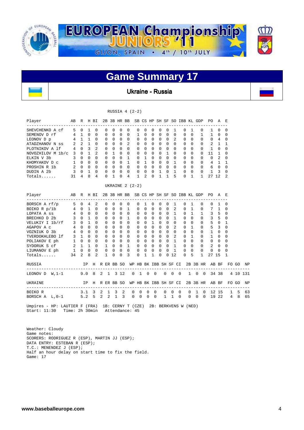

Ukraine - Russia

| RUSSIA $4$ $(2-2)$<br>H BI<br>2B 3B HR BB SB CS HP SH SF SO IBB KL GDP<br>Player<br>AB<br>R<br>PO.<br>AE |                 |                |                  |                |   |              |              |              |                                          |                |                       |              |                |                                |              |                      |             |              |          |              |                                      |                |                |          |    |
|----------------------------------------------------------------------------------------------------------|-----------------|----------------|------------------|----------------|---|--------------|--------------|--------------|------------------------------------------|----------------|-----------------------|--------------|----------------|--------------------------------|--------------|----------------------|-------------|--------------|----------|--------------|--------------------------------------|----------------|----------------|----------|----|
|                                                                                                          |                 |                |                  |                |   |              |              |              |                                          |                |                       |              |                |                                |              |                      |             |              |          |              |                                      |                |                |          |    |
| SHEVCHENKO A cf                                                                                          | 5               | $\circ$        | $\mathbf{1}$     | $\mathbf 0$    |   | 0            | $\mathbf 0$  | $\mathbf 0$  | $\Omega$                                 | $\mathbf 0$    | $\mathbf 0$           | $\mathbf 0$  | $\mathbf 0$    | $\mathbf 0$                    |              | 1                    | 0           | 1            |          | 0            | 1                                    | $\mathbf 0$    | $\mathbf 0$    |          |    |
| SEMENOV D rf                                                                                             |                 | 4 1            | $\Omega$         | $\Omega$       |   | $\Omega$     | $\Omega$     | $\mathbf 0$  | $\Omega$                                 | 1              | 0                     | $\Omega$     | 0              | $\mathbf 0$                    |              | $\Omega$             | 0           | 0            |          | 1            | 1                                    | $\Omega$       | 0              |          |    |
| LEONOV D p                                                                                               |                 | 4 1            | 1                | $\Omega$       |   | $\Omega$     | $\Omega$     | $\Omega$     | $\Omega$                                 | $\Omega$       | $\Omega$              | $\Omega$     | $\Omega$       | $\Omega$                       |              | 2                    | $\Omega$    | $\Omega$     |          | $\Omega$     | $\Omega$                             | $\overline{4}$ | $\Omega$       |          |    |
| ATADZHANOV N ss                                                                                          | 2               | 2              | $\mathbf{1}$     | $\Omega$       |   | 0            | $\Omega$     | $\Omega$     | 2                                        | 0              | $\Omega$              | $\Omega$     |                | $\Omega$<br>$\Omega$           |              | 0                    | $\Omega$    | $\Omega$     |          | $\Omega$     | 2                                    | $\mathbf{1}$   | $\mathbf{1}$   |          |    |
| PLOTNIKOV A 1f                                                                                           | $4\overline{ }$ | $\Omega$       | 3                | $\mathfrak{D}$ |   | $\Omega$     | $\Omega$     | $\Omega$     | $\Omega$                                 | $\Omega$       | $\Omega$              | $\Omega$     |                | $\Omega$<br>$\Omega$           |              | $\Omega$             | $\Omega$    | $\Omega$     |          | $\Omega$     | $\mathbf{1}$                         | $\Omega$       | $\Omega$       |          |    |
| NOVOZHILOV M 1b/c 3 0                                                                                    |                 |                | $\mathbf{1}$     | $\overline{2}$ |   | $\Omega$     | $\mathbf{1}$ | $\Omega$     | $\Omega$                                 | $\Omega$       | $\Omega$              | $\Omega$     | $\Omega$       | 1                              |              | $\Omega$             | $\Omega$    | $\Omega$     |          | $\Omega$     | 11                                   | $\mathbf 1$    | $\Omega$       |          |    |
| ELKIN V 3b                                                                                               | $\overline{3}$  | $\mathbf{0}$   | $\Omega$         | $\Omega$       |   | $\mathbf 0$  | $\mathbf 0$  | $\mathbf 0$  | $\mathbf{1}$                             | 0              | 1                     | 0            | $\overline{0}$ | $\mathbf{0}$                   |              | 0                    | $\mathbf 0$ | 0            |          | 0            | $\mathbf 0$                          | 2              | 0              |          |    |
| KHOMYAKOV D C                                                                                            | 1               | $\Omega$       | $\Omega$         | $\Omega$       |   | $\mathbf 0$  | $\Omega$     | $\Omega$     | $\mathbf{1}$                             | $\Omega$       | $\mathbf{1}$          | $\Omega$     |                | $\Omega$<br>$\Omega$           |              | $\mathbf{1}$         | $\Omega$    | $\Omega$     |          | $\Omega$     |                                      | 4 1            | $\mathbf{1}$   |          |    |
| PROSHIN R 1b                                                                                             |                 | $2 \quad 0$    | $\mathbf 0$      | $\Omega$       |   | $\mathbf 0$  | $\mathbf 0$  | $\mathbf 0$  | $\Omega$                                 | $\mathbf 0$    | $\Omega$              | 0            |                | $\overline{0}$<br>$\mathbf 0$  |              | $\Omega$             | $\mathbf 0$ | $\Omega$     |          | $\mathbf 0$  | 6                                    | $\overline{0}$ | $\mathbf 0$    |          |    |
| DUDIN A 2b                                                                                               | 3               | 0              | 1                | $\Omega$       |   | $\mathbf 0$  | 0            | $\mathbf 0$  | 0                                        | 0              | $\mathbf 0$           | 0            | 1              | $\mathbf 0$                    |              | 1                    | 0           | 0            |          | 0            | 1                                    | 3              | 0              |          |    |
| Totals                                                                                                   | 31              | 4              | 8                | 4              |   | $\Omega$     | $\mathbf{1}$ | $\Omega$     | 4                                        | 1              | $\mathfrak{D}$        | $\Omega$     | $\mathbf{1}$   | $\mathbf{1}$                   |              | 5                    | $\Omega$    | $\mathbf{1}$ |          | $\mathbf{1}$ | 27 12                                |                | $\overline{2}$ |          |    |
|                                                                                                          |                 |                |                  |                |   |              |              |              | UKRAINE $2(2-2)$                         |                |                       |              |                |                                |              |                      |             |              |          |              |                                      |                |                |          |    |
| Player<br>_____________________                                                                          | AB              | R              |                  | H BI           |   |              |              |              | 2B 3B HR BB SB CS HP SH SF SO IBB KL GDP |                |                       |              |                |                                |              |                      |             |              |          |              | PO.                                  | AE             |                |          |    |
| BORSCH A rf/p                                                                                            |                 | $5\quad 0$     | $\overline{4}$   | 2              |   | 0            | $\mathbf 0$  | $\mathbf 0$  | $\mathbf 0$                              | 0              | 1                     | $\mathbf 0$  | $\mathbf 0$    | $\mathbf{0}$                   |              | 1                    | $\mathbf 0$ | 1            |          | 0            | 0                                    | $\mathbf{1}$   | $\mathbf 0$    |          |    |
| BOIKO R $p/1b$                                                                                           |                 | 4 0            | $\mathbf{1}$     | $\mathbf 0$    |   | 0            | $\Omega$     | $\mathbf 0$  | $\mathbf{1}$                             | 0              | $\Omega$              | $\Omega$     | $\Omega$       | $\Omega$                       |              | $\overline{a}$       | $\Omega$    | $\mathbf{1}$ |          | $\mathbf 0$  | 7                                    | $\mathbf{1}$   | $\mathbf 0$    |          |    |
| LOPATA A ss                                                                                              | $4\overline{ }$ | $\mathbf{0}$   | $\mathbf 0$      | $\Omega$       |   | $\mathbf 0$  | $\mathbf 0$  | $\mathbf 0$  | $\mathbf 0$                              | 0              | $\mathbf 0$           | 0            |                | $\overline{0}$<br>$\mathbf{0}$ |              | 1                    | $\mathbf 0$ | 1            |          | $\mathbf{1}$ | 3                                    | - 5            | $\Omega$       |          |    |
| BRECHKO D 2b                                                                                             | 3               | $\mathbf{0}$   | $\mathbf{1}$     | $\Omega$       |   | 0            | $\Omega$     | $\Omega$     | 1                                        | 0              | $\Omega$              | 0            |                | $\Omega$<br>$\mathbf{0}$       |              | $\mathbf{1}$         | $\Omega$    | $\Omega$     |          | $\Omega$     | 3                                    | - 5            | $\Omega$       |          |    |
| VELUKIY I 1b/rf                                                                                          | 3               | $\Omega$       | $\mathbf{1}$     | $\Omega$       |   | $\Omega$     | $\Omega$     | $\Omega$     | $\Omega$                                 | $\Omega$       | $\Omega$              | $\mathbf{1}$ |                | $\Omega$<br>$\Omega$           |              | $\Omega$             | $\Omega$    | $\Omega$     |          | $\Omega$     | 5                                    | $\Omega$       | $\mathbf{1}$   |          |    |
| AGAPOV A c                                                                                               | 4               | $\Omega$       | $\Omega$         | $\Omega$       |   | $\Omega$     | $\Omega$     | $\Omega$     | $\Omega$                                 | $\Omega$       | $\Omega$              | $\Omega$     |                | $\Omega$<br>$\Omega$           |              | $\overline{2}$       | $\Omega$    | $\mathbf{1}$ |          | 0            |                                      | 5 <sup>3</sup> | $\Omega$       |          |    |
| VOZNIUK O 3b                                                                                             | 4               | $\Omega$       | $\Omega$         | $\Omega$       |   | $\Omega$     | $\Omega$     | $\Omega$     | $\Omega$                                 | $\Omega$       | $\Omega$              | $\Omega$     |                | $\Omega$<br>$\Omega$           |              | $\Omega$             | $\Omega$    | $\Omega$     |          | $\Omega$     | $\mathbf{1}$                         | $\overline{0}$ | $\Omega$       |          |    |
| TVERDOKHLEBO 1f                                                                                          |                 | 3 <sub>1</sub> | $\Omega$         | $\Omega$       |   | $\Omega$     | $\Omega$     | $\Omega$     | $\Omega$                                 | 0              | $\Omega$              | $\Omega$     |                | $\Omega$<br>$\Omega$           |              | 2                    | 0           | 1            |          | $\Omega$     | $\mathbf{1}$                         | $\Omega$       | $\Omega$       |          |    |
| POLIAKOV E ph                                                                                            |                 | 1 0 0          |                  | $\Omega$       |   | $\mathbf 0$  | $\Omega$     | $\mathbf 0$  | $\Omega$                                 | $\mathbf 0$    | $\mathbf 0$           | 0            |                | $\overline{0}$<br>$\mathbf 0$  |              | $\mathbf{1}$         | $\Omega$    | $\Omega$     |          | $\mathbf 0$  | $\mathbf{0}$                         | $\overline{0}$ | $\Omega$       |          |    |
| SYDORUK S cf                                                                                             |                 | $2 \quad 1$    | $\mathbf{1}$     | $\Omega$       |   | $\mathbf{1}$ | $\mathbf 0$  | $\mathbf{0}$ | $\mathbf{1}$                             | $\mathbf 0$    | $\Omega$              | $\mathbf 0$  |                | $\overline{0}$<br>$\mathbf{0}$ |              | $\mathbf{1}$         | $\mathbf 0$ | $\Omega$     |          | $\mathbf 0$  | 2                                    | $\mathbf 0$    | $\Omega$       |          |    |
| LIUMANOV E ph                                                                                            | 1               | $\mathbf 0$    | 0                | 0              |   | $\mathbf 0$  | 0            | 0            | $\mathbf 0$                              | 0              | $\mathbf 0$           | $\mathbf 0$  | $\mathbf 0$    | $\mathbf 0$                    |              | $\mathbf{1}$         | 0           | 0            |          | 0            | 0                                    | $\mathbf 0$    | 0              |          |    |
| Totals                                                                                                   | 34              | 2              | 8                | $\mathfrak{D}$ |   | $\mathbf{1}$ | $\Omega$     | $\Omega$     | 3                                        | $\Omega$       | 1                     | $\mathbf{1}$ | $\Omega$       | 0                              | 12           |                      | $\Omega$    | 5            |          | 1            | 27 15                                |                | 1              |          |    |
| RUSSIA                                                                                                   |                 |                | <b>IP</b>        | H R ER BB SO   |   |              |              |              |                                          |                |                       |              |                |                                |              |                      |             |              |          |              | WP HB BK IBB SH SF CI 2B 3B HR AB BF |                |                | FOGO NP  |    |
| -----------------------<br>LEONOV D W, 1-1                                                               |                 |                | 9.08             |                |   | $2 \quad 1$  | 3 12         |              | 0                                        | $\overline{1}$ | $\mathbf 0$           |              | $\overline{0}$ |                                |              | $0\quad 0\quad 0$    |             | $\mathbf{1}$ |          | $0\quad 0$   | ------------------                   | 34 38          |                | 4 10 131 |    |
| UKRAINE<br>---------------------                                                                         |                 |                | ΙP               | Η              |   |              | R ER BB SO   |              |                                          |                | WP HB BK IBB SH SF CI |              |                |                                |              |                      |             |              |          | 2B 3B HR     |                                      | AB BF          |                | FO GO    | ΝP |
| BOIKO R                                                                                                  |                 |                | 3.1              | 3              | 2 | 1            | 3            | 2            | 0                                        | 0              | 0                     |              | $\mathbf 0$    | 0                              | 0            | 0                    |             | 0            | 1        | 0            |                                      | 12 15          |                | 1<br>5   | 63 |
| BORSCH $A$ $L$ , $0-1$                                                                                   |                 |                | 5.2 <sub>5</sub> |                | 2 | 2            | 1            | 3            | 0                                        | $\Omega$       | $\mathbf 0$           |              | $\mathbf 0$    | 1                              | $\mathbf{1}$ | $\Omega$             |             | $\Omega$     | $\Omega$ | $\Omega$     |                                      | 19 22          | $\overline{4}$ | 8        | 65 |
| Umpires - HP: LAUTIER F (FRA) 1B: CERNY T (CZE)<br>Start: 11:30                                          | Time: 2h 30min  |                |                  |                |   |              |              |              | Attendance: 45                           |                |                       |              |                |                                |              | 2B: BERKVENS W (NED) |             |              |          |              |                                      |                |                |          |    |

 Weather: Cloudy Game notes: SCORERS: RODRIGUEZ R (ESP), MARTIN JJ (ESP); DATA ENTRY: ESTEBAN R (ESP); T.C.: MENENDEZ J (ESP); Half an hour delay on start time to fix the field. Game: 17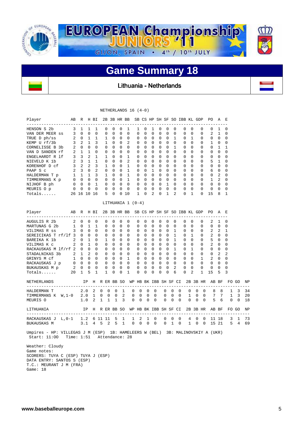

Lithuania - Netherlands

#### NETHERLANDS 16 (4-0)

| Player                                                                                                                   | AВ             | R                       |                | H BI           |         |                | 2B 3B HR BB  |                |              |                       |             |          |              |             |              |                | SB CS HP SH SF SO IBB KL GDP |                |              |              | PО                             | A              | Е        |                |               |
|--------------------------------------------------------------------------------------------------------------------------|----------------|-------------------------|----------------|----------------|---------|----------------|--------------|----------------|--------------|-----------------------|-------------|----------|--------------|-------------|--------------|----------------|------------------------------|----------------|--------------|--------------|--------------------------------|----------------|----------|----------------|---------------|
| ---------------------<br>HENSON S 2b                                                                                     | 3              | 1                       | 1              | 1              |         | $\Omega$       | $\Omega$     | 0              | 1            | 1                     | 0           |          | 1            | $\Omega$    | $\Omega$     | $\Omega$       | 0                            | $\Omega$       |              | $\Omega$     | 0                              | 1              | $\Omega$ |                |               |
| VAN DER MEER SS                                                                                                          | 3              | $\Omega$                | $\mathbf 0$    | 0              |         | 0              | $\Omega$     | $\Omega$       | $\mathbf{0}$ | $\Omega$              | $\Omega$    |          | $\mathbf 0$  | 0           | $\Omega$     | $\mathbf 0$    | 0                            | $\mathbf 0$    |              | 0            | $\overline{2}$                 | 1              | 0        |                |               |
| TRUE D ph/ss                                                                                                             | 2              | 0                       | 1              | 1              |         | 1              | 0            | 0              | 0            | 0                     | 0           |          | 0            | 0           | 0            | 1              | 0                            | 1              |              | 0            | 0                              | $\mathbf 0$    | 0        |                |               |
| KEMP U rf/3b                                                                                                             | 3              | 2                       | $\mathbf{1}$   | 3              |         | $\mathbf{1}$   | $\Omega$     | 0              | 2            | $\Omega$              | $\Omega$    |          | $\Omega$     | $\Omega$    | $\Omega$     | $\Omega$       | 0                            | $\Omega$       |              | $\Omega$     | $\mathbf{1}$                   | $\Omega$       | $\Omega$ |                |               |
| CORNELISSE B 3b                                                                                                          | 2              | $\Omega$                | $\Omega$       | $\Omega$       |         | $\Omega$       | $\Omega$     | $\Omega$       | $\Omega$     | $\Omega$              | $\Omega$    |          | $\Omega$     | $\Omega$    | $\Omega$     | $\mathbf{1}$   | $\Omega$                     | $\Omega$       |              | $\Omega$     | $\Omega$                       | $\mathbf{1}$   | 1        |                |               |
| VAN D SANDEN rf                                                                                                          | 2              | $\mathbf{1}$            | 1              | $\Omega$       |         | $\Omega$       | $\Omega$     | $\Omega$       | $\mathbf 0$  | 0                     | $\Omega$    |          | $\Omega$     | 0           | $\Omega$     | $\Omega$       | 0                            | $\Omega$       |              | $\Omega$     | $\Omega$                       | $\mathbf 0$    | 0        |                |               |
| ENGELHARDT R 1f                                                                                                          | $\mathbf{3}$   | $\overline{\mathbf{3}}$ | $\overline{2}$ | $\mathbf{1}$   |         | 1              | $\Omega$     | $\Omega$       | $\mathbf{1}$ | $\Omega$              | $\Omega$    |          | $\Omega$     | $\Omega$    | $\Omega$     | $\Omega$       | $\Omega$                     | $\Omega$       |              | $\Omega$     | $\Omega$                       | $\Omega$       | $\Omega$ |                |               |
| NIEVELD K 1b                                                                                                             | 2              | $\mathbf{3}$            | $\mathbf{1}$   | $\mathbf{1}$   |         | $\Omega$       | $\Omega$     | $\Omega$       | 2            | $\mathbf 0$           | $\Omega$    |          | $\mathbf 0$  | 0           | $\Omega$     | $\Omega$       | 0                            | $\Omega$       |              | $\Omega$     | 5                              | 1              | 0        |                |               |
| KORENHOF D cf                                                                                                            | $\mathbf{3}$   | 2                       | 2              | 3              |         | 1              | 0            | 0              | $\mathbf{1}$ | 0                     | 0           |          | 0            | 0           | $\mathbf 0$  | $\Omega$       | 0                            | $\Omega$       |              | 0            | 0                              | $\mathbf 0$    | 0        |                |               |
| PAAP S c                                                                                                                 |                | $2 \quad 3$             | $\Omega$       | $\mathfrak{D}$ |         | $\Omega$       | $\Omega$     | $\Omega$       | 1            | $\Omega$              | $\Omega$    |          | $\mathbf{1}$ | $\Omega$    | $\Omega$     | $\Omega$       | $\Omega$                     | $\Omega$       |              | $\Omega$     | 6                              | $\Omega$       | $\Omega$ |                |               |
| HALDERMAN T p                                                                                                            |                | $1 \quad 1 \quad 1$     |                | 3              |         | $\mathbf{1}$   | $\Omega$     | $\Omega$       | $\mathbf{1}$ | $\mathbf 0$           | $\Omega$    |          | $\mathbf 0$  | 0           | $\Omega$     | $\Omega$       | 0                            |                | $\Omega$     | 0            | 0                              | $\overline{2}$ | 0        |                |               |
| TIMMERMANS K p                                                                                                           |                | $0\quad 0\quad 0$       |                | $\Omega$       |         | 0              | $\mathbf 0$  | $\Omega$       | $\mathbf{1}$ | 0                     | $\Omega$    |          | 0            | $\mathbf 0$ | $\Omega$     | $\Omega$       | 0                            | $\Omega$       |              | 0            | 1                              | 2              | 0        |                |               |
| NIJHOF B ph                                                                                                              | $\mathbf{0}$   | $\Omega$                | $\bigcirc$     | $\mathbf{1}$   |         | $\Omega$       | $\Omega$     | $\Omega$       | $\Omega$     | $\Omega$              | $\Omega$    |          | $\Omega$     | $\Omega$    | $\mathbf{1}$ | $\Omega$       | $\Omega$                     | $\Omega$       |              | $\Omega$     | $\Omega$                       | $\Omega$       | $\Omega$ |                |               |
| MEURIS O p                                                                                                               |                | $0\quad 0$              | $\mathbf 0$    | $\Omega$       |         | $\Omega$       | $\Omega$     | $\Omega$       | $\mathbf 0$  | $\Omega$              | $\Omega$    |          | $\Omega$     | $\Omega$    | $\Omega$     | $\Omega$       | 0                            | $\Omega$       |              | $\Omega$     | 0                              | $\Omega$       | $\Omega$ |                |               |
| Totals                                                                                                                   |                | 26 16 10 16             |                |                |         | 5              | 0            |                | 010          | 1                     | $\Omega$    |          | 2            | 0           | $\mathbf{1}$ | $\overline{2}$ | 0                            | 1              |              | 0            | 15                             | 8              | 1        |                |               |
|                                                                                                                          |                |                         |                |                |         |                |              |                |              | LITHUANIA 1 (0-4)     |             |          |              |             |              |                |                              |                |              |              |                                |                |          |                |               |
| Player                                                                                                                   | AВ             | R                       |                | H BI           |         |                |              |                | 2B 3B HR BB  |                       |             |          |              |             |              |                | SB CS HP SH SF SO IBB KL GDP |                |              |              | PO.                            | A E            |          |                |               |
| AUGULIS R 2b                                                                                                             | 2              | $\mathbf 0$             | 0              | $\mathbf 0$    |         | 0              | 0            | 0              | 0            | 0                     | 0           |          | $\mathbf 0$  | 0           | 0            | 0              | 0                            | 0              |              | 0            | 2                              | 1              | 0        |                |               |
| MARTUNAS G 2b                                                                                                            | 1              | $\mathbf 0$             | $\mathbf{1}$   | $\mathbf{1}$   |         | $\mathbf 0$    | $\Omega$     | $\Omega$       | $\mathbf 0$  | 0                     | $\Omega$    |          | 0            | 0           | $\mathbf 0$  | $\Omega$       | 0                            | $\mathbf 0$    |              | 0            | 0                              | $\Omega$       | 0        |                |               |
| VILIMAS R ss                                                                                                             | 3              | $\Omega$                | $\mathbf 0$    | $\Omega$       |         | $\mathbf 0$    | 0            | $\mathbf 0$    | 0            | 0                     | $\mathbf 0$ |          | 0            | $\mathbf 0$ | $\Omega$     | $\mathbf{1}$   | 0                            | $\mathbf 0$    |              | 0            | 2                              | 2              | 1        |                |               |
| SEREICIKAS T rf/lf 3                                                                                                     |                | $\circ$                 | $\Omega$       | $\Omega$       |         | $\Omega$       | $\Omega$     | $\Omega$       | $\mathbf 0$  | 0                     | $\Omega$    |          | 0            | $\Omega$    | $\Omega$     | $\mathbf{1}$   | 0                            |                | $\mathbf{1}$ | 0            | 2                              | $\Omega$       | 0        |                |               |
| BAREIKA K 1b                                                                                                             | $\overline{2}$ | $\Omega$                | $\mathbf{1}$   | $\Omega$       |         | $\mathbf{1}$   | $\Omega$     | $\Omega$       | $\mathbf 0$  | $\mathbf 0$           | $\Omega$    |          | 0            | 0           | $\Omega$     | $\mathbf{1}$   | 0                            | $\Omega$       |              | $\mathbf 0$  | 5                              | $\mathbf 0$    | 0        |                |               |
| VILIMAS K c                                                                                                              | 2              | 0                       | $\mathbf{1}$   | $\Omega$       |         | $\mathbf 0$    | $\Omega$     | 0              | $\mathbf 0$  | 0                     | $\Omega$    |          | 0            | 0           | $\Omega$     | $\Omega$       | 0                            | $\mathbf 0$    |              | 0            | $\overline{a}$                 | $\Omega$       | 0        |                |               |
| RACKAUSKAS M lf/rf 2                                                                                                     |                | $\Omega$                | $\Omega$       | $\Omega$       |         | $\Omega$       | $\Omega$     | $\Omega$       | $\Omega$     | $\Omega$              | $\Omega$    |          | $\Omega$     | $\Omega$    | $\Omega$     | $\mathbf{1}$   | $\Omega$                     | $\mathbf{1}$   |              | $\Omega$     | $\Omega$                       | $\Omega$       | $\Omega$ |                |               |
| STADALNIKAS 3b                                                                                                           | 2              | $\mathbf{1}$            | $\overline{2}$ | $\Omega$       |         | $\Omega$       | $\Omega$     | $\Omega$       | $\Omega$     | $\Omega$              | $\Omega$    |          | $\Omega$     | $\Omega$    | $\Omega$     | $\Omega$       | $\Omega$                     |                | $\Omega$     | $\Omega$     | $\Omega$                       | $\overline{2}$ | 2        |                |               |
| GRINYS M cf                                                                                                              |                | $1 \quad 0$             | $\Omega$       | $\Omega$       |         | $\Omega$       | $\Omega$     | $\Omega$       | $\mathbf{1}$ | 0                     | $\Omega$    |          | $\Omega$     | $\Omega$    | $\Omega$     | $\Omega$       | 0                            | $\Omega$       |              | $\mathbf{1}$ | 2                              | $\Omega$       | 0        |                |               |
| RACKAUSKAS J p                                                                                                           |                | $0\quad 0$              | $\Omega$       | $\Omega$       |         | $\Omega$       | $\Omega$     | $\Omega$       | $\Omega$     | $\Omega$              | $\Omega$    |          | $\Omega$     | $\Omega$    | $\Omega$     | $\Omega$       | $\Omega$                     |                | $\Omega$     | $\Omega$     | $\Omega$                       | $\Omega$       | $\Omega$ |                |               |
| BUKAUSKAS M p                                                                                                            | 2              | 0                       | $\mathbf 0$    | $\Omega$       |         | $\mathbf 0$    | $\Omega$     | $\Omega$       | $\mathbf 0$  | 0                     | $\mathbf 0$ |          | 0            | 0           | $\Omega$     | $\overline{2}$ | 0                            | $\Omega$       |              | 0            | 0                              | $\mathbf 0$    | 0        |                |               |
| Totals                                                                                                                   | 20             | $\mathbf 1$             | 5              | 1              |         | 1              | 0            | 0              | 1            | 0                     | 0           |          | 0            | 0           | $\Omega$     | 6              | $\Omega$                     | $\overline{2}$ |              | 1            | 15                             | 5              | 3        |                |               |
| NETHERLANDS                                                                                                              |                |                         | IP             |                |         |                | H R ER BB SO |                |              | WP HB BK IBB SH SF CI |             |          |              |             |              |                |                              |                |              |              | 2B 3B HR AB BF                 |                |          | FO GO          | ΝP            |
| HALDERMAN T                                                                                                              |                |                         | 2.0            | 2              | 0       | $\Omega$       | 0            | 1              |              | 0                     | $\Omega$    | $\Omega$ | $\Omega$     |             | 0            | $\Omega$       | $\Omega$                     | $\Omega$       | $\Omega$     | $\Omega$     | _________________________<br>8 | 8              | 1        | $\overline{3}$ | $- - -$<br>34 |
| TIMMERMANS K W, 1-0                                                                                                      |                |                         | 2.0            | 1              | 0       | 0              | 0            | $\overline{2}$ |              | 0                     | 0           | 0        | 0            |             | 0            | 0              | 0                            | 1              | 0            | $\Omega$     | 7                              | 7              | 1        | 3              | 20            |
| MEURIS O                                                                                                                 |                |                         | 1.0            | 2              | 1       | $\mathbf{1}$   | 1            | 3              |              | $\mathbf 0$           | 0           | 0        | $\mathbf 0$  |             | 0            | 0              | $\Omega$                     | 0              | 0            | $\Omega$     | 5                              | 6              | 0        | $\Omega$       | 18            |
|                                                                                                                          |                |                         |                |                |         |                |              |                |              |                       |             |          |              |             |              |                |                              |                |              |              |                                |                |          |                |               |
| LITHUANIA                                                                                                                |                |                         | IP             | Н              |         |                | R ER BB SO   |                |              | WP HB BK IBB SH SF CI |             |          |              |             |              |                |                              |                |              | 2B 3B HR     |                                | AB BF          |          | FO GO          | ΝP            |
| RACKAUSKAS J L, 0-1                                                                                                      |                |                         | 1.2            |                | 6 11 11 |                | 5            | 1              |              | 1                     | 2           | 1        | $\mathbf 0$  |             | 0            | 0              | $\mathbf 0$                  | 4              | 0            | 0            |                                | 11 18          | 3        | 1              | 73            |
| BUKAUSKAS M                                                                                                              |                |                         | 3.1            | 4              | 5       | $\overline{a}$ | 5            | $\mathbf{1}$   |              | 0                     | $\mathbf 0$ | 0        | $\mathbf 0$  |             | 0            | $\mathbf{1}$   | $\mathbf 0$                  | $\mathbf{1}$   | 0            | 0            |                                | 15 21          | 5        | $\overline{4}$ | 69            |
| Umpires - HP: VILLEGAS J M (ESP) 1B: HAMELEERS W (BEL) 3B: MALINOVSKIY A (UKR)<br>Start: 11:00 Time: 1:51 Attendance: 28 |                |                         |                |                |         |                |              |                |              |                       |             |          |              |             |              |                |                              |                |              |              |                                |                |          |                |               |

 Weather: Cloudy Game notes: SCORERS: TUYA C (ESP) TUYA J (ESP) DATA ENTRY: SANTOS S (ESP) T.C.: MEURANT J M (FRA) Game: 18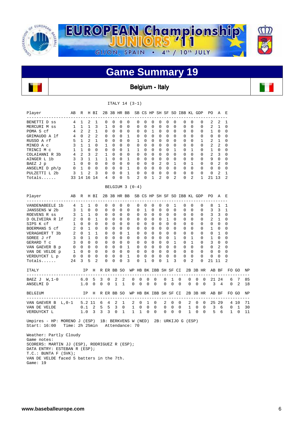

Belgium - Italy

|                                                                                                                                           |                     |                     |               |                          |   |                         |                |                          | ITALY 14 (3-1)                                             |                          |                                         |                |             |                      |                               |                 |                |                         |                   |                       |                   |                  |             |    |
|-------------------------------------------------------------------------------------------------------------------------------------------|---------------------|---------------------|---------------|--------------------------|---|-------------------------|----------------|--------------------------|------------------------------------------------------------|--------------------------|-----------------------------------------|----------------|-------------|----------------------|-------------------------------|-----------------|----------------|-------------------------|-------------------|-----------------------|-------------------|------------------|-------------|----|
| Player                                                                                                                                    |                     |                     |               | AB R H BI                |   |                         |                |                          | 2B 3B HR BB SB CS HP SH SF SO IBB KL GDP                   |                          |                                         |                |             |                      |                               |                 |                |                         |                   | PO <sub>1</sub>       | AE                |                  |             |    |
| BENETTI D ss                                                                                                                              | 4 1                 |                     | 2             | 1                        |   | 0                       | $\mathbf{0}$   | $\circ$                  | 0                                                          | $\mathbf 0$              | 0                                       | 0              | $\circ$     | 0                    | $\overline{\phantom{0}}$      |                 | 0              | 0                       | 0                 | 2                     | 2                 | 1                |             |    |
| MERCURI M ss                                                                                                                              |                     | 1 1 1               |               | 3                        |   | $\mathbf{1}$            | $\mathbf{0}$   | $\mathbf 0$              | 0                                                          | $\mathbf 0$              | $\mathbf 0$                             |                | $0\qquad 0$ | $\mathbf 0$          | $\overline{\phantom{0}}$      |                 | 0              | 0                       | 0                 | 2                     | $\mathbf{1}$      | $\mathbf 0$      |             |    |
| POMA S cf                                                                                                                                 |                     | 4 2 2               |               | $\mathbf{1}$             |   | $\Omega$                | $\Omega$       | $\Omega$                 | $\circ$                                                    | $\Omega$                 | $\overline{0}$                          |                | 1 0         | $\Omega$             | $\Omega$                      |                 | $\Omega$       | $\Omega$                | $\Omega$          | $1 \quad 0$           |                   | $\Omega$         |             |    |
| GRIMAUDO A lf                                                                                                                             |                     | 4 0 2               |               | 2                        |   | 0                       | $\overline{0}$ | $\mathbf 0$              | $\mathbf{1}$                                               | $\overline{\phantom{0}}$ | $\overline{0}$                          |                | $0\quad 0$  | $\mathbf{0}$         | $\overline{0}$                |                 | $\mathbf 0$    | $\mathbf{0}$            | 0                 | 0                     | 0                 | 0                |             |    |
| RUSSO A rf                                                                                                                                |                     | $5\quad 1\quad 2$   |               | $\mathbf{1}$             |   | $\overline{0}$          | $\bigcirc$     | $\Omega$                 | $\mathbf{0}$                                               | $\mathbf{1}$             | $\Omega$                                |                | $0\quad 0$  | $\Omega$             | $\overline{0}$                |                 | $\mathbf 0$    | $\Omega$                | $1 \quad$         | 2                     | $\mathbf{1}$      | 0                |             |    |
| MINEO A c                                                                                                                                 |                     | 3 1 1               |               | $\Omega$                 |   | $\mathbf{1}$            | $\bigcap$      | $\Omega$                 | $\Omega$                                                   | $\Omega$                 | $\Omega$                                |                | $0 \quad 0$ | $\Omega$             | $\overline{0}$                |                 | $\Omega$       | $\Omega$                | $\overline{0}$    | 2                     | 2                 | $\Omega$         |             |    |
| TRINCI M c                                                                                                                                |                     | $1\quad 1\quad 0$   |               | $\Omega$                 |   | $\circ$                 | $\Omega$       | $\mathbf 0$              | $\mathbf{1}$                                               | 1                        | $\mathbf{0}$                            |                | $0\quad 0$  | $\Omega$             | $\mathbf{1}$                  |                 | $\mathbf 0$    | 1                       | 0                 | $\mathbf{1}$          | 0                 | 0                |             |    |
| COLAIANNI R 3b                                                                                                                            | 4 2 3               |                     |               | 2                        |   | $\mathbf{1}$            | $\overline{0}$ | 0                        | 0                                                          | 0                        | 0                                       |                | $0\quad 0$  | $\mathbf 0$          | $\overline{0}$                |                 | $\mathbf 0$    | $\mathbf{0}$            | 0                 | $\overline{a}$        | 3                 | 0                |             |    |
| AINGER L 1b                                                                                                                               |                     | $3 \quad 3 \quad 1$ |               | $\mathbf{1}$             |   | $\overline{1}$          | $\overline{0}$ | $\overline{\phantom{0}}$ | <sup>1</sup>                                               | $\mathbf 0$              | $\overline{0}$                          |                | $0\quad 0$  | $\Omega$             | $\overline{0}$                |                 | 0              | $\Omega$                | 0                 | 9                     | 0                 | 0                |             |    |
| BAEZ J p                                                                                                                                  |                     | 1 0 0 0             |               |                          |   | $0\quad 0$              |                | $\overline{0}$           | $0\qquad 0$                                                |                          | $\overline{0}$                          |                | $0\quad 2$  | $\mathbf{0}$         | <sup>1</sup>                  |                 | $\overline{0}$ | 1                       | $\overline{0}$    | $0\quad 2$            |                   | 0                |             |    |
| ANSELMI D ph/p                                                                                                                            | $0 \quad 1 \quad 0$ |                     |               | $\overline{0}$           |   |                         |                |                          | 0 0 0 1                                                    | 0                        | $\begin{matrix} 0 & 0 & 0 \end{matrix}$ |                |             | $\mathbf{0}$         | $\overline{0}$                |                 | $\mathbf 0$    | $\mathbf{0}$            | $0 \qquad \qquad$ | $\mathbf{0}$          | $\mathbf 0$       | 0                |             |    |
| PULZETTI L 2b                                                                                                                             |                     | 3 1                 | 2             | $\overline{\mathbf{3}}$  |   | $\circ$                 | $\mathbf 0$    | $\overline{0}$           | - 1                                                        | $\mathbf 0$              | $\overline{0}$                          | 0              | $\mathbf 0$ | $\Omega$             | $\overline{0}$                |                 | 0              | $\Omega$                | $\mathbf 0$       | 0                     | 2                 | 1                |             |    |
| $Totals. \ldots$ .                                                                                                                        |                     |                     |               | 33 14 16 14              |   | $4\quad 0$              |                | $\overline{0}$           | 5                                                          | 2                        | $\Omega$                                | $\mathbf{1}$   | 2           | $\Omega$             | $\overline{2}$                |                 | $\mathbf 0$    | 2                       | $\mathbf{1}$      | 21 13                 |                   | 2                |             |    |
|                                                                                                                                           |                     |                     |               |                          |   |                         |                |                          | BELGIUM $3(0-4)$                                           |                          |                                         |                |             |                      |                               |                 |                |                         |                   |                       |                   |                  |             |    |
| Player                                                                                                                                    |                     |                     |               | AB R H BI                |   |                         |                |                          | 2B 3B HR BB SB CS HP SH SF SO IBB KL GDP                   |                          |                                         |                |             |                      |                               |                 |                |                         |                   | PO A E                |                   |                  |             |    |
|                                                                                                                                           |                     |                     | $\mathbf{1}$  | $\Omega$                 |   |                         | $\Omega$       |                          |                                                            |                          | $\Omega$                                | $\Omega$       | $\Omega$    |                      |                               |                 |                |                         |                   |                       |                   |                  |             |    |
| VANDENABEELE 1b                                                                                                                           | 4 1                 | 3 1 0               |               | $\mathbf 0$              |   | $\Omega$<br>$\mathbf 0$ | $\Omega$       | $\Omega$<br>$\mathbf 0$  | $\Omega$<br>$\mathbf{0}$                                   | $\Omega$<br>$\mathbf 0$  | $\mathbf{1}$                            | $\overline{0}$ | $\Omega$    | $\Omega$<br>$\Omega$ | 1<br>$\overline{\phantom{0}}$ |                 | $\Omega$<br>0  | $\Omega$<br>$\mathbf 0$ | $\Omega$<br>0     | 8<br>3                | $\mathbf{1}$<br>3 | 1                |             |    |
| JANSSENS W 2b                                                                                                                             |                     | $3 \quad 1 \quad 1$ |               | $\Omega$                 |   | 0                       | 0              | $\mathbf{0}$             | $\mathbf{0}$                                               | $\mathbf 0$              | $\Omega$                                |                | $0\quad 0$  | 0                    | $\overline{0}$                |                 | $\mathbf 0$    | $\Omega$                | $\circ$           | 3                     | 3                 | 1<br>$\mathbf 0$ |             |    |
| ROEVENS R ss<br>D OLIVEIRA R lf                                                                                                           |                     | 2 0 0               |               | 1                        |   |                         | $0\quad 0$     | $\mathbf{0}$             | $\mathbf{0}$                                               | $\overline{\phantom{0}}$ | $\overline{0}$                          |                |             | $0 \quad 0 \quad 1$  | $\overline{0}$                |                 | $\mathbf 0$    | $\mathbf{0}$            | 0                 | $2 \quad 1$           |                   | 0                |             |    |
| SIPS K cf                                                                                                                                 |                     | 1 0 0 0             |               |                          |   | 0                       | $\overline{0}$ | $\overline{0}$           | 0                                                          | $\overline{\phantom{0}}$ | $\overline{0}$                          |                |             | $0\quad 0\quad 0$    | $\overline{0}$                |                 | 0              | 0                       | $\overline{0}$    | $0\quad 0$            |                   |                  |             |    |
|                                                                                                                                           |                     | $2 \quad 0 \quad 1$ |               | $\Omega$                 |   | $\Omega$                | $\overline{0}$ | $\Omega$                 | $0\qquad 0$                                                |                          | $\bigcirc$                              |                | $0\quad 0$  | $\Omega$             | $\Omega$                      |                 | $\mathbf 0$    | $\Omega$                | 0                 | 1                     | $\mathbf 0$       | 0<br>$\mathbf 0$ |             |    |
| BOERMANS S cf<br>VERAGHERT T 3b                                                                                                           |                     | $2 \quad 0 \quad 1$ |               | $\overline{1}$           |   | $\Omega$                | $\Omega$       | $\Omega$                 | 1                                                          | $\overline{0}$           | $\Omega$                                |                | $0 \quad 0$ | $\Omega$             | $\overline{0}$                |                 | $\Omega$       | $\Omega$                | 0                 | $\mathbf{0}$          | $\overline{1}$    | 0                |             |    |
| SOREE J rf                                                                                                                                |                     | $3 \t 0 \t 1$       |               | $\Omega$                 |   | $0\quad 0$              |                | $\mathbf 0$              | $\mathbf{0}$                                               | $\mathbf{0}$             | $\bigcirc$                              |                | $0\quad 0$  | $\Omega$             | $\mathbf{1}$                  |                 | $\mathbf 0$    | 1                       | $\overline{0}$    | 1                     | 0                 | 0                |             |    |
| GERARD T C                                                                                                                                |                     |                     |               | 3 0 0 0                  |   | $0 \quad 0$             |                | $\Omega$                 | $0\qquad 0$                                                |                          | $\Omega$                                |                | $0 \quad 0$ |                      | $0\quad1$                     |                 | $\Omega$       | 1                       | 0                 | $3 \quad 0$           |                   | $\Omega$         |             |    |
| VAN GAEVER B p                                                                                                                            |                     | $0\quad 0\quad 0$   |               | $\overline{0}$           |   | $\overline{0}$          | $\overline{0}$ | $\overline{0}$           | $\mathbf{1}$                                               | $\overline{0}$           | $\overline{0}$                          |                | $0\quad 0$  | $\Omega$             | $\Omega$                      |                 | $\mathbf 0$    | $\Omega$                | $0 \qquad \qquad$ | 0                     | 2                 | 0                |             |    |
| VAN DE VELDE P                                                                                                                            | 1 0 0 0             |                     |               |                          |   |                         | $0\quad 0$     | $\overline{0}$           | $0\qquad 0$                                                |                          | $\overline{0}$                          |                | $0\quad 0$  | $\mathbf{0}$         | $\overline{0}$                |                 | 0              | $\mathbf 0$             | 0                 | 0                     | 0                 | 0                |             |    |
| VERDUYCKT L p                                                                                                                             | $0\quad 0\quad 0$   |                     |               | $\overline{\phantom{0}}$ |   | 0                       | 0              | $\overline{\phantom{0}}$ | $\mathbf{1}$                                               | 0                        | 0                                       | 0              | 0           | $\mathbf 0$          | $\overline{0}$                |                 | 0              | 0                       | 0                 | 0                     | 0                 | 0                |             |    |
| Totals                                                                                                                                    |                     | 24 3                | 5             | 2                        |   | $\Omega$                | $\Omega$       | $\Omega$                 | 3                                                          | 0                        | $\mathbf{1}$                            | 0              | $\Omega$    | $\mathbf{1}$         | 3                             |                 | $\Omega$       | $\overline{2}$          | $\Omega$          | 21 11                 |                   | $\mathfrak{D}$   |             |    |
| ITALY                                                                                                                                     |                     |                     |               |                          |   |                         |                |                          | IP H R ER BB SO WP HB BK IBB SH SF CI 2B 3B HR AB BF FO GO |                          |                                         |                |             |                      |                               |                 |                |                         |                   |                       |                   |                  |             | ΝP |
| ---------------------------                                                                                                               |                     |                     |               |                          |   |                         |                |                          |                                                            |                          |                                         |                |             |                      |                               |                 |                |                         |                   |                       |                   |                  |             |    |
| BAEZ $J \ W, 1-0$                                                                                                                         |                     | 6.0                 |               | 5                        | 3 | $\Omega$                | 2              | 2                        | $\Omega$                                                   | $\Omega$                 | 0                                       |                | $\Omega$    | $\Omega$             | 1                             | $\Omega$        | $\Omega$       | $\Omega$                | $\Omega$          |                       | 21 24             | 6                | 7           | 85 |
| ANSELMI D                                                                                                                                 |                     |                     | 1.0           | 0                        | 0 | 0                       | $\mathbf{1}$   | $\overline{1}$           | 0                                                          | 0                        | 0                                       |                | $\mathbf 0$ | 0                    | $\mathbf 0$                   | $\mathbf 0$     | 0              | 0                       | 0                 |                       | $3 \quad 4$       | 0                | 2           | 18 |
| <b>BELGIUM</b>                                                                                                                            |                     |                     |               |                          |   |                         |                |                          | IP H R ER BB SO WP HB BK IBB SH SF CI                      |                          |                                         |                |             |                      |                               |                 |                |                         |                   | 2B 3B HR AB BF        |                   | FO GO            |             | ΝP |
| VAN GAEVER $B$ L, 0-1                                                                                                                     |                     |                     |               | $5.2$ 11 6               |   | $\overline{4}$          | 2              | $\mathbf{1}$             | 2                                                          | 0                        | 1                                       |                | 0           | 2                    | $\mathbf 0$                   | ----------<br>0 | 2              | 0                       | 0                 | _____________________ | 25 29             |                  | 4 10        | 71 |
| VAN DE VELDE                                                                                                                              |                     |                     | $0.1 \quad 2$ |                          | 5 | -5                      |                | $3 \quad 0$              | $\mathbf{1}$                                               |                          | $\overline{0}$<br>$\mathbf 0$           |                | $\Omega$    | $\mathbf{0}$         | $\mathbf 0$                   | $\Omega$        |                | 1<br>$\Omega$           | $\Omega$          |                       | $3\quad 6$        |                  | $0\quad 1$  | 30 |
| VERDUYCKT L                                                                                                                               |                     |                     |               | $1.0 \t3 \t3$            |   |                         | $3 \quad 0$    | $\mathbf{1}$             | $\mathbf{1}$                                               |                          | $1 \quad 0$                             |                | 0           | $\overline{0}$       | $\mathbf 0$                   | 0               |                | $1 \quad 0$             | $\mathbf{0}$      |                       | 5 6               |                  | $1 \quad 0$ | 11 |
| Umpires - HP: MORENO J (ESP) 1B: BERKVENS W (NED) 2B: URKIJO G (ESP)<br>Start: 16:00 Time: 2h 25min Attendance: 70                        |                     |                     |               |                          |   |                         |                |                          |                                                            |                          |                                         |                |             |                      |                               |                 |                |                         |                   |                       |                   |                  |             |    |
| Weather: Partly Cloudy<br>Game notes:<br>$O(\Omega \cap \Pi \cap \Omega)$ , MADELLI II ( $\Pi \cap \Pi$ ) DODAICHER D ( $\Pi \cap \Pi$ )) |                     |                     |               |                          |   |                         |                |                          |                                                            |                          |                                         |                |             |                      |                               |                 |                |                         |                   |                       |                   |                  |             |    |

 SCORERS: MARTIN JJ (ESP), RODRIGUEZ R (ESP); DATA ENTRY: ESTEBAN R (ESP);  $\mathtt{T.C.}$  :  $\mathtt{BUNTA}$   $\mathtt{F}$   $(\mathtt{SVK})$   $\mathtt{i}$  VAN DE VELDE faced 5 batters in the 7th. Game: 19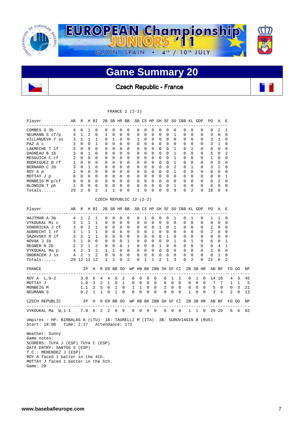

Czech Republic - France

|                                                                                            |              |                   |                |              |   |                  |                            |              |                  | FRANCE $2(2-2)$         |              |   |              |                |                  |                  |                              |                  |          |             |             |                  |                |          |    |
|--------------------------------------------------------------------------------------------|--------------|-------------------|----------------|--------------|---|------------------|----------------------------|--------------|------------------|-------------------------|--------------|---|--------------|----------------|------------------|------------------|------------------------------|------------------|----------|-------------|-------------|------------------|----------------|----------|----|
| Player                                                                                     | AВ           | R                 |                | H BI         |   |                  |                            |              | 2B 3B HR BB      |                         |              |   |              |                |                  |                  | SB CS HP SH SF SO IBB KL GDP |                  |          |             | PO.         | A                | Е              |          |    |
| COMBES 0 3b                                                                                | 4            | $\Omega$          | 1              | 0            |   | $\Omega$         | $\Omega$                   | 0            | $\Omega$         | $\Omega$                | $\Omega$     |   | 0            | $\Omega$       | $\Omega$         | $\Omega$         | $\Omega$                     | $\Omega$         |          | $\Omega$    | 0           | 2                | 1              |          |    |
| NEUMANN S cf/p                                                                             | 4            | $\mathbf{1}$      | 2              | $\Omega$     |   | $\mathbf{1}$     | $\Omega$                   | $\Omega$     | $\Omega$         | $\Omega$                | $\Omega$     |   | $\Omega$     | $\Omega$       | $\Omega$         | $\mathbf{1}$     | $\Omega$                     | $\Omega$         |          | $\Omega$    | 3           | $\Omega$         | $\Omega$       |          |    |
| VILLANUEVA Y ss                                                                            | 3            | $\mathbf{1}$      | 1              | 1            |   | 0                | 1                          | 0            | 0                | 1                       | 0            |   | 0            | 0              | $\mathbf 0$      | $\mathbf 0$      | 0                            | $\mathbf 0$      |          | 0           | 3           | $\mathbf{1}$     | 0              |          |    |
| PAZ A c                                                                                    | 3            | 0                 | 0              | 1            |   | 0                | $\mathbf 0$                | 0            | $\mathbf 0$      | 0                       | 0            |   | 0            | 0              | 0                | $\mathbf 0$      | 0                            | 0                |          | 0           | 3           | 1                | 0              |          |    |
| LAKMECHE T lf                                                                              | 3            | 0                 | $\mathbf 0$    | $\mathbf 0$  |   | 0                | $\mathbf 0$                | $\mathbf 0$  | $\mathbf 0$      | 0                       | $\mathbf 0$  |   | 0            | $\mathbf 0$    | $\mathbf 0$      | 1                | 0                            | 1                |          | 0           | 0           | $\mathbf 0$      | 0              |          |    |
| DAGNEAU B 1b                                                                               | 3            | $\Omega$          | 1              | $\Omega$     |   | $\Omega$         | $\Omega$                   | $\Omega$     | $\Omega$         | $\Omega$                | $\Omega$     |   | $\Omega$     | $\Omega$       | $\Omega$         | 1                | $\Omega$                     | $\Omega$         |          | $\Omega$    | 5           | $\Omega$         | 2              |          |    |
| MESGUICH C rf                                                                              | 2            | $\mathbf{0}$      | $\Omega$       | $\Omega$     |   | 0                | 0                          | 0            | $\mathbf 0$      | 0                       | $\mathbf 0$  |   | 0            | 0              | $\Omega$         | $\mathbf{1}$     | 0                            | $\Omega$         |          | 0           | 1           | 0                | 0              |          |    |
| RODRIGUEZ B rf                                                                             | 1            | 0                 | 0              | $\Omega$     |   | $\mathbf 0$      | $\mathbf 0$                | $\mathbf 0$  | 0                | $\mathbf 0$             | $\mathbf 0$  |   | 0            | 0              | $\Omega$         | 1                | 0                            | 0                |          | 0           | 0           | $\mathbf 0$      | 0              |          |    |
| BERNARD C 2b                                                                               | 3            | $\Omega$          | 1              | $\Omega$     |   | $\Omega$         | $\Omega$                   | 0            | $\mathbf 0$      | 0                       | $\Omega$     |   | 0            | 0              | $\Omega$         | 2                | $\Omega$                     | $\mathbf{1}$     |          | $\Omega$    | 3           | 2                | 0              |          |    |
| ROY A p                                                                                    | 2            | $\Omega$          | $\Omega$       | $\Omega$     |   | $\Omega$         | $\Omega$                   | $\Omega$     | $\Omega$         | 0                       | $\Omega$     |   | $\Omega$     | $\Omega$       | $\Omega$         | 1                | 0                            | $\Omega$         |          | $\Omega$    | 0           | $\Omega$         | 0              |          |    |
| MOTTAY J p                                                                                 | 0            | 0                 | $\Omega$       | $\Omega$     |   | 0                | $\Omega$                   | 0            | 0                | 0                       | $\Omega$     |   | 0            | 0              | $\Omega$         | $\Omega$         | 0                            | $\Omega$         |          | 0           | 0           | 0                | 1              |          |    |
| MONBEIG M p/cf                                                                             | 0            | $\mathbf 0$       | $\mathbf 0$    | $\mathbf 0$  |   | 0                | $\mathbf 0$                | 0            | $\mathbf 0$      | $\mathbf 0$             | $\mathsf 0$  |   | $\mathbf 0$  | 0              | $\mathbf 0$      | $\mathbf 0$      | $\mathbf 0$                  | $\mathbf 0$      |          | 0           | $\mathsf 0$ | 2                | $\mathsf 0$    |          |    |
| BLONDIN T ph                                                                               | 1            | 0                 | 0              | 0            |   | 0                | 0                          | 0            | 0                | 0                       | 0            |   | 0            | 0              | 0                | $\mathbf{1}$     | 0                            | 0                |          | 0           | 0           | 0                | 0              |          |    |
| $Totals$                                                                                   | 29           | 2                 | 6              | 2            |   | 1                | 1                          | 0            | 0                | 1                       | 0            |   | 0            | 0              | $\Omega$         | 9                | 0                            | 2                |          | 0           | 18          | 8                | 4              |          |    |
|                                                                                            |              |                   |                |              |   |                  |                            |              |                  | CZECH REPUBLIC 12 (2-2) |              |   |              |                |                  |                  |                              |                  |          |             |             |                  |                |          |    |
|                                                                                            |              |                   |                |              |   |                  |                            |              |                  |                         |              |   |              |                |                  |                  |                              |                  |          |             |             |                  |                |          |    |
| Player                                                                                     | AВ           | R                 |                | H BI         |   |                  | 2B 3B HR BB                |              |                  |                         |              |   |              |                |                  |                  | SB CS HP SH SF SO IBB KL GDP |                  |          |             | PO.         | Α                | Е              |          |    |
| HAJTMAR A 3b<br>VYKOUKAL Mi c                                                              | 4<br>3       | 1<br>$\mathbf{1}$ | 2<br>1         | 1<br>1       |   | 0<br>$\mathbf 0$ | $\mathsf 0$<br>$\mathbf 0$ | 0<br>0       | 0<br>$\mathbf 0$ | 0<br>$\mathbf 0$        | 1<br>0       |   | 0<br>0       | 0<br>0         | 0<br>$\mathbf 0$ | 1<br>$\mathbf 0$ | 0<br>0                       | 1<br>$\mathbf 0$ |          | 0<br>0      | 1<br>9      | 1<br>$\mathbf 0$ | 0<br>0         |          |    |
|                                                                                            | 3            | $\mathbf 0$       | 2              | $\mathbf{1}$ |   | 0                | $\mathbf 0$                | 0            | 0                | 0                       | $\mathbf 0$  |   | $\mathbf{0}$ | $\mathbf{1}$   | 0                | $\mathbf{1}$     | 0                            | 0                |          | 0           | 2           | 0                | 0              |          |    |
| VONDRICKA J cf<br>AUBRECHT I rf                                                            | 3            | $\mathbf{1}$      | 1              | 1            |   | 0                | 0                          | 0            | 0                | 0                       | 0            |   | $\mathbf{1}$ | 0              | 0                | 0                | 0                            | 0                |          | 0           | 2           | 0                | 0              |          |    |
| SAZAVSKY R lf                                                                              | $\mathbf{3}$ |                   | $2 \quad 1$    | 1            |   | $\mathbf 0$      | $\mathbf 0$                | 0            | 0                | 0                       | $\mathbf 0$  |   | 0            | $\mathbf 0$    | 1                | 0                | 0                            | $\mathbf 0$      |          | 0           | 0           | 0                | 0              |          |    |
| NOVAK J 1b                                                                                 | 3            | $\mathbf{1}$      | $\overline{0}$ | $\Omega$     |   | $\Omega$         | $\Omega$                   | $\Omega$     | 1                | 0                       | $\Omega$     |   | 0            | $\mathbf 0$    | $\Omega$         | 1                | 0                            | $\mathbf{1}$     |          | $\Omega$    | 6           | 0                | 1              |          |    |
| REGNER R 2b                                                                                | 2            | 2                 | - 1            | 2            |   | 0                | $\mathbf 0$                | $\mathbf 0$  | $\mathbf{1}$     | $\mathbf 0$             | $\mathbf 0$  |   | 0            | 1              | $\Omega$         | $\Omega$         | 0                            | $\Omega$         |          | 0           | 0           | 4                | 1              |          |    |
| VYKOUKAL Ma p                                                                              | 4            | 2                 | 3              | 3            |   | 1                | $\mathbf{1}$               | $\Omega$     | $\Omega$         | $\Omega$                | $\Omega$     |   | $\Omega$     | $\Omega$       | $\Omega$         | $\Omega$         | $\Omega$                     | $\Omega$         |          | $\Omega$    | 1           | $\Omega$         | $\Omega$       |          |    |
| ONDRACEK J ss                                                                              | 4            | 2                 | 1              | 2            |   | $\mathbf 0$      | $\mathbf 0$                | $\mathbf{0}$ | $\mathbf 0$      | $\mathbf 0$             | $\mathbf 0$  |   | $\mathbf 0$  | $\mathbf 0$    | $\mathbf 0$      | $\mathbf 0$      | 0                            | $\mathbf 0$      |          | $\mathbf 0$ | 0           | 1                | $\mathbf 0$    |          |    |
| Totals                                                                                     |              | 29 12 12 12       |                |              |   | $\mathbf{1}$     | $\mathbf{1}$               | $\Omega$     | $\overline{a}$   | $\Omega$                | $\mathbf{1}$ |   | $\mathbf{1}$ | $\overline{a}$ | $\mathbf{1}$     | 3                | $\Omega$                     | $\overline{a}$   |          | $\Omega$    | 21          | 6                | $\mathfrak{D}$ |          |    |
|                                                                                            |              |                   |                |              |   |                  |                            |              |                  |                         |              |   |              |                |                  |                  |                              |                  |          |             |             |                  |                |          |    |
| FRANCE<br>$- - -$                                                                          |              |                   | IP             | Η            |   |                  | R ER BB SO                 |              |                  | WP HB BK IBB SH SF CI   |              |   |              |                |                  |                  |                              |                  |          | 2B 3B HR    |             | AB BF            |                | FO GO    | ΝP |
| ROY A $L, 0-2$                                                                             |              | 3.0               |                | 6            | 4 | 4                | 0                          | 2            |                  | 0                       | 0            | 0 | 0            | 0              |                  | 1                | 1                            | 0                | 1        | 0           |             | 14 16            | 4              | 3        | 45 |
| MOTTAY J                                                                                   |              | 1.0               |                | 3            | 2 | $\mathbf{1}$     | $\mathbf 0$                | 1            |                  | 0                       | 0            | 0 | 0            |                | 0                | 0                | $\mathbf 0$                  | 0                | 0        | 0           | 7           | 7                | 1              | 1        | 5  |
| MONBEIG M                                                                                  |              | 1.1               |                | 2            | 5 | $\mathbf 0$      | 1                          | $\Omega$     |                  | 1                       | 1            | 0 | $\Omega$     |                | 2                | $\Omega$         | $\Omega$                     | 0                | $\Omega$ | $\Omega$    | 5           | 9                | $\Omega$       | 3        | 21 |
| NEUMANN S                                                                                  |              | 0.2               |                | $\mathbf{1}$ | 1 | $\Omega$         | $\mathbf{1}$               | $\Omega$     |                  | $\Omega$                | 0            | 0 | $\Omega$     | 0              |                  | $\mathbf 0$      | $\Omega$                     | $\mathbf{1}$     | $\Omega$ | $\Omega$    | 3           | 4                | $\overline{2}$ | $\Omega$ | 13 |
| CZECH REPUBLIC<br>___________________________                                              |              |                   | IP             | Η            |   |                  | R ER BB SO                 |              |                  | WP HB BK IBB SH SF CI   |              |   |              |                |                  |                  |                              |                  |          | 2B 3B HR    |             | AB BF            |                | FO GO    | ΝP |
| VYKOUKAL Ma W,1-1                                                                          |              |                   | 7.0 6          |              | 2 | 2                | 0                          | - 9          |                  | 0                       | 0            | 0 | 0            | 0              |                  | 0                | 0                            | 1                | 1        | 0           |             | 29 29            | 6              | 6        | 82 |
| Umpires - HP: BIRBALAS A (LTU) 1B: TAURELLI M (ITA) 3B: SUROVIAGIN B (RUS)<br>Start: 18:00 | Time: $2:17$ |                   |                |              |   |                  |                            |              | Attendance: 173  |                         |              |   |              |                |                  |                  |                              |                  |          |             |             |                  |                |          |    |
| Weather: Sunny                                                                             |              |                   |                |              |   |                  |                            |              |                  |                         |              |   |              |                |                  |                  |                              |                  |          |             |             |                  |                |          |    |
| Game notes:                                                                                |              |                   |                |              |   |                  |                            |              |                  |                         |              |   |              |                |                  |                  |                              |                  |          |             |             |                  |                |          |    |
| SCORERS: TUYA J (ESP) TUYA C (ESP)                                                         |              |                   |                |              |   |                  |                            |              |                  |                         |              |   |              |                |                  |                  |                              |                  |          |             |             |                  |                |          |    |
| DATA ENTRY: SANTOS S (ESP)                                                                 |              |                   |                |              |   |                  |                            |              |                  |                         |              |   |              |                |                  |                  |                              |                  |          |             |             |                  |                |          |    |
| $T.C.$ : MENENDEZ J (ESP)                                                                  |              |                   |                |              |   |                  |                            |              |                  |                         |              |   |              |                |                  |                  |                              |                  |          |             |             |                  |                |          |    |
| ROY A faced 1 batter in the 4th.                                                           |              |                   |                |              |   |                  |                            |              |                  |                         |              |   |              |                |                  |                  |                              |                  |          |             |             |                  |                |          |    |

 MOTTAY J faced 1 batter in the 5th. Game: 20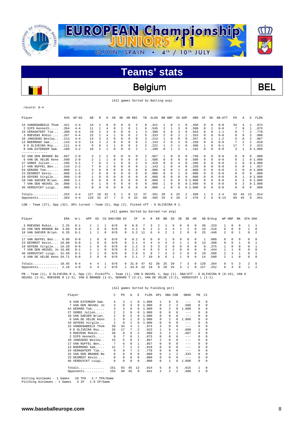

### Belgium BEL

(All games Sorted by Batting avg)

record: 0-4

| Player                  | AVG   | $GP - GS$ | AB             | R              | Η              | 2B       | 3B | HR       | RBI                     | TB       | SLG <sup>§</sup> | BB HBP |              | SO GDP                   |   | OB%                    | SF         | SH       | SB-ATT   | PO. | Α        | E              | FLD%   |
|-------------------------|-------|-----------|----------------|----------------|----------------|----------|----|----------|-------------------------|----------|------------------|--------|--------------|--------------------------|---|------------------------|------------|----------|----------|-----|----------|----------------|--------|
| 15 VANDENABEELE Thom    | .421  | $4 - 4$   | 19             | 2              | 8              | $\Omega$ | 0  | 0        | 2                       | 8        | 421              |        | $\Omega$     |                          | 0 | .450                   | $\Omega$   | $\Omega$ | $0 - 0$  | 34  | 4        |                | .974   |
| 2 SIPS Kenneth          | .364  | $4 - 4$   | 11             |                | 4              | $\Omega$ |    | 0        |                         | 6        | .545             | 2      |              | 3                        |   | .500                   | $\Omega$   |          | $0 - 0$  |     | 0        |                | .875   |
| 24 VERAGHTERT Tim       | .300  | $4 - 4$   | 10             | $\mathfrak{D}$ | 3              |          | 0  | $\Omega$ |                         | 3        | .300             | 6      | $\Omega$     | 3                        |   | .563                   | $\Omega$   | $\Omega$ | $1 - 1$  | 0   |          | $\mathfrak{D}$ | .778   |
| 3 ROEVENS Robin         | .267  | $4 - 4$   | 15             | 2              | 4              |          | 0  | 0        | 2                       | 5        | .333             | 2      | $\Omega$     | 2                        |   | .353                   | $\Omega$   | $\Omega$ | $0 - 0$  | 9   | 9        | $\mathfrak{D}$ | .900   |
| 10 JANSSENS Wesley      | .214  | $4 - 4$   | 14             | 3              | 3              | $\Omega$ | 0  | $\Omega$ | 0                       | 3        | .214             |        | $\Omega$     | 0                        |   | .267                   | $\Omega$   |          | $1 - 2$  | 5   | 8        | $\mathfrak{D}$ | .867   |
| 13 BOERMANS Sam         | .143  | $4 - 3$   | 14             | 2              | 2              | $\Omega$ | U  | 0        | 0                       | 2        | .143             | 2      | O            | 3                        |   | .250                   | $^{\circ}$ | $\Omega$ | $0 - 0$  | 7   | 2        | 2              | .818   |
| 9 D OLIVEIRA Roy        | .111  | $4 - 4$   | 9              | $\Omega$       |                |          | 0  | 0        | 2                       | 2        | 222              |        | 2            |                          |   | .308                   |            | $\Omega$ | $0 - 1$  | 17  |          | 2              | .923   |
| 8 VAN EXTERGEM Sam.     | .100  | $3 - 2$   | 10             | 2              |                | $\Omega$ | U  | O        | $\overline{\mathbf{c}}$ |          | .100             | 0      |              | $\overline{\phantom{a}}$ |   | .182                   | $\Omega$   | $\Omega$ | $0 - 0$  | 3   |          |                | 01.000 |
|                         |       |           |                |                |                |          |    |          |                         |          |                  |        |              |                          |   |                        |            |          |          |     |          |                |        |
| DEN BRANDE Be<br>32 VAN | . 667 | $2 - 0$   | 3              | 2              | 2              | $\Omega$ | 0  | $\Omega$ | 0                       | 2        | . 667            |        | $\Omega$     | 0                        | 0 | .750                   | $^{\circ}$ | $\Omega$ | $0 - 0$  | 0   | $\Omega$ | 0              | .000   |
| 6 VAN DE VELDE Kenn     | .500  | $2 - 0$   | $\mathfrak{D}$ |                |                | $\Omega$ | 0  | $\Omega$ | 0                       |          | .500             | 0      | $\Omega$     | 0                        |   | .500                   | $\Omega$   | $\Omega$ | $0 - 0$  | 0   |          |                | 01.000 |
| 27 SOREE Julien         | .286  | $3 - 1$   | 7              | $\Omega$       | $\mathfrak{D}$ |          | 0  | 0        | 2                       | 3        | .429             | 0      | 0            | 4                        |   | 286                    | $\Omega$   | $\Omega$ | $0 - 0$  | 2   | 0        |                | 01.000 |
| 17 VAN NUFFEL Ben       | .143  | $2 - 2$   | 7              | $\Omega$       |                | $\Omega$ | 0  | $\Omega$ | 0                       |          | .143             |        | <sup>n</sup> | 4                        |   | .250                   | $^{\circ}$ | $\Omega$ | $0 - 0$  | 6   | $\Omega$ |                | .857   |
| 54 GERARD Tom           | .000  | $1 - 1$   | 3              | $\Omega$       | 0              | $\Omega$ | 0  | $\Omega$ | 0                       | 0        | .000             | 0      | O            |                          |   | .000                   | 0          | $\Omega$ | $0 - 0$  | 3   | $\Omega$ |                | 01.000 |
| 23 DESMEDT Kevin        | .000  | $1 - 0$   | 2              | $\Omega$       | O              |          | 0  | 0        | 0                       | 0        | . 000            | 0      | O            |                          |   | .000                   | $\Omega$   | $\Omega$ | $0 - 0$  | 0   | 0        | 0              | .000   |
| 19 GOYENS Virgile       | .000  | $1 - 0$   |                | $\Omega$       | 0              | 0        | 0  | 0        | 0                       | 0        | . 000            | 0      | O            | 0                        |   | . 000                  | 0          | $\Omega$ | $0 - 0$  | 0   |          |                | 01.000 |
| 18 VAN GAEVER Brian     | .000  | $1 - 1$   | 0              | $\Omega$       | 0              | $\Omega$ | 0  | 0        | 0                       | $\Omega$ | .000             |        | 0            | 0                        |   | .000<br>0 <sub>1</sub> | $\Omega$   | $\Omega$ | $0 - 0$  | 0   |          |                | 01.000 |
| 7 VAN DEN HEUVEL JO     | .000  | $1 - 1$   | 0              |                | 0              | $\Omega$ | 0  | $\Omega$ | 0                       | $\Omega$ | .000             |        | $\Omega$     | $\Omega$                 |   | 01.000                 | $\Omega$   | $\Omega$ | $0 - 0$  | 0   | 3        |                | 01.000 |
| 46 VERDUYCKT Luigi.     | .000  | $3 - 1$   | 0              | C              | 0              |          | U  | O        | 0                       | 0        | .000             |        | O            | 0                        |   | 01.000                 | 0          | $\Omega$ | $0 - 0$  | 0   |          | 0              | .000   |
|                         |       |           |                |                |                |          |    |          |                         |          |                  |        |              |                          |   |                        |            |          |          |     |          |                |        |
| Totals                  | .252  | $4 - 4$   | 127            | 18             | 32             | 3        |    | 0        | 12                      | 37       | .291             | 20     | 4            | 25                       | 2 | .368                   |            | 2        | $2 - 4$  | 93  | 45       | 13             | .914   |
| Opponents               | .364  | $4 - 4$   | 129            | 42             | 47             |          | ς  | 0        | 34                      | 60       | .465             | 25     | 5            | 20                       |   | .478                   | 2          | 6        | $8 - 13$ | 99  | 45       | 9              | .941   |
|                         |       |           |                |                |                |          |    |          |                         |          |                  |        |              |                          |   |                        |            |          |          |     |          |                |        |

LOB - Team (37), Opp (32). DPs turned - Team (5), Opp (2). Picked off - D OLIVEIRA R 1.

|                           | (All games Sorted by Earned run avg) |          |             |          |              |               |          |      |    |               |               |               |     |          |               |              |     |          |              |          |              |          |               |
|---------------------------|--------------------------------------|----------|-------------|----------|--------------|---------------|----------|------|----|---------------|---------------|---------------|-----|----------|---------------|--------------|-----|----------|--------------|----------|--------------|----------|---------------|
| Player                    | ERA                                  | $W-L$    | APP         | GS       |              | CG SHO/CBO SV |          | ΙP   | Н  | R             | ER.           | BB            | SO. | 2B       | 3B            | HR           |     | AB B/Avq | WP HBP       |          | BK           | SFA SHA  |               |
| 3 ROEVENS Robin           | 2.25                                 | $0 - 1$  |             |          |              | 0/0           | 0        | 8.0  |    |               |               |               |     | $\Omega$ | 0             | 0            | 30  | .233     |              |          |              |          |               |
| 32 VAN DEN BRANDE Be      | 3.86                                 | $0 - 0$  |             | $\Omega$ | 0            | 0/0           | $\Omega$ | 4.2  | 6  | $\mathcal{L}$ | $\mathcal{L}$ | $\mathcal{L}$ |     |          | $\mathcal{L}$ | $\Omega$     | 19  | .316     | $\Omega$     | $\Omega$ | $\Omega$     |          | $\Omega$      |
| 18 VAN GAEVER Brian.      | 6.35                                 | $0 - 1$  |             |          | 0            | 0/0           | $\Omega$ | 5.2  | 11 | б.            | 4             |               |     | 2        | $\Omega$      | $\Omega$     | 25  | .440     | 2.           | $\Omega$ |              | $\Omega$ | -2            |
| ------------              |                                      |          |             |          |              |               |          |      |    |               |               |               |     |          |               |              |     |          |              |          |              |          |               |
| 17 VAN NUFFEL Ben         | 0.00                                 | $0 - 0$  |             | $\Omega$ | $\Omega$     | 0/0           | $\cap$   | 0.2  |    |               | <sup>0</sup>  |               |     | $\Omega$ | $\Omega$      | $\Omega$     |     | . 000    | $\Omega$     | $\Omega$ | $\Omega$     | $\Omega$ | $\Omega$      |
| 23 DESMEDT Kevin 10.80    |                                      | $0 - 0$  |             | 0        | $\Omega$     | 0/0           | $\cap$   | 3.1  | 4  | 4             | 4             | 4             |     |          |               | <sup>n</sup> | 13  | .308     | 0            | $\Omega$ |              | $\Omega$ |               |
| 19 GOYENS Virgile 16.20   |                                      | $0 - 0$  |             | $\Omega$ | <sup>n</sup> | 0/0           | ∩.       | 1.2. |    |               | ર             |               |     | $\Omega$ | <sup>n</sup>  | $\Omega$     | R   | .375     |              | $\Omega$ | $\cap$       | $\Omega$ |               |
| 7 VAN DEN HEUVEL Jo 16.88 |                                      | $0 - 1$  |             |          |              | 0/0           | $\cap$   | 2.2  |    |               |               |               |     | 0        | <sup>n</sup>  | $\Omega$     | 9   | .444     |              |          | <sup>n</sup> | $\Omega$ | $\Omega$      |
| 46 VERDUYCKT Luigi 31.50  |                                      | $0 - 1$  |             |          | 0            | 0/0           | $\cap$   | 2.0  |    |               |               |               |     | 2        | <sup>n</sup>  | $\Omega$     | 10  | .500     | 2.           | ર        |              | $\Omega$ |               |
| 6 VAN DE VELDE Kenn 34.71 |                                      | $0 - 0$  | $2^{\circ}$ | $\Omega$ | 0            | 0/0           | $\cap$   | 2.1  |    | 10            | 9             | 6             |     |          | $\cap$        | $\Omega$     | 14  | .500     | $\mathbf{2}$ |          | $\Omega$     | $\Omega$ | $\Omega$      |
| Totals 10.45              |                                      | $() - 4$ | 4           | 4        |              | 0/0           |          | 31.0 | 47 | 42            | 36            | 25            | 20  |          | 3             | 0            | 129 | .364     | 9            | 5.       | 3            | 2        | - 6           |
| Opponents $2.18$          |                                      | $4 - 0$  |             | 4        |              | 0/0           |          | 33.0 | 32 | 18            | 8             | 2.0           | 25  | ર        |               |              | 127 | .252     | 6.           | 4        | <sup>n</sup> |          | $\mathcal{D}$ |

PB - Team (1), D OLIVEIRA R 1, Opp (2). Pickoffs - Team (1), VAN D HEUVEL 1, Opp (1). SBA/ATT - D OLIVEIRA R (6-10), VAN D<br>HEUVEL (2-4), ROEVENS R (2-3), VAN D BRANDE (1-3), GERARD T (2-2), VAN DE VELDE (2-2), VERDUYCKT L

|                        | (All games Sorted by Fielding pct)<br>FLD <sup>§</sup><br>SBA CSB<br>SBA <sup>*</sup><br>C<br>A<br>E. |                |                |                |       |                         |                |                |         |          |          |  |  |  |
|------------------------|-------------------------------------------------------------------------------------------------------|----------------|----------------|----------------|-------|-------------------------|----------------|----------------|---------|----------|----------|--|--|--|
| Player                 |                                                                                                       | PO             |                |                |       | DPs                     |                |                |         | PB       | CI       |  |  |  |
| VAN EXTERGEM Sam.<br>8 | 4                                                                                                     | 3              | 1              | $\Omega$       | 1,000 | 1                       | 0              | 0              | $- - -$ | $\Omega$ | $\Omega$ |  |  |  |
| VAN DEN HEUVEL JO<br>7 | 3                                                                                                     | 0              | 3              | 0              | 1,000 | $\Omega$                | 2              | $\mathfrak{D}$ | .500    | 0        | $\Omega$ |  |  |  |
| 54 GERARD Tom          | 3                                                                                                     | 3              | 0              | 0              | 1,000 | $\Omega$                | $\mathcal{L}$  | $\Omega$       | 1,000   | 0        | 0        |  |  |  |
| SOREE Julien<br>27     | 2                                                                                                     | $\mathfrak{D}$ | 0              | $\Omega$       | 1.000 | <sup>n</sup>            | 0              | 0              | $- - -$ | $\Omega$ | $\Omega$ |  |  |  |
| 18 VAN GAEVER Brian.   | $\mathfrak{D}$                                                                                        | $\Omega$       | $\mathfrak{D}$ | $\Omega$       | 1,000 | <sup>n</sup>            | 0              | 0              | $- - -$ | $\Omega$ | $\Omega$ |  |  |  |
| VAN DE VELDE Kenn<br>6 | 1                                                                                                     | 0              | 1              | $\Omega$       | 1,000 | 0                       | $\mathfrak{D}$ | 0              | 1.000   | 0        | $\Omega$ |  |  |  |
| 19 GOYENS Virgile      | $\mathbf{1}$                                                                                          | 0              | 1              | 0              | 1,000 | <sup>n</sup>            | <sup>n</sup>   | 0              | $-- -$  | $\Omega$ | $\Omega$ |  |  |  |
| 15 VANDENABEELE Thom   | 39                                                                                                    | 34             | 4              | 1              | .974  | 3                       | 0              | 0              | $- - -$ | $\Omega$ | $\Omega$ |  |  |  |
| 9 D OLIVEIRA Roy       | 26                                                                                                    | 17             | 7              | $\mathfrak{D}$ | .923  | $\mathbf{1}$            | 6              | 4              | .600    | 1        | $\Omega$ |  |  |  |
| 3 ROEVENS Robin        | 20                                                                                                    | 9              | 9              | $\mathfrak{D}$ | .900  | 3                       | $\mathfrak{D}$ | 1              | .667    | 0        | 0        |  |  |  |
| 2 SIPS Kenneth         | 8                                                                                                     | 7              | $\Omega$       | $\mathbf{1}$   | .875  | 0                       | $\Omega$       | 0              | $---$   | $\Omega$ | $\Omega$ |  |  |  |
| 10 JANSSENS Wesley     | 15                                                                                                    | 5              | 8              | 2              | .867  | 2                       | 0              | 0              | $- - -$ | $\Omega$ | $\Omega$ |  |  |  |
| VAN NUFFEL Ben<br>17   | 7                                                                                                     | 6              | $\Omega$       | $\mathbf{1}$   | .857  | 0                       | $\Omega$       | 0              | $- - -$ | $\Omega$ | $\Omega$ |  |  |  |
| BOERMANS Sam<br>13     | 11                                                                                                    | 7              | $\mathfrak{D}$ | 2              | .818  | 0                       | 0              | 0              | $- - -$ | $\Omega$ | $\Omega$ |  |  |  |
| 24 VERAGHTERT Tim      | 9                                                                                                     | $\Omega$       | 7              | 2              | .778  | <sup>n</sup>            | 0              | 0              | $- - -$ | $\Omega$ | $\Omega$ |  |  |  |
| 32 VAN DEN BRANDE Be   | 0                                                                                                     | 0              | 0              | $\Omega$       | .000  | 0                       | 1              | 2              | .333    | $\Omega$ | $\Omega$ |  |  |  |
| 23 DESMEDT Kevin       | 0                                                                                                     | 0              | 0              | $\Omega$       | .000  | 0                       | $\Omega$       | 0              | $---$   | $\Omega$ | $\Omega$ |  |  |  |
| 46 VERDUYCKT Luigi     | 0                                                                                                     | 0              | $\Omega$       | $\Omega$       | .000  | 0                       | 1              | 0              | 1,000   | $\Omega$ | $\Omega$ |  |  |  |
| Totals                 | 151                                                                                                   | 93             | 45             | 13             | .914  | 5                       | 8              | 5              | .615    | 1        | $\Omega$ |  |  |  |
| Opponents              | 153                                                                                                   | 99             | 45             | 9              | .941  | $\overline{\mathbf{c}}$ | $\mathfrak{D}$ | $\mathfrak{D}$ | .500    | 2        | $\Omega$ |  |  |  |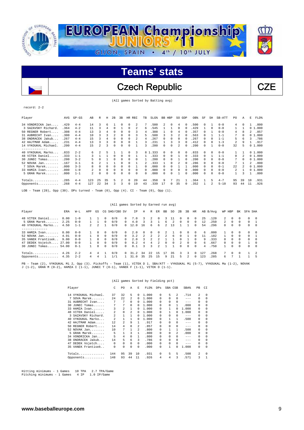

Czech Republic  $\qquad \qquad$  CZE

(All games Sorted by Batting avg)

record: 2-2

| Player                                                                                                  | AVG  | $GP - GS$ | AB             | R                        | Н        | 2B             | 3B |             | HR RBI   | <b>TB</b> | SLG <sup>§</sup> | <b>BB</b>     | HBP         | SO.      | GDP      | OB%  | SF           | SH                      | SB-ATT   | PO.            | Α        | Е            | FLD%   |
|---------------------------------------------------------------------------------------------------------|------|-----------|----------------|--------------------------|----------|----------------|----|-------------|----------|-----------|------------------|---------------|-------------|----------|----------|------|--------------|-------------------------|----------|----------------|----------|--------------|--------|
| 34 VONDRICKA Jan                                                                                        | .429 | $4 - 4$   | 14             | 3                        | 6        |                | 0  | $\Omega$    | 2        |           | .500             | $\mathcal{L}$ | $\Omega$    | 4        | $\Omega$ | .500 | $\Omega$     |                         | $0 - 0$  | 4              | $\Omega$ |              | .800   |
| 3 SAZAVSKY Richard.                                                                                     | .364 | $4 - 2$   | 11             | 3                        | 4        | $\Omega$       |    | $\Omega$    | 2        | 6         | .545             |               |             | $\Omega$ | $\Omega$ | .429 |              | n                       | $0 - 0$  |                |          |              | 01.000 |
| 50 REGNER Robert                                                                                        | .308 | $4 - 4$   | 13             | 3                        | 4        | $\Omega$       |    | $\Omega$    | 3        | 4         | .308             |               | $\Omega$    | 4        |          | .357 | <sup>0</sup> |                         | $0 - 0$  | 4              | 8        | $\mathbf{2}$ | .857   |
| 31 AUBRECHT Ivan                                                                                        | .300 | $4 - 4$   | 10             | 3                        |          | $\overline{2}$ | 0  | $\Omega$    | 3        | 5         | .500             | 3             | 3           | 2        |          | .563 | $\Omega$     |                         | $1 - 1$  | 7              | $\Omega$ |              | 01.000 |
| 38 ONDRACEK Jakub                                                                                       | .267 | $4 - 4$   | 15             | 3                        | 4        | 0              | 0  | $\Omega$    | 2        | 4         | .267             | 0             | $^{\circ}$  | $\Omega$ | $\Omega$ | .267 | $\Omega$     | $\Omega$                | $1 - 1$  | 5              | 6        | 3            | .786   |
| 42 HAJTMAR Adam                                                                                         | .231 | $4 - 4$   | 13             | 3                        | 3        | $\Omega$       | 0  | $\Omega$    |          |           | .231             |               | 3           | 3        | $\Omega$ | .412 | 0            | n                       | $1 - 3$  | 2              | 9        |              | .917   |
| 14 VYKOUKAL Michael.                                                                                    | .200 | $4 - 4$   | 15             | $\overline{\mathcal{L}}$ |          | $\Omega$       |    | $\Omega$    |          |           | .200             | 0             | $\Omega$    |          | n        | .200 | $\Omega$     |                         | $0 - 0$  | 32             | 5        |              | 01.000 |
| -------------                                                                                           |      |           |                |                          |          |                |    |             |          |           |                  |               |             |          |          |      |              |                         |          |                |          |              |        |
| 40 VYKOUKAL Marko                                                                                       | .833 | $2 - 2$   | 6.             | 2                        | 5        |                |    | $\Omega$    | 3        |           | 8 1.333          | 0             | $\Omega$    | $\Omega$ | $\Omega$ | .833 | 0            | $\Omega$                | $0 - 0$  |                |          |              | 01.000 |
| 48 VITEK Daniel                                                                                         | .333 | $1 - 1$   | 3              |                          |          | $\Omega$       | 0  | $\Omega$    |          |           | .333             | 0             | $\Omega$    |          | $\Omega$ | .333 | 0            |                         | $1 - 1$  | 0              |          |              | 01.000 |
| $30$ JUNEC Tomas                                                                                        | .200 | $3 - 2$   |                | $\Omega$                 |          | $\Omega$       | 0  | $\Omega$    | 0        |           | .200             | 0             | $\Omega$    |          | $\Omega$ | .200 | 0            | 0                       | $0 - 0$  |                | $\Omega$ |              | 01.000 |
| $52$ NOVAK Jan                                                                                          | .167 | $3 - 1$   | 6.             | 2                        |          |                |    | $\Omega$    |          | 2         | .333             |               | $\Omega$    |          |          | 286  | 0            | $\Omega$                | $0 - 0$  | 7              |          |              | 2.800  |
| 7 SOVA Marek                                                                                            | .000 | $3 - 3$   | 8              | $\Omega$                 | 0        | $\Omega$       | 0  | $\Omega$    |          | 0         | .000             | 0             | $\Omega$    |          |          | .000 | $\Omega$     | $\Omega$                | $0 - 1$  | 22             |          |              | 01.000 |
| 33 HAMZA Ivan                                                                                           | .000 | $1 - 0$   | $\mathfrak{D}$ | 0                        | 0        | 0              | 0  | $\mathbf 0$ | 0        | $\Omega$  | .000             | $\Omega$      | $^{\circ}$  | 0        | $\Omega$ | .000 | 0            | $\Omega$                | $0 - 0$  | $\mathfrak{D}$ |          |              | 01.000 |
| 5 GRAN Marek                                                                                            | .000 | $1 - 1$   | 2              | $\Omega$                 | $\Omega$ | $\Omega$       | U  | $\Omega$    | $\Omega$ | 0         | .000             | 0             | $\Omega$    |          | $\Omega$ | .000 | $\Omega$     | n                       | $0 - 0$  | $\mathbf{1}$   | 3        |              | .800   |
| $Totals$                                                                                                | .285 | $4 - 4$   | 123            | 25                       | 35       | 5              | 2  | $\Omega$    | 20       | 44        | .358             | 9             |             | 21       |          | .364 |              | 5                       | $4 - 7$  | 95             | 39       | 10           | .931   |
| Opponents                                                                                               | .268 | $4 - 4$   | 127            | 22                       | 34       | 3              | 3  | $\mathbf 0$ | 19       | 43        | .339             | 17            | $\mathbf 0$ | 35       | $\Omega$ | .352 |              | $\overline{\mathbf{c}}$ | $5 - 10$ | 93             | 44       | 11           | .926   |
| Team $(28)$ , Opp $(30)$ . DPs turned - Team $(0)$ , Opp $(4)$ . CI - Team $(0)$ , Opp $(1)$ .<br>LOB - |      |           |                |                          |          |                |    |             |          |           |                  |               |             |          |          |      |              |                         |          |                |          |              |        |

|                                                                                                                              |      |         |                |               |          |               |              | (All games Sorted by Earned run avg) |               |               |               |        |              |              |              |                      |     |          |                     |                      |               |               |          |
|------------------------------------------------------------------------------------------------------------------------------|------|---------|----------------|---------------|----------|---------------|--------------|--------------------------------------|---------------|---------------|---------------|--------|--------------|--------------|--------------|----------------------|-----|----------|---------------------|----------------------|---------------|---------------|----------|
| Player                                                                                                                       | ERA  | $W-L$   | APP            | GS            |          | CG SHO/CBO SV |              | IP.                                  | Н             | R             | ER            | BB     | SO.          | 2B           | 3B           | HR                   |     | AB B/Avq | WP HBP              |                      | BK            | SFA SHA       |          |
| 48 VITEK Daniel                                                                                                              | 0.00 | $1 - 0$ |                |               | $\cap$   | 0/0           | $\Omega$     | 7.0                                  | Κ             | $\mathcal{L}$ | $^{\circ}$    | 3      |              | 0            | $\Omega$     | $\Omega$             | 25  | .120     | 2                   | $\Omega$             | 0             | $\Omega$      | - 0      |
| $5$ GRAN Marek                                                                                                               | 2.25 | $0 - 0$ | 2              | $\mathcal{L}$ | $\Omega$ | 0/0           | $\Omega$     | 4.0<br>12.0                          | Κ<br>16       | 3             | 6             | 6<br>2 | 13           | $\Omega$     | $\Omega$     | $\Omega$<br>$\Omega$ | 12. | .250     | $\overline{2}$<br>0 | $\Omega$<br>$\Omega$ | $\Omega$<br>0 | $\Omega$<br>0 |          |
| 40 VYKOUKAL Marko                                                                                                            | 4.50 | $1 - 1$ |                |               |          | 0/0           | 0            |                                      |               | 6.            |               |        |              |              |              |                      | 54  | .296     |                     |                      |               |               | $\Omega$ |
| 33 HAMZA Ivan                                                                                                                | 0.00 | $0 - 0$ |                | $\Omega$      | $\Omega$ | 0/0           | $\Omega$     | 2.0                                  | $\Omega$      | $^{\circ}$    | 0             |        |              | $\Omega$     | $\Omega$     | $\Omega$             | 6   | .000     | $\mathbf{1}$        | $\Omega$             | $\Omega$      | $\Omega$      | - 0      |
| $52$ NOVAK Jan                                                                                                               | 4.91 | $0 - 0$ |                | $\Omega$      | $\cap$   | 0/0           | $\Omega$     | 3.2                                  | $\mathcal{D}$ | $^{2}$        | $\mathcal{L}$ |        | 6            | $\cap$       |              | $\Omega$             | 11  | .182     | $\mathbf{1}$        | $\Omega$             | $\Omega$      | $\Omega$      |          |
| 35 VANEK Frantisek                                                                                                           | 9.00 | $0 - 0$ |                | $\Omega$      | $\Omega$ | 0/0           | <sup>n</sup> | 2.0                                  |               |               |               |        |              | <sup>n</sup> |              | $\Omega$             | 9   | .333     | 0                   | $\Omega$             | 0             | 0             |          |
| 47 DEDEK Vojetch 27.00                                                                                                       |      | $0 - 0$ |                | $\Omega$      | $\Omega$ | 0/0           | $\Omega$     | 0.2                                  | 4             |               |               | $\cap$ | $\mathbf{0}$ | 2            | $\Omega$     | $^{\circ}$           | 6   | .667     | $\Omega$            | $\Omega$             | 0             |               | $\Omega$ |
| 30 JUNEC Tomas 54.00                                                                                                         |      | $0 - 1$ |                | $\Omega$      | $\cap$   | 0/0           | $\cap$       | 0.1                                  | Κ             | 3             |               |        |              | $\cap$       | $\cap$       | $\Omega$             | 4   | .750     |                     | $\Omega$             | $\Omega$      | $\Omega$      | $\Omega$ |
| Totals $4.26$                                                                                                                |      | $2 - 2$ | $\overline{4}$ | 4             |          | 0/0           | 0            | 31.2                                 | 34            | 2.2.          | -15           | -17    | 35           | 3.           | 3            | $^{\circ}$           | 127 | .268     |                     | $\Omega$             | 0             |               |          |
| Opponents 4.35                                                                                                               |      | $2 - 2$ | $\overline{4}$ | 4             |          | 1/1           |              | 31.0                                 | 35            | 25            | -15           | q      | 2.1          | 5.           | $\mathbf{2}$ | $\Omega$             | 123 | .285     | б.                  |                      |               |               |          |
| PB - Team (2), VYKOUKAL Mi 2, Opp (3). Pickoffs - Team (1), VITEK D 1. SBA/ATT - VYKOUKAL Mi (5-7), VYKOUKAL Ma (1-2), NOVAK |      |         |                |               |          |               |              |                                      |               |               |               |        |              |              |              |                      |     |          |                     |                      |               |               |          |

PB - Team (2), VYKOUKAL Mi 2, Opp (3). Pickoffs - Team (1), VITEK D 1. SBA/ATT - VYKOUKAL Mi (5-7), VYKOUKAL Ma (1-2), NOVAK<br>J (1-2), GRAN M (0-2), HAMZA I (1-1), JUNEC T (0-1), VANEK F (1-1), VITEK D (1-1).

#### (All games Sorted by Fielding pct)

|     | Player               | C              | PO             | A        | Е        | FLD%  | <b>DPs</b> | SBA CSB      |              | SBA%    | PB       | CI       |
|-----|----------------------|----------------|----------------|----------|----------|-------|------------|--------------|--------------|---------|----------|----------|
|     | 14 VYKOUKAL Michael. | 37             | 32             | 5        | 0        | 1,000 | 0          | 5            | 2.           | .714    | 2        | 0        |
| 7   | SOVA Marek           | 2.4            | 2.2.           | 2        | $\Omega$ | 1,000 | 0          | 0            | 0            | $- - -$ | $\Omega$ | $\Omega$ |
|     | 31 AUBRECHT Ivan     |                | 7              | $\Omega$ | 0        | 1,000 | 0          | <sup>n</sup> | $\Omega$     | $- - -$ | $\Omega$ | $\Omega$ |
|     | $30$ JUNEC Tomas     | 7              | 7              | $\Omega$ | 0        | 1,000 | 0          | 0            |              | .000    | $\Omega$ | $\Omega$ |
| 33  | HAMZA Ivan           | 3              | $\mathfrak{D}$ | 1        | 0        | 1,000 | 0          |              | 0            | 1,000   | $\Omega$ | 0        |
|     | 48 VITEK Daniel      | 2              | 0              | 2        | $\Omega$ | 1,000 | 0          |              |              | 1,000   | 0        | 0        |
| 3   | SAZAVSKY Richard.    | $\mathfrak{D}$ | 1              | 1        | 0        | 1,000 | 0          | 0            | 0            | $--$    | $\Omega$ | $\Omega$ |
| 40  | VYKOUKAL Marko       | $\mathfrak{D}$ | 1              | 1        | $\Omega$ | 1,000 | $\Omega$   |              | 1.           | .500    | 0        | $\Omega$ |
|     | 42 HAJTMAR Adam      | 12             | $\mathfrak{D}$ | 9        | 1        | .917  | 0          | 0            | 0            | $- - -$ | $\Omega$ | 0        |
| 50  | REGNER Robert        | 14             | 4              | 8        | 2        | .857  | 0          | 0            | 0            | $- - -$ | $\Omega$ | 0        |
|     | 52 NOVAK Jan         | 10             | 7              | 1        | 2        | .800  | 0          |              |              | .500    | $\Omega$ | $\Omega$ |
|     | 5 GRAN Marek         | 5              |                | 3        | 1        | .800  | 0          | 0            | 2.           | .000    | 0        | $\Omega$ |
| 34. | VONDRICKA Jan        | 5              | 4              | $\Omega$ | 1        | .800  | 0          | 0            | 0            | $- - -$ | $\Omega$ | 0        |
|     | 38 ONDRACEK Jakub    | 14             | 5              | 6        | 3        | .786  | $\Omega$   | 0            | $\Omega$     | $- - -$ | 0        | 0        |
| 47  | DEDEK Vojetch        | 0              | 0              | $\Omega$ | $\Omega$ | .000  | 0          | 0            | 0            | $- - -$ | $\Omega$ | $\Omega$ |
|     | 35 VANEK Frantisek   | 0              | 0              | $\Omega$ | $\Omega$ | .000  | 0          |              | <sup>0</sup> | 1.000   | $\Omega$ | 0        |
|     | Totals               | 144            | 95             | 39       | 10       | .931  | 0          | 5            | 5            | .500    | 2        | $\Omega$ |
|     | Opponents            | 148            | 93             | 44       | 11       | .926  | 4          | 4            | 3            | .571    | 3        |          |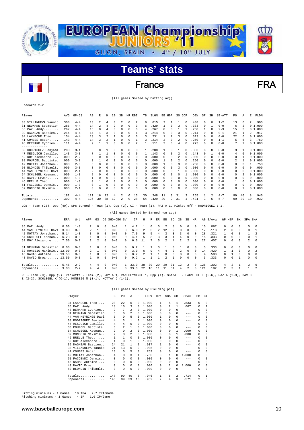

### France FRA

(All games Sorted by Batting avg)

### record: 2-2

| Player                                                                                                         | AVG  | $GP - GS$ | AB             | R        | Н              | 2B       | 3B       | HR.      | RBI      | TB | $SLG$ $%$ | BB | HBP      | SO GDP |                | OB <sup>8</sup> | SF         | SH             | SB-ATT  | PO.          | Α            | E        | FLD%   |
|----------------------------------------------------------------------------------------------------------------|------|-----------|----------------|----------|----------------|----------|----------|----------|----------|----|-----------|----|----------|--------|----------------|-----------------|------------|----------------|---------|--------------|--------------|----------|--------|
| 33 VILLANUEVA Yannic                                                                                           | .308 | $4 - 4$   | 13             | 2        | 4              | $\Omega$ | 2        | $\Omega$ | 2        | 8  | .615      | 2  |          |        | 0              | .438            | 0          | $\Omega$       | $1 - 2$ | 13           | 6            | 2        | .905   |
| 31 NEUMANN Sebastien                                                                                           | .286 | $4 - 4$   | 14             | 2        | 4              | 2        | 0        | $\Omega$ | 3        | 6  | .429      |    | $\Omega$ | 3      | $\Omega$       | .333            | 0          | $\mathbf{1}$   | $0 - 0$ | 6            | 2            |          | 01.000 |
| Andy<br>35 PAZ                                                                                                 | .267 | $4 - 4$   | 15             | $\Omega$ | 4              | $\Omega$ | $\Omega$ | 0        | 6        | 4  | .267      | 0  | $\Omega$ |        |                | .250            |            | $\Omega$       | $2 - 3$ | 15           |              |          | 01.000 |
| 39 DAGNEAU Bastien.                                                                                            | .214 | $4 - 4$   | 14             |          | 3              | $\Omega$ | 0        | 0        |          | 3  | .214      | 0  | 0        | 3      |                | .214            | 0          | $\Omega$       | $0 - 1$ | 21           |              | 2        | .917   |
| 34 LAKMECHE Theo                                                                                               | .154 | $4 - 4$   | 13             | 3        | $\overline{2}$ |          | 0        | $\Omega$ | 0        | ٦  | .231      |    | 2        | 3      |                | . 313           | $\Omega$   | $\Omega$       | $0 - 0$ | 22           | 6            |          | 01.000 |
| 41 COMBES Oscar                                                                                                | .143 | $4 - 4$   | 14             | 3        | 2              |          | 0        | 0        |          | 3  | .214      | 2  | 0        | 2      | $\Omega$       | .250            | $\Omega$   | $\Omega$       | $1 - 1$ | 5            | 5            | 3        | .769   |
| 48 BERNARD Cyprien                                                                                             | .111 | $4 - 4$   | 9              |          |                | $\Omega$ | U        | $\Omega$ | 2        | 1  | .111      | 2  | $\Omega$ | 4      | O              | .273            | 0          | $\Omega$       | $0 - 0$ | 7            | 2            |          | 01.000 |
| ---------                                                                                                      |      |           |                |          |                |          |          |          |          |    |           |    |          |        |                |                 |            |                |         |              |              |          |        |
| 30 RODRIGUEZ Benjami                                                                                           | .200 | $3 - 1$   | 5              | 0        |                | $\Omega$ | 0        | 0        | 0        | 1  | 200       |    | $\Omega$ |        | 0              | .333            | $^{\circ}$ | $\Omega$       | $0 - 0$ | 3            |              |          | 01.000 |
| 47 MESGUICH Camille.                                                                                           | .143 | $3 - 3$   |                |          |                | $\Omega$ | 0        | $\Omega$ | 0        |    | .143      | 0  | $\Omega$ | 2      | $\Omega$       | .143            | $\Omega$   | $\mathbf{1}$   | $0 - 0$ | 4            | 0            |          | 01.000 |
| 52 ROY Alexandre                                                                                               | .000 | $2 - 2$   |                | $\Omega$ | $\Omega$       | $\Omega$ | 0        | $\Omega$ | 0        | 0  | .000      | 0  | $\Omega$ | 2      |                | .000            | 0          | $\Omega$       | $0 - 0$ | 0            | 1            |          | 01.000 |
| 38 POURCEL Baptiste.                                                                                           | .000 | $3 - 0$   | ς              |          | $\Omega$       | 0        | 0        | $\Omega$ | 0        | 0  | .000      |    | $\Omega$ | 2      | $\Omega$       | .250            | 0          | $\Omega$       | $0 - 0$ | 2            | $\mathbf{1}$ |          | 01.000 |
| 42 MOTTAY Jonathan.                                                                                            | .000 | $2 - 0$   |                | $\Omega$ | $\Omega$       | $\Omega$ | U        | 0        | 0        | 0  | .000      |    | $\Omega$ | 3      |                | 250             | 0          | $\Omega$       | $0 - 0$ | 0            | ٦            |          | .750   |
| 50 BLONDIN Thibault                                                                                            | .000 | $3 - 0$   | 3              | $\Omega$ | 0              | 0        | 0        | $\Omega$ | 0        | 0  | .000      | 0  | 0        | 3      |                | . 000           | 0          | $\Omega$       | $0 - 0$ | 0            | 0            | $\Omega$ | .000   |
| 44 VAN HEYNINGE Davi                                                                                           | .000 | $2 - 1$   | $\mathfrak{D}$ | $\Omega$ | $\Omega$       | $\Omega$ | 0        | $\Omega$ | $\Omega$ | 0  | . 000     | 0  | $\Omega$ |        | $\Omega$       | . 000           | 0          | $\Omega$       | $0 - 0$ | 0            | 5            |          | 01.000 |
| 54 SCHLEGEL Keenan.                                                                                            | .000 | $1 - 0$   | $\mathfrak{D}$ | 0        | $\Omega$       | $\Omega$ | U        | 0        | 0        | 0  | .000      | U  | $\Omega$ | 0      |                | .000            | 0          | $\Omega$       | $0 - 0$ | 0            | 2            |          | 01.000 |
| 43 DAVID Erwan                                                                                                 | .000 | $1 - 0$   |                | n        | $\Omega$       | $\Omega$ | 0        | $\Omega$ | 0        | 0  | .000      | 0  | $\cap$   | 0      |                | .000            | 0          | $\Omega$       | $0 - 0$ | 0            | $\Omega$     | 0        | .000   |
| 46 BRELLE Theo                                                                                                 | .000 | $1 - 0$   | 0              |          | $\Omega$       | $\Omega$ | 0        | 0        | 0        | 0  | .000      | 0  | $\Omega$ | 0      |                | .000            | 0          | $\Omega$       | $0 - 0$ | $\mathbf{1}$ | $\Omega$     | $\Omega$ | 1,000  |
| 51 FACCENDI Dennis.                                                                                            | .000 | $1 - 0$   | 0              |          | $\Omega$       | $\Omega$ | 0        | 0        | 0        | 0  | .000      | 0  | 0        | 0      |                | .000            | 0          | $\Omega$       | $0 - 0$ | 0            | $\Omega$     | 0        | .000   |
| 32 MONBEIG Maximin.                                                                                            | .000 | $2 - 1$   | 0              | $\Omega$ | $\Omega$       | 0        | 0        | $\Omega$ | 0        | 0  | .000      | 0  | $\Omega$ | 0      |                | .000            | 0          | $\Omega$       | $0 - 0$ | 0            | 2            |          | 01.000 |
| $Totals$                                                                                                       | .182 | $4 - 4$   | 121            | 16       | 22             | 4        | 2        | $\Omega$ | 15       | 30 | .248      | 11 | 3        | 31     | $\mathfrak{D}$ | .265            | 1          | $\overline{2}$ | $4 - 7$ | 99           | 40           | 8        | .946   |
| Opponents                                                                                                      | .302 | $4 - 4$   | 126            | 30       | 38             | 12       | 2        | 0        | 28       | 54 | .429      | 29 | 2        | 31     |                | .431            | 3          | 6              | $5 - 7$ | 99           | 39           | 10       | .932   |
| LOB - Team (25), Opp (40). DPs turned - Team (1), Opp (2). CI - Team (1), PAZ A 1. Picked off - RODRIGUEZ B 1. |      |           |                |          |                |          |          |          |          |    |           |    |          |        |                |                 |            |                |         |              |              |          |        |

|  | (All games Sorted by Earned run avg) |  |  |  |
|--|--------------------------------------|--|--|--|
|  |                                      |  |  |  |

| Player                 | ERA   | $W-L$   | APP            | GS            |          | CG SHO/CBO SV |              | ΙP   | Н    | R  | ER        | BB             | SO. | 2B                      | 3B             | HR       |     | AB B/Avq | WP HBP       |          | BK       | SFA SHA        |               |
|------------------------|-------|---------|----------------|---------------|----------|---------------|--------------|------|------|----|-----------|----------------|-----|-------------------------|----------------|----------|-----|----------|--------------|----------|----------|----------------|---------------|
| 35 PAZ<br>Andy         | 0.00  | $1 - 0$ | $\mathbf{2}$   | $\Omega$      | 0        | 0/0           |              | 4.2  |      |    | 0         |                | 8   | $\Omega$                | n              |          | 15  | .067     | 0            | 0        |          |                | - 0           |
| 44 VAN HEYNINGE Davi   | 3.00  | $0 - 0$ | $\overline{2}$ |               |          | 0/0           | $\mathbf{r}$ | 6.0  |      |    |           | 12             | 9   | $\Omega$                | $\Omega$       |          | 17  | .118     | $^{2}$       | $\Omega$ | $\Omega$ | $\Omega$       |               |
| 42 MOTTAY Jonathan     | 5.14  | $1 - 0$ | 3.             | 0             | $\Omega$ | 0/0           |              | 7.0  | 9    | 5  |           |                |     | 3                       | $\Omega$       | $\Omega$ | 28  | .321     |              | 0        | $\cap$   |                | $\mathcal{D}$ |
| 54 SCHLEGEL Keenan     | 6.23  | $0 - 0$ |                | 0             | $\Omega$ | 0/0           | $\mathbf{r}$ | 4.1  |      |    | $\lambda$ | -4             | 4   | 4                       | $\Omega$       |          | 15  | .333     | 0            | $\Omega$ | $\Omega$ | $\Omega$       |               |
| 52 ROY Alexandre       | 7.50  | $0 - 2$ | $2^{\circ}$    | $\mathcal{L}$ | $\Omega$ | 0/0           | $\cap$       | 6.0  |      |    | 5         | $\mathfrak{D}$ | 4   | $\overline{\mathbf{c}}$ | $\mathfrak{D}$ | $\Omega$ | 27  | .407     | $\cap$       | $\Omega$ | $\cap$   | $\overline{2}$ | $\Omega$      |
| . <u>.</u> .           |       |         |                |               |          |               |              |      |      |    |           |                |     |                         |                |          |     |          |              |          |          |                |               |
| 31 NEUMANN Sebastien   | 0.00  | $0 - 0$ |                | $\Omega$      | n        | 0/0           | <sup>n</sup> | 0.2  |      |    |           |                |     |                         | $\Omega$       | $\Omega$ | 3   | 333      | $\cap$       | $\Omega$ | $\cap$   | $\Omega$       | $\Omega$      |
| 32 MONBEIG Maximin     | 12.00 | $0 - 0$ |                |               | n        | 0/0           | $\cap$       | 3.0  | 6    | 9  | 4         |                |     | 2                       | $\Omega$       | $\Omega$ | 14  | .429     |              |          | $\cap$   | $\cap$         | $\mathcal{D}$ |
| 45 NAHAS Antoine 13.50 |       | $0 - 0$ |                | 0             | $\Omega$ | 0/0           | n.           | 0.2  |      |    |           |                | 0   | $\Omega$                | $\Omega$       | $\Omega$ | 4   | .500     | $\cap$       |          | $\Omega$ | $\Omega$       | $\Omega$      |
| 43 DAVID Erwan 13.50   |       | $0 - 0$ |                | 0             |          | 0/0           | $\cap$       | 0.2  |      |    |           |                |     | $\Omega$                | $\Omega$       | $\Omega$ | ર   | .333     | 0            | $\Omega$ |          | 0              | $\Omega$      |
| Totals                 | 5.45  | $2 - 2$ | 4              | 4             | $\Omega$ | 0/0           |              | 33.0 | 38   | 30 | 20        | 29             | 31  | 12                      |                |          | 126 | .302     | 4            |          |          |                | -6            |
| Opponents $3.00$       |       | $2 - 2$ | 4              | 4             |          | 0/0           |              | 33.0 | 2.2. | 16 |           |                | 31  | 4                       |                |          | 121 | .182     | $\mathbf{2}$ | ર        |          |                | $\mathcal{L}$ |

PB - Team (0), Opp (2). Pickoffs - Team (2), ROY A 1, VAN HEYNINGE 1, Opp (1). SBA/ATT - LAKMECHE T (5-6), PAZ A (2-3), DAVID E (2-2), SCHLEGEL K (0-1), MONBEIG M (0-1), MOTTAY J (1-1).

|                         |                |                |                |          | (All games Sorted by Fielding pct) |              |              |              |         |          |              |
|-------------------------|----------------|----------------|----------------|----------|------------------------------------|--------------|--------------|--------------|---------|----------|--------------|
| Player                  | C              | P <sub>0</sub> | A              | E.       | FLD%                               | DPs          |              | SBA CSB      | SBA%    | PB       | CI           |
| 34 LAKMECHE Theo        | 2.8            | 2.2.           | 6              | 0        | 1,000                              | -1.          | 5            | 1.           | .833    | 0        | 0            |
| 35 PAZ Andy             | 18             | 15             | 3              | 0        | 1,000                              | 0            |              | 1.           | .667    | 0        | $\mathbf{1}$ |
| 48 BERNARD Cyprien      | 9              | 7              | 2              | 0        | 1,000                              | $\Omega$     | $\Omega$     | 0            | $---$   | $\Omega$ | $\Omega$     |
| NEUMANN Sebastien<br>31 | 8              | 6              | 2              | 0        | 1,000                              | $\Omega$     | $\Omega$     | 0            | $-- -$  | 0        | $\Omega$     |
| VAN HEYNINGE Davi<br>44 | 5              | 0              | 5              | $\Omega$ | 1,000                              |              | 0            | 0            | $--$    | $\Omega$ | $\Omega$     |
| 30 RODRIGUEZ Benjami    | 4              | 3              | 1              | 0        | 1,000                              | <sup>n</sup> | <sup>n</sup> | 0            | $--$    | 0        | $\Omega$     |
| MESGUICH Camille.<br>47 | 4              | 4              | 0              | $\Omega$ | 1,000                              | <sup>n</sup> | 0            | 0            | $- - -$ | $\Omega$ | $\Omega$     |
| 38 POURCEL Baptiste.    | 3              | 2              | 1              | 0        | 1,000                              | 0            | 0            | 0            | $-- -$  | $\Omega$ | $\Omega$     |
| 54 SCHLEGEL Keenan      | $\mathfrak{D}$ | 0              | 2              | $\Omega$ | 1,000                              | <sup>n</sup> | 0            | 1            | .000    | 0        | 0            |
| 32 MONBEIG Maximin      | $\mathfrak{D}$ | 0              | $\mathfrak{D}$ | 0        | 1,000                              | 0            | 0            | 1            | .000    | $\Omega$ | $\Omega$     |
| 46 BRELLE Theo          | $\mathbf{1}$   | $\mathbf{1}$   | $\mathbf 0$    | $\Omega$ | 1,000                              | 0            | 0            | 0            | $---$   | 0        | $\Omega$     |
| 52 ROY Alexandre        | 1              | 0              | 1              | $\Omega$ | 1,000                              | 0            | 0            | 0            | $- - -$ | 0        | 0            |
| 39 DAGNEAU Bastien      | 2.4            | 2.1            | 1              | 2        | .917                               | 1            | 0            | 0            | $- - -$ | $\Omega$ | $\Omega$     |
| VILLANUEVA Yannic<br>33 | 21             | 13             | 6              | 2        | .905                               | 0            | 0            | 0            | $- - -$ | $\Omega$ | $\Omega$     |
| COMBES Oscar<br>41      | 13             | 5              | 5              | 3        | .769                               | $\Omega$     | 0            | 0            | $- - -$ | $\Omega$ | $\Omega$     |
| 42 MOTTAY Jonathan      | 4              | 0              | 3              | 1        | .750                               | 0            | 1            | <sup>0</sup> | 1,000   | $\Omega$ | $\Omega$     |
| FACCENDI Dennis<br>51.  | 0              | 0              | $\Omega$       | $\Omega$ | .000                               | 0            | 0            | 0            | $-- -$  | $\Omega$ | $\Omega$     |
| 45 NAHAS Antoine        | 0              | 0              | $\Omega$       | 0        | .000                               | $\Omega$     | 0            | 0            | $-- -$  | $\Omega$ | $\Omega$     |
| DAVID Erwan<br>43       | 0              | 0              | $\Omega$       | $\Omega$ | .000                               | 0            | 2            | 0            | 1,000   | 0        | 0            |
| 50 BLONDIN Thibault.    | 0              | $\Omega$       | $\Omega$       | 0        | .000                               | 0            | 0            | 0            | $- - -$ | $\Omega$ | $\Omega$     |
| Totals                  | 147            | 99             | 40             | 8        | .946                               | $\mathbf{1}$ | 5            | 2            | .714    | $\Omega$ | $\mathbf{1}$ |
| Opponents               | 148            | 99             | 39             | 10       | .932                               | 2            | 4            | 3            | .571    | 2        | 0            |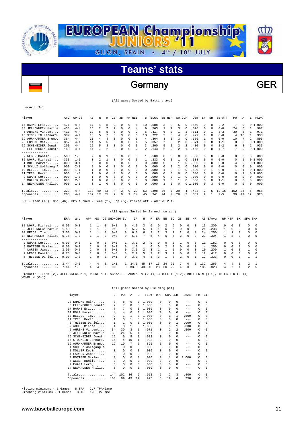

### Germany GER

(All games Sorted by Batting avg)

record: 3-1

| Player                                                                                                                                                                                                                                                                                         | AVG  | $GP - GS$ | AB  | R              | Н        | 2B             | 3B       |              | HR RBI       | TB           | SLG <sup>§</sup> | BB. | HBP          | SO GDP |              | OB <sup>8</sup> | SF       | SH           | SB-ATT    | PO. | Α            | Е  | FLD%   |
|------------------------------------------------------------------------------------------------------------------------------------------------------------------------------------------------------------------------------------------------------------------------------------------------|------|-----------|-----|----------------|----------|----------------|----------|--------------|--------------|--------------|------------------|-----|--------------|--------|--------------|-----------------|----------|--------------|-----------|-----|--------------|----|--------|
| 17 HARMS Eric                                                                                                                                                                                                                                                                                  | .471 | $4 - 4$   | 17  | 4              | 8        |                | 0        | $\Omega$     | 6            | 10           | .588             | 3   | $\Omega$     | 5      | <sup>0</sup> | .550            | $\Omega$ | $\Omega$     | $2 - 2$   | 7   | 0            |    | 01.000 |
| 33 JELLONNECK Marius                                                                                                                                                                                                                                                                           | .438 | $4 - 4$   | 16  | 2              |          | $\mathfrak{D}$ | 0        | $\Omega$     | 4            | 9            | .563             |     | 2            | ٦      |              | .526            | 0        | $\Omega$     | $0 - 0$   | 24  | 5            |    | .967   |
| 5 AHRENS Vincent                                                                                                                                                                                                                                                                               | .417 | $4 - 4$   | 12  | 5              | г,       | $\Omega$       | $\Omega$ | 0            |              | 5            | .417             | б   | $\Omega$     |        |              | .611            | $\Omega$ |              | $3 - 3$   | 30  | 3            |    | .971   |
| 15 STOCKLIN Lennard.                                                                                                                                                                                                                                                                           | .389 | $4 - 4$   | 18  | 5              |          | $\Omega$       | ς        | 0            | 6            | 13           | .722             |     | $\Omega$     | 4      |              | .429            |          | $\Omega$     | $0 - 0$   | 4   | 10           |    | .933   |
| 19 AURNHAMMER Bruno.                                                                                                                                                                                                                                                                           | .364 | $4 - 4$   | 11  | 4              | 4        | $\Omega$       | 0        | 0            | 5            | 4            | .364             | 3   | 3            |        |              | .556            |          | n            | $0 - 0$   | 10  |              | 2  | .895   |
| 28 EHMCKE Maik                                                                                                                                                                                                                                                                                 | .357 | $4 - 4$   | 14  | 5              |          | $\Omega$       | 0        | $\Omega$     | 4            | 5            | .357             |     | $\Omega$     | 2      | $\Omega$     | .571            | $\Omega$ | $\Omega$     | $1 - 1$   | 8   | 0            |    | 01.000 |
| 16 SCHENEIDER Jonath                                                                                                                                                                                                                                                                           | .200 | $4 - 4$   | 15  |                |          | $\Omega$       | 0        | $\Omega$     | 0            | 3            | .200             | 5   | 0            |        |              | .400            | 0        | 0            | $1 - 2$   | 6   |              |    | .933   |
| 3 ELLENBOGEN Jonath                                                                                                                                                                                                                                                                            | .143 | $4 - 4$   | 14  |                | 2        | $\Omega$       | 0        | 0            | 2            | 2.           | .143             | 6   | 2            | 2      |              | .455            |          | $\Omega$     | $4 - 7$   | 7   | 0            |    | 01.000 |
| --------------                                                                                                                                                                                                                                                                                 |      |           |     |                |          |                |          |              |              |              |                  |     |              |        |              |                 |          |              |           |     |              |    |        |
| 7 WEBER Danilo                                                                                                                                                                                                                                                                                 | .500 | $1 - 0$   | 2   | $\Omega$       |          | $\Omega$       | 0        | 0            | $\Omega$     |              | .500             | 0   | 0            | 0      | 0            | .500            | $\Omega$ | $\Omega$     | $0 - 0$   | 0   | 0            | 0  | .000   |
| 32 WOHRL Michael                                                                                                                                                                                                                                                                               | .333 | $1 - 1$   |     | $\mathfrak{D}$ |          | $\Omega$       | 0        | $\Omega$     | 0            | 1.           | .333             | 0   | $\Omega$     |        | $\Omega$     | .333            | 0        | 0            | $0 - 0$   | 0   |              |    | 01.000 |
| 31 BOLZ Marvin                                                                                                                                                                                                                                                                                 | .000 | $3 - 1$   |     | $\Omega$       | 0        | $\Omega$       | 0        | 0            | 0            | 0            | .000             | 0   | $\Omega$     |        | $\Omega$     | .000            | 0        | 0            | $0 - 0$   | 4   | 0            |    | 01.000 |
| 1 SCHULZ Wolfgang A                                                                                                                                                                                                                                                                            | .000 | $2 - 0$   |     | $\Omega$       | 0        | 0              | 0        | 0            | 0            | 0            | .000             | 0   | 0            | 2      |              | .000            | 0        | n            | $0 - 0$   | 0   |              | U  | .000   |
| 10 BEIGEL Tim                                                                                                                                                                                                                                                                                  | .000 | $1 - 1$   |     | 0              |          |                |          | <sup>0</sup> |              | 0            | .000             |     | <sup>n</sup> |        |              | .500            |          |              | $0 - 0$   |     |              |    | 01.000 |
| 11 TRISL Kevin                                                                                                                                                                                                                                                                                 | .000 | $1 - 0$   |     | 0              | 0        | 0              | 0        | $\Omega$     | 0            | 0            | .000             | 0   | $\Omega$     | 0      |              | .000            | 0        | 0            | $0 - 0$   | 0   |              |    | 01.000 |
| 2 EWART Leroy                                                                                                                                                                                                                                                                                  | .000 | $1 - 0$   |     | $\Omega$       |          | $\Omega$       | 0        | <sup>n</sup> | <sup>n</sup> | 0            | .000             | 0   | $\Omega$     |        |              | .000            | $\Omega$ | $\Omega$     | $0 - 0$   | 0   | <sup>n</sup> | 0  | .000   |
| 8 MOLLER Kevin                                                                                                                                                                                                                                                                                 | .000 | $2 - 0$   |     | 0              | $\Omega$ | $\Omega$       | 0        | $\Omega$     | 0            | 0            | .000             |     | $\Omega$     |        |              | .500            | 0        | <sup>n</sup> | $1 - 1$   | 0   | 0            | 0  | .000   |
| 14 NEUHAUSER Philipp                                                                                                                                                                                                                                                                           | .000 | $1 - 1$   | 0   |                | O        | $\Omega$       | O        | U            | <sup>n</sup> | <sup>n</sup> | .000             |     | <sup>n</sup> | U      |              | 01.000          | 0        | २            | $0 - 0$   | 0   |              | 0  | .000   |
| Totals                                                                                                                                                                                                                                                                                         | .323 | $4 - 4$   | 133 | 40             | 43       | 4              | 3        | 0            | 29           | 53           | .398             | 36  | 7            | 29     | 4            | .483            | 2        | 5            | $12 - 16$ | 102 | 36           | 6  | .958   |
| Opponents                                                                                                                                                                                                                                                                                      | .265 | $4 - 4$   | 132 | 17             | 35       | 7              | $\Omega$ | 1            | 14           | 45           | .341             | 24  | 4            | 26     |              | .389            | 2        |              | $2 - 5$   | 99  | 49           | 12 | .925   |
| $\tau$ on $\tau$ , $\tau$ , $\tau$ , $\tau$ , $\tau$ , $\tau$ , $\tau$ , $\tau$ , $\tau$ , $\tau$ , $\tau$ , $\tau$ , $\tau$ , $\tau$ , $\tau$ , $\tau$ , $\tau$ , $\tau$ , $\tau$ , $\tau$ , $\tau$ , $\tau$ , $\tau$ , $\tau$ , $\tau$ , $\tau$ , $\tau$ , $\tau$ , $\tau$ , $\tau$ , $\tau$ |      |           |     |                |          |                |          |              |              |              |                  |     |              |        |              |                 |          |              |           |     |              |    |        |

LOB - Team (46), Opp (46). DPs turned - Team (2), Opp (5). Picked off - AHRENS V 1.

|                      |      |         |                |          |          |               |              | (All games Sorted by Earned run avg) |               |        |               |              |               |                |          |            |     |               |              |            |          |                |                         |
|----------------------|------|---------|----------------|----------|----------|---------------|--------------|--------------------------------------|---------------|--------|---------------|--------------|---------------|----------------|----------|------------|-----|---------------|--------------|------------|----------|----------------|-------------------------|
| Player               | ERA  | $W-L$   | APP            | GS       |          | CG SHO/CBO SV |              | ΙP                                   | Η             | R      | ER            | BB           | SO.           | 2B             | 3B       | HR         |     | AB B/Avq      | WP HBP       |            | BK       | SFA SHA        |                         |
| 32 WOHRL Michael     | 0.00 | $0 - 0$ |                |          | $\Omega$ | 0/1           | $\Omega$     | 4.0                                  |               | $\cap$ | $^{\circ}$    | 2            | 6.            | 0              | $\Omega$ | $\Omega$   | 15  | .200          | 0            | 0          | $\Omega$ | 0              | - 0                     |
| 33 JELLONNECK Marius | 1.59 | $1 - 0$ |                |          | $\Omega$ | 0/0           | $\Omega$     | 5.2                                  | 5             |        |               | 6            | Б.            | $\Omega$       | $\Omega$ | $\Omega$   | 21  | .238          |              | $^{\circ}$ | 0        | $\Omega$       | $\overline{\mathbf{0}}$ |
| 10 BEIGEL Tim        | 3.00 | $0 - 0$ |                |          | $\Omega$ | 0/0           | $\mathsf{r}$ | 6.0                                  | 6             | 3.     | $\mathcal{L}$ | κ            | $\mathcal{L}$ | $\mathcal{L}$  | $\cap$   | $\Omega$   | 2.4 | .250          |              |            | $\cap$   | $\Omega$       | $\Omega$                |
| 14 NEUHAUSER Philipp | 6.75 | $1 - 0$ |                |          | $\Omega$ | 0/0           | $\Omega$     | 5.1                                  |               | 5.     | 4             | 6            | 4             | $\mathfrak{D}$ | $\Omega$ | $\Omega$   | 23  | .304          | $\mathbf{1}$ | ς          | $\Omega$ | $\Omega$       | $\Omega$                |
| . <u>.</u> .         |      |         |                |          |          |               |              |                                      |               |        |               |              |               |                |          |            |     |               |              |            |          |                |                         |
| 2 EWART Leroy        | 0.00 | $0 - 0$ |                | 0        | $\Omega$ | 0/0           |              | 3.1                                  | $\mathcal{D}$ | $\cap$ | $^{\circ}$    | <sup>n</sup> | 0             |                | $\cap$   | $^{\circ}$ | 11  | .182          | $\Omega$     | $\Omega$   | $\Omega$ | 0              | $\Omega$                |
| 9 BOTTGER Niklas     | 0.00 | $0 - 0$ |                | $\Omega$ | $\Omega$ | 0/1           | <sup>n</sup> | 1.0                                  |               | 0      | $\Omega$      |              |               | $\Omega$       | $\Omega$ | $\Omega$   | 4   | .250          | $\Omega$     | $\Omega$   | $\Omega$ | $\Omega$       | $\Omega$                |
| 4 LARSEN James       | 3.00 | $0 - 1$ | $\mathfrak{D}$ | $\Omega$ | $\Omega$ | 0/1           | $\cap$       | 3.0                                  | $\mathcal{L}$ |        |               |              |               | $\cap$         | $\cap$   | $\Omega$   | 10  | .200          |              | $\Omega$   | $\cap$   |                | $\Omega$                |
| 7 WEBER Danilo       | 6.75 | $0 - 0$ |                | $\Omega$ | $\Omega$ | 0/0           | $\cap$       | 2.2                                  | 5             |        |               |              |               | $\Omega$       | $\cap$   | $\Omega$   | 12  | .417          | $\Omega$     | 0          | $\cap$   | 0              | $\Omega$                |
| 6 THIEBEN Daniel     | 9.00 | $1 - 0$ | $\mathfrak{D}$ | $\Omega$ | $\Omega$ | 0/1           | $\cap$       | 3.0                                  | 4             |        | 3             |              | ς             | $\mathfrak{D}$ | $\cap$   |            | 12  | .333          | 0            | 0          | $\cap$   |                | $\overline{1}$          |
| Totals               | 3.44 | $3 - 1$ | 4              | 4        | $\Omega$ | 1/1           |              | 34.0                                 | 35            |        | 13            | 2.4          | 26            |                | $\Omega$ |            | 132 | . 265         | 4            | 4          | 0        | $\mathcal{L}$  | $\overline{1}$          |
| Opponents            | 7.64 | $1 - 3$ | 4              | 4        | $\Omega$ | 0/0           | $\cap$       | 33.0                                 | 43            | 40     | 2.8           | 36           | 29            | 4              | 3        | $\Omega$   | 133 | .323          | 4            |            | 4        | $\mathfrak{D}$ | -5                      |
|                      |      |         |                |          |          |               |              |                                      |               |        |               |              |               |                |          |            |     | $\frac{1}{2}$ |              |            |          |                |                         |

Team (2), JELLONNECK M 1, WOHRL M 1. SBA/ATT - AHRENS V (2-4), BEIGEL T (1-2), BOTTGER N (1-1), THIEBEN D (0-1), Pickoffs - Team<br>WOHRL M (0-1).

|                         |                |              |          |          | (All games Sorted by Fielding pct) |                |                |                |         |          |          |
|-------------------------|----------------|--------------|----------|----------|------------------------------------|----------------|----------------|----------------|---------|----------|----------|
| Player                  | C              | PO           | Α        | E.       | FLD%                               | DPs            | SBA CSB        |                | SBA%    | PB       | CI       |
| 28 EHMCKE Maik          | 8              | 8            | 0        | 0        | 1.000                              | 0              | 0              | 0              | $- - -$ | $\Omega$ | $\Omega$ |
| ELLENBOGEN Jonath<br>3  | 7              | 7            | $\Omega$ | 0        | 1,000                              | 0              | $\Omega$       | $\Omega$       | $- - -$ | $\Omega$ | 0        |
| HARMS Eric<br>17        | 7              | 7            | $\Omega$ | 0        | 1,000                              | <sup>n</sup>   | <sup>n</sup>   | 0              | $--$    | $\Omega$ | $\Omega$ |
| BOLZ Marvin<br>31       | 4              | 4            | $\Omega$ | 0        | 1,000                              | <sup>n</sup>   | 0              | 0              | $- - -$ | $\Omega$ | $\Omega$ |
| BEIGEL Tim<br>10        | $\mathfrak{D}$ | $\mathbf{1}$ | 1        | 0        | 1,000                              | 0              | 1              | 1.             | .500    | $\Omega$ | $\Omega$ |
| TRISL Kevin<br>11       | 1              | $\Omega$     | 1        | 0        | 1,000                              | <sup>n</sup>   | <sup>n</sup>   | 0              | $---$   | $\Omega$ | $\Omega$ |
| THIEBEN Daniel<br>6     | $\mathbf{1}$   | 1            | 0        | $\Omega$ | 1,000                              | <sup>n</sup>   | 0              | 1              | .000    | 0        | $\Omega$ |
| 32 WOHRL Michael        | $\mathbf{1}$   | $\Omega$     | 1        | $\Omega$ | 1,000                              | 0              | $\Omega$       | 1              | .000    | $\Omega$ | $\Omega$ |
| AHRENS Vincent<br>5     | 34             | 30           | 3        | 1        | .971                               | $\Omega$       | $\mathfrak{D}$ | $\mathfrak{D}$ | .500    | 0        | $\Omega$ |
| 33 JELLONNECK Marius    | 30             | 2.4          | 5        | 1        | .967                               | $\mathfrak{D}$ | $\Omega$       | 0              | $---$   | $\Omega$ | $\Omega$ |
| SCHENEIDER Jonath<br>16 | 15             | 6            | 8        | 1        | .933                               | <sup>n</sup>   | $\Omega$       | $\Omega$       | $-- -$  | $\Omega$ | $\Omega$ |
| STOCKLIN Lennard.<br>15 | 15             | 4            | 10       | 1        | .933                               | 2              | 0              | $\Omega$       | $- - -$ | $\Omega$ | $\Omega$ |
| 19 AURNHAMMER Bruno.    | 19             | 10           | 7        | 2        | .895                               | 1              | 0              | 0              | $- - -$ | 0        | $\Omega$ |
| 1 SCHULZ Wolfgang A     | 0              | 0            | 0        | 0        | .000                               | 0              | 0              | $\Omega$       | $- - -$ | $\Omega$ | $\Omega$ |
| 8 MOLLER Kevin          | 0              | 0            | $\Omega$ | $\Omega$ | .000                               | <sup>n</sup>   | <sup>n</sup>   | 0              | $- - -$ | $\Omega$ | $\Omega$ |
| 4 LARSEN James          | 0              | 0            | $\Omega$ | $\Omega$ | .000                               | 0              | 0              | 0              | $- - -$ | $\Omega$ | $\Omega$ |
| 9 BOTTGER Niklas        | 0              | 0            | $\Omega$ | 0        | .000                               | $\Omega$       | 1              | 0              | 1,000   | $\Omega$ | $\Omega$ |
| 7 WEBER Danilo          | 0              | 0            | $\Omega$ | $\Omega$ | .000                               | <sup>n</sup>   | $\Omega$       | 0              | $- - -$ | $\Omega$ | $\Omega$ |
| 2 EWART Leroy           | 0              | 0            | $\Omega$ | $\Omega$ | .000                               | 0              | 0              | 0              | $--$    | 0        | $\Omega$ |
| 14 NEUHAUSER Philipp    | 0              | $\Omega$     | $\Omega$ | 0        | .000                               | 0              | 0              | $\Omega$       | $- - -$ | $\Omega$ | $\Omega$ |
| Totals                  | 144            | 102          | 36       | 6        | .958                               | 2              | $\mathfrak{D}$ | 3              | .400    | $\Omega$ | $\Omega$ |
| Opponents               | 160            | 99           | 49       | 12       | .925                               | 5              | 12             | 4              | .750    | $\Omega$ | $\Omega$ |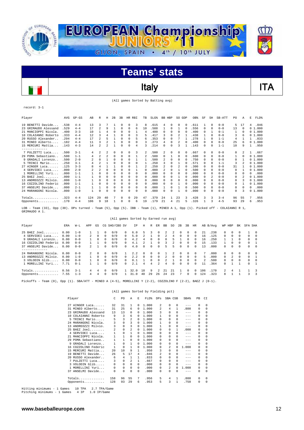

### Italy **ITA**

(All games Sorted by Batting avg)

record: 3-1

| Player                                                                                        | AVG   | $GP - GS$ | AB  | R        | н              | 2B       | 3B |          | HR RBI       | TB       | $SLG$ $%$ | BB HBP |              | SO GDP       |          | OB <sup>%</sup> | SF       | SH       | SB-ATT  | PO.      | Α        | Е | FLD%   |
|-----------------------------------------------------------------------------------------------|-------|-----------|-----|----------|----------------|----------|----|----------|--------------|----------|-----------|--------|--------------|--------------|----------|-----------------|----------|----------|---------|----------|----------|---|--------|
| 19 BENETTI Davide                                                                             | .538  | $4 - 4$   | 13  | 3        |                |          | 0  | $\Omega$ | 3            | 8        | .615      | 4      | 0            | 0            | $\Omega$ | .611            |          | $\Omega$ | $0 - 0$ | 5.       | 17       | 4 | .846   |
| 23 GRIMAUDO Alessand                                                                          | .529  | $4 - 4$   | 17  |          | 9              |          | U  | $\Omega$ | 6            | 10       | .588      |        | $\Omega$     |              | $\Omega$ | .556            | 0        | 0        | $0 - 0$ | 13       | 0        |   | 01.000 |
| 21 MANCIOPPI Nicola                                                                           | .400  | $3 - 3$   | 10  |          |                | $\Omega$ | 0  | $\Omega$ |              | 4        | .400      | n.     | <sup>n</sup> | <sup>n</sup> | $\Omega$ | .400            | 0        | -1       | $0 - 1$ |          | n        |   | 01.000 |
| 10 COLAIANNI Roberto                                                                          | .333  | $4 - 4$   | 12  |          |                |          | 0  | $\Omega$ | 3            | 5        | .417      |        | $\Omega$     |              |          | .438            |          | O        | $0 - 0$ | 3        | 6        |   | 01.000 |
| 20 RUSSO Alexander.                                                                           | .294  | $4 - 4$   | 17  |          |                |          | U  | $\Omega$ |              | 6.       | .353      | U      | $\Omega$     |              |          | .278            | 1.       | 0        | $1 - 1$ | 4        |          |   | .833   |
| 31 MINEO Alberto                                                                              | .182  | $4 - 4$   | 11  |          | 2              |          | 0  | $\Omega$ | 0            | κ        | .273      | 4      | $\Omega$     | 2            | $\Omega$ | .400            | 0        | 0        | $0 - 0$ | 25       | 6        |   | 01.000 |
| 15 MERCURI Mattia                                                                             | .143  | $4 - 3$   | 14  |          | 2              |          | 0  | $\Omega$ | 4            | κ        | .214      |        | $\Omega$     |              |          | .143            | 0        | $\Omega$ | $1 - 1$ | 10       | q        |   | .950   |
| --------------                                                                                |       |           |     |          |                |          |    |          |              |          |           |        |              |              |          |                 |          |          |         |          |          |   |        |
| 7 PULZETTI Luca                                                                               | .500  | $3 - 1$   | 4   | 2        | $\mathfrak{D}$ | $\Omega$ | 0  | $\Omega$ | 3            | 2        | .500      | 2      | 0            | 0            | $\Omega$ | .667            | $\Omega$ | $\Omega$ | $0 - 0$ | $\Omega$ | 2        |   | .667   |
| 29 POMA Sebastiano.                                                                           | .500  | $1 - 1$   | 4   | 2        |                | 0        | 0  | $\Omega$ |              |          | .500      | 0      |              | $\Omega$     |          | .600            | 0        | 0        | $0 - 0$ |          | n        |   | 01.000 |
| 9 GRADALI Lorenzo                                                                             | .500  | $2 - 0$   |     | $\Omega$ |                | $\Omega$ | 0  | $\Omega$ |              |          | .500      | 2      | $\Omega$     | 0            |          | .750            | 0        | $\Omega$ | $0 - 0$ | 0        |          |   | 01.000 |
| 5 TRINCI Mario                                                                                | .250  | $3 - 1$   |     | 2        |                | 0        | 0  | $\Omega$ | <sup>n</sup> |          | .250      |        | $\Omega$     |              | $\Omega$ | .571            | 0        | 0        | $1 - 1$ | 3        |          |   | 01.000 |
| 27 AINGER Luca                                                                                | .125  | $3 - 3$   | 8   | 4        |                |          | 0  | 0        |              |          | .250      |        | $\Omega$     |              |          | .300            | U        | 0        | $0 - 0$ | 31       |          |   | 01.000 |
| 4 SERVIDEI Luca                                                                               | .000  | $2 - 0$   |     |          | 0              | 0        | 0  | $\Omega$ |              | 0        | .000      | 2      | $\Omega$     |              |          | .500            | 0        | $\Omega$ | $0 - 0$ | $\Omega$ |          |   | 01.000 |
| 1 MORELLINI Yuri                                                                              | . 000 | $1 - 1$   |     | $\Omega$ | O              | 0        | U  | $\Omega$ | 0            | 0        | .000      | 0      | $\Omega$     | 0            | n        | .000            | 0        | $\Omega$ | $0 - 0$ | 0        | n        | 0 | .000   |
| 25 BAEZ Joel                                                                                  | .000  | $1 - 1$   |     | $\Omega$ | O              | 0        | U  | $\Omega$ | 0            | 0        | .000      | 0      | $\Omega$     |              | $\Omega$ | .000            | 0        | 2        | $0 - 0$ | $\Omega$ |          |   | 01.000 |
| 13 ANDREOZZI Milvio.                                                                          | .000  | $1 - 0$   |     | $\Omega$ | 0              | 0        | 0  | $\Omega$ | 0            | 0        | .000      | 0      | $\Omega$     | 0            |          | .000            | 0        | 0        | $0 - 0$ | 0        |          |   | 01.000 |
| 16 COZZOLINO Federic                                                                          | .000  | $1 - 1$   |     | $\Omega$ |                | 0        | U  | 0        | U            | 0        | .000      |        | $\Omega$     |              |          | .000            | 0        | $\Omega$ | $0 - 0$ | 0        |          |   | 01.000 |
| 37 ANSELMI Davide                                                                             | .000  | $2 - 1$   |     |          | 0              | 0        | 0  | $\Omega$ | 0            | $\Omega$ | .000      |        | 0            |              | $\Omega$ | .500            | 0        | $\Omega$ | $0 - 0$ | 0        | $\Omega$ | 0 | .000   |
| 24 MARANGONI Nicola.                                                                          | .000  | $1 - 0$   |     | $\Omega$ | 0              | $\Omega$ |    | C        | 0            | U        | .000      |        | $\Omega$     |              |          | .000            |          | $\Omega$ | $0 - 0$ | 0        | 3        |   | 01.000 |
| Totals                                                                                        | .323  | $4 - 4$   | 124 | 29       | 40             |          | 0  | $\Omega$ | 29           | 47       | .379      | 2.4    | 1            | 23           | ্ব       | .428            | 3        | 3        | $3 - 4$ | 96       | 55       | 7 | .956   |
| Opponents                                                                                     | .170  | $4 - 4$   | 106 | 9        | 18             |          | 0  | 0        | 6            | 19       | .179      | 21     | 4            | 21           | 5        | .326            |          |          | $4 - 5$ | 93       | 29       | 6 | .953   |
| TOP PL. (33) O. (36) PR. L.J. PL. (E) O. (E) TPP PL. (4) MINPOLIC (4) PL.J.J.CO. CONSTRUERS 1 |       |           |     |          |                |          |    |          |              |          |           |        |              |              |          |                 |          |          |         |          |          |   |        |

LOB - Team (33), Opp (30). DPs turned - Team (5), Opp (5). IBB - Team (1), MINEO A 1, Opp (1). Picked off - COLAIANNI R 1, GRIMAUDO A 1.

|                      |      |         |                |          |          |               |          | (All games Sorted by Earned run avg) |          |          |               |           |          |            |              |              |     |          |        |               |            |          |          |
|----------------------|------|---------|----------------|----------|----------|---------------|----------|--------------------------------------|----------|----------|---------------|-----------|----------|------------|--------------|--------------|-----|----------|--------|---------------|------------|----------|----------|
| Player               | ERA  | $W-L$   | APP            | GS       |          | CG SHO/CBO SV |          | ΙP                                   | Η        | R        | ER.           | <b>BB</b> | SO.      | 2B         | 3B           | HR           |     | AB B/Avq | WP HBP |               | BK.        | SFA SHA  |          |
| $25$ BAEZ Joel       | 0.00 | $1 - 0$ |                |          | $\Omega$ | 0/0           | $\Omega$ | 6.0                                  |          | 3.       | $\Omega$      |           | 2        | $^{\circ}$ | $\Omega$     | $\Omega$     | 21  | .238     | 0      | $\Omega$      |            |          | $\Omega$ |
| 4 SERVIDEI Luca      | 0.00 | $1 - 0$ | 2              | $\Omega$ | $\Omega$ | 0/0           | $\Omega$ | 5.0                                  |          |          | $\Omega$      |           | 4        | $\Omega$   | $\Omega$     | $\Omega$     | 16  | .125     | 0      | $\Omega$      | $\Omega$   | 0        | $\Omega$ |
| 9 GRADALI Lorenzo    | 0.00 | $0 - 0$ |                | $\Omega$ | $\Omega$ | 0/0           | ∩.       | 4.2                                  | 4        | 0.       | $^{\circ}$    | 0         |          |            | <sup>n</sup> | $^{\circ}$   | 16  | .250     |        |               | $^{\circ}$ | 0        | $\Omega$ |
| 16 COZZOLINO Federic | 0.00 | $0 - 0$ |                |          | $\Omega$ | 0/0           | ∩.       | 4.1                                  |          |          | $\Omega$      |           |          | $\Omega$   | $\Omega$     | $\Omega$     | 15  | .133     |        | $\Omega$      | 0          | 0        |          |
| 37 ANSELMI Davide    | 0.00 | $0 - 0$ |                |          | $\Omega$ | 0/0           | ∩.       | 4.0                                  |          | O.       | $\Omega$      | 5         |          | $\Omega$   | $\Omega$     | 0            | 13  | .000     | 0      | 0             | $\Omega$   | 0        | $\Omega$ |
|                      |      |         |                |          |          |               |          |                                      |          |          |               |           |          |            |              |              |     |          |        |               |            |          |          |
| 24 MARANGONI Nicola. | 0.00 | $0 - 0$ | $\overline{2}$ | $\Omega$ | $\Omega$ | 0/0           |          | 2.2                                  | $\Omega$ | 0        | $\Omega$      |           |          | $\Omega$   | $\Omega$     | $\Omega$     |     | .000     | 0      | $\Omega$      | $\Omega$   | 0        | $\Omega$ |
| 13 ANDREOZZI Milvio. | 0.00 | $1 - 0$ |                | $\Omega$ | $\Omega$ | 0/0           | $\cap$   | 2.2                                  | $\Omega$ | $\Omega$ | $\Omega$      |           | $\Omega$ | $\Omega$   | $\Omega$     | $\Omega$     | 5   | .000     | $\cap$ | $\mathcal{L}$ | $\Omega$   | $\Omega$ |          |
| 3 VOLODIN Glib       | 0.00 | $0 - 0$ |                | 0        | $\Omega$ | 0/0           | ∩.       | 0.1                                  |          | $\Omega$ | $\Omega$      | 2.        |          | $\Omega$   | $\Omega$     | $\Omega$     | 2   | .500     | 0.     | $\Omega$      | 0          | 0        | $\Omega$ |
| 1 MORELLINI Yuri     | 7.71 | $0 - 1$ |                |          | 0        | 0/0           | $\cap$   | 2.1                                  | 4        | 4        | $\mathcal{L}$ | 4         | $\Omega$ | $\Omega$   | $\Omega$     | $\Omega$     | 11  | .364     | 0      |               |            | 0        |          |
| Totals               | 0.56 | $3 - 1$ | 4              | 4        | $\Omega$ | 0/0           |          | 32.0                                 | 18       | 9        | $\mathbf{2}$  | 21        | 21       |            | $\Omega$     | $^{\circ}$   | 106 | .170     | 2.     | 4             |            |          | 3        |
| Opponents 7.55       |      | $1 - 3$ | 4              | 4        | $\Omega$ | 0/0           |          | 31.0                                 | 40       | 29       | 26            | 2.4       | 23       |            | $\Omega$     | <sup>n</sup> | 124 | .323     | 8      |               |            | 3        | -3       |
|                      |      |         |                |          |          |               |          |                                      |          |          |               |           |          |            |              |              |     |          |        |               |            |          |          |

Pickoffs - Team (0), Opp (1). SBA/ATT - MINEO A (4-5), MORELLINI Y (2-2), COZZOLINO F (2-2), BAEZ J (0-1).

|                         |                |                |                |          | (All games Sorted by Fielding pct) |              |                |          |         |          |          |
|-------------------------|----------------|----------------|----------------|----------|------------------------------------|--------------|----------------|----------|---------|----------|----------|
| Player                  | C              | P <sub>0</sub> | A              | E.       | FLD <sup>*</sup>                   | DPs          |                | SBA CSB  | SBA%    | PB.      | CT.      |
| AINGER Luca<br>27       | 32             | 31             | 1              | $\Omega$ | 1.000                              | 2            | 0              | $\Omega$ | $-- -$  | $\Omega$ | $\Omega$ |
| 31 MINEO Alberto        | 31             | 25             | 6              | 0        | 1,000                              | 2            | 4              | 1        | .800    | $\Omega$ | $\Omega$ |
| GRIMAUDO Alessand<br>23 | 13             | 13             | $\Omega$       | 0        | 1,000                              | 3            | <sup>n</sup>   | 0        | $-- -$  | $\Omega$ | $\Omega$ |
| 10 COLATANNI Roberto    | 9              | 3              | 6              | $\Omega$ | 1,000                              | 1            | 0              | 0        | $- - -$ | $\Omega$ | $\Omega$ |
| TRINCI Mario<br>5       | 5              | 3              | 2              | 0        | 1,000                              | <sup>n</sup> | <sup>n</sup>   | 0        | $- - -$ | 0        | $\Omega$ |
| 24 MARANGONI Nicola.    | 3              | $\Omega$       | 3              | 0        | 1,000                              | 1            | 0              | 0        | $- - -$ | $\Omega$ | $\Omega$ |
| 13 ANDREOZZI Milvio.    | 3              | 0              | 3              | 0        | 1,000                              | 1            | 0              | 0        | $- - -$ | $\Omega$ | $\Omega$ |
| 25 BAEZ Joel            | $\mathfrak{D}$ | 0              | $\mathfrak{D}$ | 0        | 1,000                              | n            | <sup>n</sup>   | 1        | .000    | $\Omega$ | $\Omega$ |
| SERVIDEI Luca<br>4      | 1              | 0              | 1              | 0        | 1,000                              | U            | <sup>n</sup>   | 0        | $-- -$  | $\Omega$ | $\Omega$ |
| 21 MANCIOPPI Nicola.    | $\mathbf{1}$   | 1              | $\Omega$       | 0        | 1,000                              | $\Omega$     | 0              | 0        | $-- -$  | $\Omega$ | $\Omega$ |
| 29 POMA Sebastiano      | $\mathbf{1}$   | 1              | $\Omega$       | 0        | 1.000                              | <sup>n</sup> | 0              | 0        | $- - -$ | 0        | $\Omega$ |
| GRADALI Lorenzo<br>9.   | 1              | 0              | 1              | 0        | 1,000                              | U            | <sup>n</sup>   | 0        | $- - -$ | $\Omega$ | $\Omega$ |
| 16 COZZOLINO Federic    | 1              | 0              | 1              | $\Omega$ | 1,000                              | $\Omega$     | $\mathfrak{D}$ | 0        | 1.000   | $\Omega$ | $\Omega$ |
| 15 MERCURI Mattia       | 2.0            | 10             | 9              | 1.       | .950                               | 3            | $\Omega$       | 0        | $- - -$ | 0        | $\Omega$ |
| BENETTI Davide<br>19    | 26             | 5              | 17             | 4        | .846                               | 2            | 0              | 0        | $--$    | $\Omega$ | $\Omega$ |
| 20 RUSSO Alexander      | 6              | 4              | 1              | 1        | .833                               | U            | 0              | 0        | $- - -$ | $\Omega$ | $\Omega$ |
| 7 PULZETTI Luca         | 3              | 0              | $\mathfrak{D}$ | 1        | .667                               | n            | 0              | $\Omega$ | $--$    | $\Omega$ | $\Omega$ |
| 3 VOLODIN Glib          | 0              | 0              | $\Omega$       | $\Omega$ | .000                               | U            | <sup>n</sup>   | 0        | $- - -$ | $\Omega$ | $\Omega$ |
| 1 MORELLINI Yuri        | 0              | 0              | $\Omega$       | $\Omega$ | .000                               | 0            | $\mathfrak{D}$ | 0        | 1,000   | 0        | $\Omega$ |
| 37 ANSELMI Davide       | 0              | 0              | $\Omega$       | 0        | .000                               | $\Omega$     | 0              | 0        | $- - -$ | $\Omega$ | $\Omega$ |
| Totals                  | 158            | 96             | 55             | 7        | .956                               | 5            | 4              | 1.       | .800    | $\Omega$ | $\Omega$ |
| Opponents               | 128            | 93             | 29             | 6        | .953                               | 5            | 3              | 1        | .750    | $\Omega$ | $\Omega$ |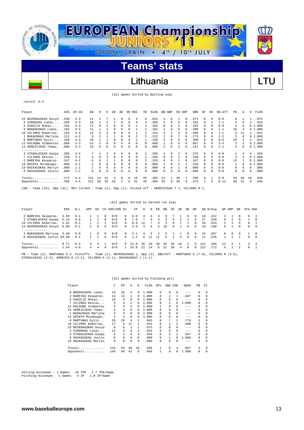

### Lithuania **Lithuania** LTU

(All games Sorted by Batting avg)

record: 0-4

| Player                                                                                                  | AVG  | $GP-GS$ | AB  | R        | Н  | 2B       | 3B | HR.      | RBI      | TВ | SLG <sup>§</sup> | BB. | HBP      | SO.          | GDP      | OB%   | SF         | SH       | SB-ATT   | PO. | Α        | E              | FLD%   |
|---------------------------------------------------------------------------------------------------------|------|---------|-----|----------|----|----------|----|----------|----------|----|------------------|-----|----------|--------------|----------|-------|------------|----------|----------|-----|----------|----------------|--------|
| 15 NEVERAUSKAS Dovyd                                                                                    | .538 | $3 - 3$ | 13  | 2        |    |          |    |          |          | 8  | .615             |     | 0        |              |          | .571  |            | $\Omega$ | $0 - 0$  | 6   |          |                | .875   |
| 4 SIRGEDAS Lukas                                                                                        | .200 | $3 - 3$ | 10  |          | 2  |          | 0  | 0        | 0        | 3  | .300             |     | 0        | 0            |          | .333  | 0          |          | $1 - 1$  | 4   | 6        |                | .833   |
| 5 AUGULIS Rokas                                                                                         | .182 | $4 - 3$ | 11  | 0        |    | $\Omega$ | 0  | $\Omega$ |          |    | .182             | 0   | $\Omega$ | 2            |          | .182  | 0          | $\Omega$ | $0 - 0$  | 4   | 6        |                | 01.000 |
| 9 BRADAUSKAS Lukas.                                                                                     | .182 | $3 - 3$ | 11  |          |    | $\Omega$ | 0  | $\Omega$ |          |    | .182             |     | 0        | 5.           |          | .308  | $^{\circ}$ | $\Omega$ | $1 - 1$  | 16  |          |                | 01.000 |
| 10 VILIMAS Robertas                                                                                     | .154 | $4 - 4$ | 13  | 4        |    | $\Omega$ |    |          |          |    | .154             |     |          |              |          | .389  | 0          | $\Omega$ | $1 - 1$  | 5   | 11       |                | .941   |
| 1 BUKAUSKAS Martyna                                                                                     | .111 | $4 - 2$ | 9   |          |    |          |    |          |          |    | .222             |     | 0        |              |          | .273  | 0          | 0        | $2 - 2$  | 3   | 0        |                | 01.000 |
| 8 MARTUNAS Gytis                                                                                        | .100 | $4 - 3$ | 10  |          |    | $\Omega$ |    | $\Omega$ |          |    | .100             | 5   | $\Omega$ | 6            |          | .400  | 0          | $\Omega$ | $0 - 0$  | 29  | 4        | $\mathfrak{D}$ | .943   |
| 12 KOLDUBA Vidmantas                                                                                    | .000 | $3 - 3$ | 14  | 2        |    | $\Omega$ |    | $\Omega$ | 0        | 0  | .000             |     | $\Omega$ | 5            |          | .067  | 0          | $\Omega$ | $3 - 3$  | 3   |          |                | 01.000 |
| 13 SEREICIKAS Tomas                                                                                     | .000 | $4 - 3$ | 10  | U        | 0  | $\Omega$ | 0  | $\Omega$ | $\Omega$ | 0  | .000             | 2.  | $\Omega$ | 2            |          | .167  | 0          | $\Omega$ | $1 - 1$  | 4   | 0        |                | 01.000 |
| --------------                                                                                          |      |         |     |          |    |          |    |          |          |    |                  |     |          |              |          |       |            |          |          |     |          |                |        |
| 3 STADALNIKAS Kaspa                                                                                     | .286 | $3 - 3$ |     |          |    | 0        | 0  | 0        | 0        | 2  | .286             |     | $\Omega$ | 2            | 0        | .375  |            | $\Omega$ | $0 - 0$  |     | 4        | 4              | .556   |
| 7 VILIMAS Kestas                                                                                        | .250 | $3 - 1$ |     |          |    | $\Omega$ |    | $\Omega$ | $\Omega$ |    | 250              | 0   | $\Omega$ | 2            | $\Omega$ | .250  | 0          | $\Omega$ | $0 - 0$  | 3   | 2        |                | 01.000 |
| 2 BAREIKA Kasparas.                                                                                     | .167 | $4 - 2$ | 6   |          |    |          |    | 0        | 0        |    | .333             | 0   | 0        |              |          | .167  | 0          | 0        | $0 - 0$  | 13  |          |                | 01.000 |
| 14 GRINYS Mindaugas.                                                                                    | .000 | $3 - 1$ | 2   | 0        |    | $\Omega$ | 0  | $\Omega$ | $\Omega$ | 0  | .000             |     | 0        |              |          | . 333 | 0          | $\Omega$ | $0 - 0$  | 2   | $\Omega$ |                | 01.000 |
| 19 RACKAUSKAS Martyn                                                                                    | .000 | $1 - 1$ |     | $\Omega$ | 0  | 0        | 0  | $\Omega$ | $\Omega$ | 0  | .000             | 0   | $\Omega$ |              |          | .000  | 0          | $\Omega$ | $0 - 0$  | 0   | $\Omega$ | 0              | .000   |
| 6 RACKAUSKAS Justin                                                                                     | .000 | $1 - 1$ | 0   |          | 0  | $\Omega$ | 0  | 0        | $\Omega$ | 0  | .000             | 0   | 0        | <sup>n</sup> |          | .000  | 0          | $\Omega$ | $0 - 0$  | 0   | 0        | 0              | .000   |
| $Totals$                                                                                                | .172 | $4 - 4$ | 122 | 14       | 21 | 4        |    | $\Omega$ | 10       | 25 | .205             | 2.1 |          | 38           |          | .299  |            |          | $9 - 9$  | 93  | 40       | 10             | .930   |
| Opponents                                                                                               | .289 | $4 - 4$ | 121 | 38       | 35 | 10       | 2. | $\Omega$ | 31       | 49 | .405             | 35  | 9        | 30           |          | .473  | 2          | 3        | $8 - 12$ | 99  | 42       | 8              | .946   |
|                                                                                                         |      |         |     |          |    |          |    |          |          |    |                  |     |          |              |          |       |            |          |          |     |          |                |        |
| Team (34), Opp (41). DPs turned - Team (1), Opp (1). Picked off - SEREICIKAS T 1, VILIMAS R 1.<br>LOB - |      |         |     |          |    |          |    |          |          |    |                  |     |          |              |          |       |            |          |          |     |          |                |        |

|                           |      |          |             |          |          | (All games Sorted by Earned run avg) |          |      |      |     |               |    |              |    |                |              |     |          |                |               |          |               |          |
|---------------------------|------|----------|-------------|----------|----------|--------------------------------------|----------|------|------|-----|---------------|----|--------------|----|----------------|--------------|-----|----------|----------------|---------------|----------|---------------|----------|
| Player                    | ERA  | W-L      | APP         | GS       |          | CG SHO/CBO SV                        |          | ΙP   | Н    | R   | ER            | BB | SO.          | 2B | 3B             | HR           |     | AB B/Avq | WP HBP         |               | BK       | SFA SHA       |          |
| 2 BAREIKA Kasparas. 4.50  |      | $0 - 1$  |             |          | 0        | 0/0                                  | $\Omega$ | 6.0  | 4    |     |               | 9  |              |    | $^{\circ}$     | $^{\circ}$   | 18  | .222     |                | 3 1           | $\Omega$ | $\Omega$      |          |
| 3 STADALNIKAS Kaspa 5.14  |      | $0 - 0$  |             |          | $\Omega$ | 0/0                                  | $\Omega$ | 7.0  |      | 5.  | 4             | ર  | 4            | 2  |                | $\Omega$     | 27  | .259     | $\cap$         |               | $\cap$   |               | $\Omega$ |
| 10 VILIMAS Robertas.      | 5.62 | $0 - 1$  |             |          |          | 0/0                                  | $\Omega$ | 8.0  | - 11 |     | Б.            |    | 8            |    |                | $\Omega$     | 34  | .324     | $\overline{2}$ | 4             | $\Omega$ | $\Omega$      |          |
| 15 NEVERAUSKAS Dovyd 9.00 |      | $0 - 1$  | $2^{\circ}$ | $\Omega$ | $\Omega$ | 0/0                                  | $\Omega$ | 5.0  | 3    | 6   | 5             | 10 | $\mathbf{Q}$ |    | $\Omega$       | $\Omega$     | 16  | .188     | 6.             |               | $\Omega$ | $\Omega$      | $\Omega$ |
| ------------              |      |          |             |          |          |                                      |          |      |      |     |               |    |              |    |                |              |     |          |                |               |          |               |          |
| 1 BUKAUSKAS Martyna 5.40  |      | $0 - 0$  |             | $\Omega$ | $\Omega$ | 0/0                                  | $\Omega$ | 3.1  | 4    | .5. | $\mathcal{L}$ | 5. |              |    | $\cap$         | $\Omega$     | 15  | .267     | $\cap$         | $\Omega$      | $\Omega$ |               | $\Omega$ |
| 6 RACKAUSKAS Justin 59.40 |      | $0 - 1$  |             |          | $\cap$   | 0/0                                  | $\Omega$ | 1.2  | 6    | 11  | - 11          | 5. |              | 4  | $\Omega$       | $\Omega$     | 11  | .545     |                | $\mathcal{L}$ |          | $\Omega$      | $\Omega$ |
| Totals                    | 8.71 | $() - 4$ | 4           | 4        |          | 0/0                                  | $\Omega$ | 31.0 | 35   | 38  | 30            | 35 | 30           | 10 | $\overline{2}$ | <sup>0</sup> | 121 | .289     | 12.            | -9            |          | $\mathcal{L}$ |          |
| Opponents 1.64            |      | $4 - 0$  | 4           | 4        | $\Omega$ | 0/0                                  |          | 33.0 | 2.1  | 14  | 6             | 21 | 38           | 4  | $\Omega$       |              | 122 | .172     | 4              |               |          | $\Omega$      |          |

PB - Team (3), MARTUNAS G 3. Pickoffs - Team (1), NEVERAUSKAS 1, Opp (2). SBA/ATT - MARTUNAS G (7-9), VILIMAS R (3-5),<br>STADALNIKAS (2-3), BAREIKA K (2-3), VILIMAS K (1-1), RACKAUSKAS J (1-1).

(All games Sorted by Fielding pct)

|     | Player               | C   | PO. | А              | F.       | FLD%  | <b>DPs</b> | SBA CSB        |                | SBA%    | PB       | CI       |
|-----|----------------------|-----|-----|----------------|----------|-------|------------|----------------|----------------|---------|----------|----------|
| 9.  | BRADAUSKAS Lukas.    | 19  | 16  | 3              | 0        | 1,000 | 0          | 0              | 0              | $- - -$ | 0        | 0        |
|     | 2 BAREIKA Kasparas.  | 14  | 13  | 1              | 0        | 1,000 | 0          | $\mathfrak{D}$ | 1              | .667    | 0        | 0        |
|     | 5 AUGULIS Rokas      | 10  | 4   | 6              | 0        | 1,000 | 0          | 0              | 0              | $- - -$ | $\Omega$ | 0        |
|     | VILIMAS Kestas       | 5   | 3   | $\mathfrak{D}$ | 0        | 1,000 | 0          |                | <sup>0</sup>   | 1,000   | $\Omega$ | 0        |
|     | 12 KOLDUBA Vidmantas | 5   | 3   | $\mathfrak{D}$ | $\Omega$ | 1,000 |            | 0              | 0              | $- - -$ | $\Omega$ | 0        |
| 13. | SEREICIKAS Tomas.    | 4   | 4   | $\Omega$       | 0        | 1,000 | 0          | 0              | 0              | $- - -$ | $\Omega$ | $\Omega$ |
|     | 1 BUKAUSKAS Martyna  | 3   | 3   | $\Omega$       | 0        | 1,000 | 0          | 0              | $\Omega$       | $- - -$ | $\Omega$ | $\Omega$ |
|     | 14 GRINYS Mindaugas. | 2   | 2   | $\Omega$       | 0        | 1,000 | 0          | 0              | 0              | $- - -$ | $\Omega$ | 0        |
| 8   | MARTUNAS Gytis       | 35  | 29  | 4              | 2        | .943  | 0          | 7              | $\mathfrak{D}$ | .778    | 3        | $\Omega$ |
| 10  | VILIMAS Robertas.    | 17  | 5   | 11             | 1        | .941  | 0          | 3              | 2.             | .600    | $\Omega$ | $\Omega$ |
|     | 15 NEVERAUSKAS Dovyd | 8   | 6   | 1              |          | .875  | 0          | 0              | 0              | $- - -$ | $\Omega$ | $\Omega$ |
|     | 4 SIRGEDAS Lukas     | 12  | 4   | 6              | 2        | .833  | 0          | <sup>n</sup>   | 0              | $- - -$ | $\Omega$ | $\Omega$ |
|     | 3 STADALNIKAS Kaspa  | 9   | 1   | 4              | 4        | .556  | 0          | 2              |                | .667    | $\Omega$ | $\Omega$ |
| 6.  | RACKAUSKAS Justin    | 0   | 0   | $\Omega$       | 0        | .000  | 0          |                |                | 1.000   | 0        | 0        |
|     | 19 RACKAUSKAS Martyn | 0   | 0   | 0              | 0        | .000  | 0          | 0              | 0              | $- - -$ | 0        | $\Omega$ |
|     | $Totals$             | 143 | 93  | 40             | 10       | .930  |            | 8              | 4              | .667    | 3        | 0        |
|     | Opponents            | 149 | 99  | 42             | 8        | .946  |            | 9              | 0              | 1.000   | 0        | 0        |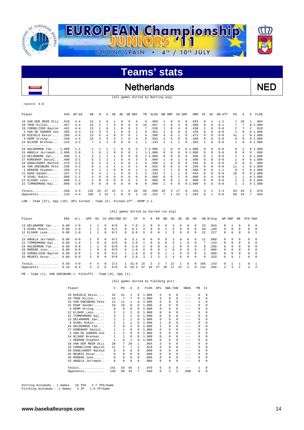

### Netherlands NED

(All games Sorted by Batting avg)

#### record: 4-0

 $\overline{a}$ 

| AVG<br>Player                | $GP - GS$ | AB  | R        | Н        | 2B       | 3B | HR RBI      |    | TB | SLG <sup>§</sup> | BB HBP         |          | SO GDP |   | OB%    | SF       | SH         | SB-ATT  | PO.          | Α        | E              | FLD%   |
|------------------------------|-----------|-----|----------|----------|----------|----|-------------|----|----|------------------|----------------|----------|--------|---|--------|----------|------------|---------|--------------|----------|----------------|--------|
| 18 VAN DER MEER Stij<br>.533 | $4 - 4$   | 15  | 2        | 8        |          | 0  | $\Omega$    | 4  | 9  | .600             |                | $\Omega$ | 0      |   | .563   | $\Omega$ |            | $1 - 2$ | 7            | 2.0      |                | .964   |
| 10 TRUE Dillon<br>.467       | $4 - 3$   | 15  | 2        | 7        | 3        | 0  | $\mathbf 0$ | 5  | 10 | .667             |                | $\Omega$ | 3      |   | .500   | 0        | 0          | $0 - 1$ | 7            | 7        |                | 01.000 |
| 19 CORNELISSE Bayron<br>.462 | $4 - 4$   | 13  |          | 6        |          | 0  | 0           | 3  |    | .538             |                | $\Omega$ | 4      |   | .438   | 2        | $\Omega$   | $0 - 0$ | 2            |          | $\mathfrak{D}$ | .818   |
| .385<br>3 VAN DE SANDEN Sve  | $4 - 3$   | 13  | 3        | 5        |          | 0  | 0           | 2  | 6  | .462             |                | $\Omega$ | 0      |   | .429   | 0        | $\Omega$   | $0 - 0$ | 1            | $\Omega$ |                | 01.000 |
| .308<br>20 NIEVELD Kevin     | $4 - 4$   | 13  | 6        | 4        | $\Omega$ | 0  | $\Omega$    |    | 4  | .308             | 4              | $\Omega$ |        |   | .471   | 0        | $\Omega$   | $0 - 0$ | 41           |          |                | 01.000 |
| 4 KEMP Urving<br>.250        | $4 - 4$   | 16  | 4        |          | 3        |    | $\Omega$    | 4  | 9  | .563             | 3              | $\Omega$ | 0      |   | .368   | 0        | $^{\circ}$ | $0 - 0$ | 8            | 0        |                | 01.000 |
| 14 NIJHOF Brennan<br>.143    | $3 - 2$   | 7   | 2        |          | 0        | 0  | $\Omega$    |    |    | .143             | $\mathfrak{D}$ |          |        |   | .364   |          | $\Omega$   | $0 - 0$ | $\mathbf{1}$ | 0        |                | 01.000 |
| -------------                |           |     |          |          |          |    |             |    |    |                  |                |          |        |   |        |          |            |         |              |          |                |        |
| 24 HALDERMAN Tim 1.000       | $1 - 1$   |     |          |          |          | 0  | 0           | 3  |    | 2 2.000          |                | $\Omega$ | 0      |   | 01.000 | $\Omega$ | $\Omega$   | $0 - 0$ | 0            | 2        |                | 01.000 |
| 15 ANGELA Jerremyh 1.000     | $2 - 0$   |     | $\Omega$ |          | $\Omega$ | 0  | $\Omega$    |    |    | 1 1.000          | 0              | $\Omega$ | 0      |   | 01.000 | $\Omega$ | $\Omega$   | $0 - 0$ | 0            | $\Omega$ | 0              | .000   |
| 13 DELAMARRE Ian<br>.500     | $1 - 1$   |     |          |          |          | 0  | 0           | 0  |    | 2 1.000          | 0              | $\Omega$ | O.     |   | .500   | 0        |            | $0 - 0$ |              |          |                | 01.000 |
| 27 KORENHOF Daniel<br>.400   | $3 - 1$   |     |          |          |          | 0  | $\Omega$    | 3  | 3  | .600             |                | $\Omega$ |        |   | .500   | 0        | $\Omega$   | $0 - 0$ |              | $\Omega$ |                | 01.000 |
| 28 ENGELHARDT Rachid<br>.375 | $3 - 2$   | 8   | 4        |          |          | U  | 0           |    | 4  | .500             |                | $\Omega$ | 0      |   | .444   | 0        | $\Omega$   | $0 - 0$ | 0            | $\Omega$ | 0              | .000   |
| .250<br>16 VAN DOESBURG Pete | $2 - 2$   | 8   |          |          |          |    | 0           |    | 5  | .625             | 0              | $\Omega$ | 3      |   | .250   | 0        | $\Omega$   | $0 - 0$ | 11           |          |                | 01.000 |
| .250<br>1 HENSON Stephen     | $2 - 1$   | 4   |          |          | 0        | 0  | $\Omega$    |    |    | .250             |                |          | 0      |   | .500   | 0        | $\Omega$   | $1 - 1$ | 0            |          |                | 01.000 |
| 21 PAAP Sander<br>.167       | $3 - 2$   | 6   | 4        |          |          | 0  | 0           | 3  |    | .333             |                |          |        |   | .444   | 0        | $\Omega$   | $0 - 0$ | 10           | 0        |                | 01.000 |
| 9 SCHEL Robin<br>.000        | $1 - 1$   | 3   | 0        | $\Omega$ | $\Omega$ | 0  | 0           | 0  | 0  | .000             | 0              | $\Omega$ | 2      |   | .000   | 0        | $\Omega$   | $0 - 0$ |              |          |                | 01.000 |
| .000<br>12 ELSHOF Leon       | $1 - 1$   | 2   | 0        | 0        | 0        | 0  | $\Omega$    |    | 0  | .000             | 0              | $\Omega$ |        |   | .000   | $\Omega$ | 0          | $0 - 0$ |              |          |                | 01.000 |
| .000<br>22 TIMMERMANS Kaj    | $1 - 0$   | 0   | 0        | 0        | 0        | 0  | $\Omega$    | 0  | 0  | .000             |                | $\Omega$ | 0      |   | 01.000 | 0        | $\Omega$   | $0 - 0$ | 1            | 2        |                | 01.000 |
| .356<br>$Totals$             | $4 - 4$   | 132 | 34       | 47       | 15       | 2  | $\Omega$    | 34 | 66 | .500             | 20             | 3        | 17     |   | .443   | 3        | 2          | $2 - 4$ | 93           | 45       | 3              | .979   |
| .143<br>Opponents            | $4 - 4$   | 105 | 2        | 15       |          | 0  | $\Omega$    | 2  | 16 | .152             |                |          | 22     | ર | .204   | $\Omega$ |            | $0 - 0$ | 89           | 34       | 7              | .946   |

LOB - Team (37), Opp (19). DPs turned - Team (5). Picked off - KEMP U 1.

#### (All games Sorted by Earned run avg)

| Player               | ERA  | $W-L$   | APP            | GS       |              | CG SHO/CBO SV |          | ΙP   | н             | R              | ER            | BB            | SO           | 2B           | 3B           | HR         |              | AB B/Avq | WP HBP       |              | BK           | SFA SHA      |               |
|----------------------|------|---------|----------------|----------|--------------|---------------|----------|------|---------------|----------------|---------------|---------------|--------------|--------------|--------------|------------|--------------|----------|--------------|--------------|--------------|--------------|---------------|
| 13 DELAMARRE Ian     | 0.00 | $1 - 0$ |                |          |              | 0/0           |          | 7.0  |               | O.             | <sup>n</sup>  |               |              | <sup>n</sup> | 0            | $^{\circ}$ | 23           | .043     | <sup>n</sup> |              |              |              | $\Omega$      |
| 9 SCHEL Robin        | 0.00 | $1 - 0$ |                |          |              | 0/1           | $\Omega$ | 6.2  | 3             | 0              | $\Omega$      |               | ъ.           | $\Omega$     | 0            | $\Omega$   | 20           | .150     | $\cap$       | 0            | $\Omega$     | $\Omega$     | $\Omega$      |
| 12 ELSHOF Leon       | 0.00 | $1 - 0$ |                |          |              | 0/1           | $\Omega$ | 6.0  | 5.            | 0              | $\Omega$      |               |              | $\Omega$     | <sup>n</sup> | $\Omega$   | 22           | .227     | $\Omega$     | $\Omega$     | $\Omega$     | $\Omega$     |               |
| ------------         |      |         |                |          |              |               |          |      |               |                |               |               |              |              |              |            |              |          |              |              |              |              |               |
| 15 ANGELA Jerremyh   | 0.00 | $0 - 0$ | $\mathbf{2}$   | $\Omega$ |              | 0/2           |          | 3.1  |               | O.             | <sup>n</sup>  |               |              | $\Omega$     | 0            |            |              | . 000    | 0            | $\Omega$     |              |              | $\Omega$      |
| 22 TIMMERMANS Kaj    | 0.00 | $1 - 0$ |                | $\Omega$ | 0            | 0/0           | $\cap$   | 2.0  |               | <sup>n</sup>   | $\Omega$      |               |              |              | <sup>n</sup> |            |              | .143     | 0            | $\Omega$     | $\Omega$     |              | $\Omega$      |
| 24 HALDERMAN Tim     | 0.00 | $0 - 0$ |                |          | $\Omega$     | 0/0           | $\cap$   | 2.0  | $\mathcal{L}$ | <sup>n</sup>   | $\Omega$      | <sup>n</sup>  |              | $\Omega$     | <sup>n</sup> | $\Omega$   | 8.           | .250     | $\cap$       | $\Omega$     | $\mathbf{r}$ | $\cap$       | $\Omega$      |
| 26 MORENO Jose       | 0.00 | $0 - 0$ |                | $\Omega$ | 0            | 0/0           |          | 1.0  |               | n.             | $\Omega$      |               | <sup>n</sup> | $\Omega$     | 0            | $\Omega$   | $\mathbf{2}$ | . 000    | $\cap$       | <sup>n</sup> | $\cap$       | $\Omega$     | $\Omega$      |
| 19 CORNELISSE Bayron | 0.00 | $0 - 0$ |                | $\Omega$ | <sup>n</sup> | 0/1           |          | 1.0  | $\cap$        | <sup>n</sup>   | $\Omega$      |               |              | $\Omega$     | <sup>n</sup> | $\Omega$   | 3            | . 000    | $\cap$       | $\Omega$     | $\Omega$     | $\Omega$     | $\Omega$      |
| 25 MEURIS Oscar      | 9.00 | $0 - 0$ | $\overline{2}$ | $\Omega$ |              | 0/0           | $\cap$   | 2.0  | २             | $\mathfrak{D}$ | $\mathcal{L}$ | $\mathcal{D}$ | 4            | $\Omega$     | <sup>n</sup> | $\Omega$   | 9            | .333     | $\Omega$     | $\Omega$     |              | <sup>n</sup> | $\Omega$      |
| Totals               | 0.58 | $4 - 0$ | 4              | 4        |              | 2/2           |          |      | 15            |                |               |               | 22           |              | <sup>n</sup> |            | 0.5          | .143     | <sup>n</sup> |              |              |              |               |
| Opponents            | 8.19 | $0 - 4$ |                |          |              | 0/0           |          | 29.2 | 47            | 34             | 27            | 20            |              | ⊥5.          |              |            | 32ء          | .356     |              |              |              |              | $\mathcal{L}$ |

PB - Team (1), VAN DOESBURG 1. Pickoffs - Team (0), Opp (1).

#### (All games Sorted by Fielding pct)

|    | Player               | C   | P <sub>0</sub> | A              | E.       | FLD <sup>*</sup> | DPs      | SBA CSB      |          | SBA%    | PB       | CI       |
|----|----------------------|-----|----------------|----------------|----------|------------------|----------|--------------|----------|---------|----------|----------|
|    | 20 NIEVELD Kevin     | 42  | 41             | 1              | 0        | 1.000            | 5        | 0            | 0        | $- - -$ | $\Omega$ | $\Omega$ |
| 10 | TRUE Dillon          | 14  | 7              | 7              | $\Omega$ | 1,000            | 3        | 0            | 0        | $- - -$ | 0        | 0        |
| 16 | VAN DOESBURG Pete    | 12  | 11             | 1              | 0        | 1,000            | 0        | 0            | 0        | $- - -$ | 1        | 0        |
| 21 | PAAP Sander          | 10  | 10             | $\Omega$       | 0        | 1,000            | $\Omega$ | 0            | 0        | $- - -$ | $\Omega$ | $\Omega$ |
|    | 4 KEMP Urving        | 8   | 8              | 0              | 0        | 1,000            | 0        | 0            | 0        | $- - -$ | $\Omega$ | $\Omega$ |
|    | 12 ELSHOF Leon       | 3   | 1              | $\mathfrak{D}$ | 0        | 1,000            | 0        | 0            | 0        | $--$    | $\Omega$ | $\Omega$ |
| 22 | TIMMERMANS Kaj       | 3   | 1              | $\overline{2}$ | $\Omega$ | 1,000            | 0        | 0            | 0        | $- - -$ | $\Omega$ | $\Omega$ |
|    | 13 DELAMARRE Ian     | 2   | 1              | $\mathbf{1}$   | $\Omega$ | 1,000            | 0        | 0            | 0        | $- - -$ | $\Omega$ | $\Omega$ |
| 9  | SCHEL Robin          | 2   | 1              | 1              | $\Omega$ | 1,000            | 1        | 0            | 0        | $- - -$ | $\Omega$ | $\Omega$ |
|    | 24 HALDERMAN Tim     | 2   | 0              | 2              | $\Omega$ | 1,000            | 1        | 0            | 0        | $- - -$ | $\Omega$ | 0        |
| 27 | KORENHOF Daniel      | 1   | 1              | 0              | $\Omega$ | 1,000            | 0        | 0            | 0        | $- - -$ | $\Omega$ | 0        |
|    | 3 VAN DE SANDEN Sve  | 1   | 1              | $\mathbf 0$    | $\Omega$ | 1,000            | 0        | 0            | $\Omega$ | $--$    | $\Omega$ | $\Omega$ |
|    | 14 NIJHOF Brennan    | 1   | 1              | 0              | 0        | 1,000            | $\Omega$ | 0            | 0        | $- - -$ | $\Omega$ | 0        |
|    | 1 HENSON Stephen     | 1   | 0              | 1              | 0        | 1,000            | $\Omega$ | 0            | $\Omega$ | $- - -$ | $\Omega$ | $\Omega$ |
|    | 18 VAN DER MEER Stij | 28  | 7              | 20             | 1        | .964             | 3        | 0            | 0        | $- - -$ | $\Omega$ | 0        |
| 19 | CORNELISSE Bayron    | 11  | 2              | 7              | 2        | .818             | $\Omega$ | 0            | $\Omega$ | $- - -$ | $\Omega$ | $\Omega$ |
| 28 | ENGELHARDT Rachid    | 0   | 0              | $\mathbf 0$    | 0        | .000             | 0        | 0            | 0        | $- - -$ | 0        | 0        |
| 25 | MEURIS Oscar         | 0   | 0              | 0              | $\Omega$ | .000             | $\Omega$ | 0            | 0        | $- - -$ | $\Omega$ | $\Omega$ |
|    | 26 MORENO Jose       | 0   | 0              | 0              | $\Omega$ | .000             | 0        | 0            | $\Omega$ | $- - -$ | 0        | 0        |
|    | 15 ANGELA Jerremyh   | 0   | 0              | $\Omega$       | 0        | .000             | $\Omega$ | <sup>n</sup> | $\Omega$ | $--$    | $\Omega$ | $\Omega$ |
|    | Totals               | 141 | 93             | 45             | 3        | .979             | 5        | 0            | 0        | $--$    | 1        | 0        |
|    | Opponents            | 130 | 89             | 34             | 7        | .946             | 0        | 2            | 2        | .500    | 0        | 0        |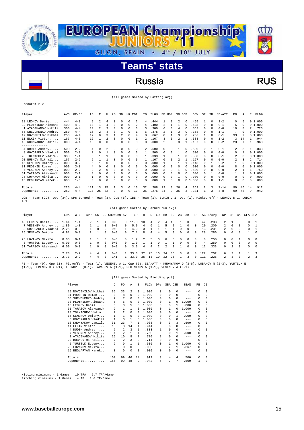

# Russia RUS

|  |  |  |  |  | (All games Sorted by Batting avg) |
|--|--|--|--|--|-----------------------------------|
|--|--|--|--|--|-----------------------------------|

| Player                                                                                                                                | AVG  | $GP - GS$ | AB             | R                       | Н        | 2B       | 3B | HR           | RBI          | TB           | $SLG$ $%$ | BB HBP |              | SO GDP         |          | OB%                    | SF       | SH       | SB-ATT   | PO.          | Α            | E        | $FLD$ $%$ |
|---------------------------------------------------------------------------------------------------------------------------------------|------|-----------|----------------|-------------------------|----------|----------|----|--------------|--------------|--------------|-----------|--------|--------------|----------------|----------|------------------------|----------|----------|----------|--------------|--------------|----------|-----------|
| 18 LEONOV Denis                                                                                                                       | .444 | $4 - 3$   | 9              | $\overline{\mathbf{c}}$ | 4        | $\Omega$ | 0  | 0            | 2            | 4            | 444       |        | 0            | 2              | $\Omega$ | .455                   |          | $\Omega$ | $2 - 2$  | 0            |              |          | 01.000    |
| 33 PLOTNIKOV Alexand                                                                                                                  | .400 | $4 - 3$   | 10             |                         | 4        | $\Omega$ | 0  | 0            | 2            | 4            | .400      | 2      |              |                |          | .538                   | $\Omega$ | $\Omega$ | $0 - 1$  | 5            | $\Omega$     |          | 01.000    |
| 1 ATADZHANOV Nikita                                                                                                                   | .300 | $4 - 4$   | 10             | 2                       | 3        | $\Omega$ | 0  | $\Omega$     | 0            | 3            | .300      | 6      | 0            | 4              | $\Omega$ | .563                   | 0        | $\Omega$ | $0 - 0$  | 10           | 8            |          | .720      |
| 55 SHEVCHENKO Andrey                                                                                                                  | .250 | $4 - 4$   | 16             | $\mathfrak{D}$          | 4        | $\Omega$ |    | 0            |              | 6            | .375      | 2      |              | κ              |          | .368                   | 0        | $\Omega$ | $1 - 1$  | 7            | <sup>n</sup> |          | 01.000    |
| 19 NOVOZHILOV Mikhai                                                                                                                  | .250 | $4 - 4$   | 12             | $\Omega$                | ς        |          | 2  | <sup>n</sup> | 4            | R            | .667      | 0      |              | κ              | $\Omega$ | .286                   | 1        | $\Omega$ | $0 - 1$  | 33           | 2            |          | 01.000    |
| 11 ELKIN Victor                                                                                                                       | .167 | $4 - 3$   | 12             |                         | 2        | $\Omega$ | 0  | 0            |              |              | .167      | 3      | 0            | $\mathfrak{D}$ |          | .333                   | $\Omega$ | $\Omega$ | $1 - 2$  | 3            | 14           |          | .944      |
| 10 KHOMYAKOV Daniil.                                                                                                                  | .000 | $4 - 4$   | 10             | 0                       | 0        | $\Omega$ | 0  | 0            | 0            | <sup>n</sup> | .000      | 2      | $\Omega$     | κ              |          | .167                   | $\Omega$ | $\Omega$ | $0 - 2$  | 23           |              |          | .968      |
| . _ _ _ _ _ _ _ _ _ _ _ _ _                                                                                                           |      |           |                |                         |          |          |    |              |              |              |           |        |              |                |          |                        |          |          |          |              |              |          |           |
| 4 DUDIN Andrey                                                                                                                        | .500 | $2 - 2$   | 4              | 0                       | 2        | $\Omega$ | 0  | $\Omega$     | 0            | 2            | .500      | 0      | $\Omega$     |                | 0        | .500                   | $\Omega$ | 1        | $0 - 1$  | 2            | 3            |          | .833      |
| 8 GOVORADLO Vladisl                                                                                                                   | .500 | $2 - 0$   | $\mathfrak{D}$ | $\Omega$                |          | $\Omega$ | 0  | $\Omega$     | 0            | 1            | .500      | 0      | 0            |                | $\Omega$ | .500                   | $\Omega$ | $\Omega$ | $0 - 0$  | 0            | 1            |          | 01.000    |
| 28 TOLMACHEV Vadim                                                                                                                    | .333 | $1 - 1$   |                |                         |          | $\Omega$ | 0  | <sup>n</sup> | <sup>n</sup> |              | 333       |        | <sup>n</sup> |                |          | .500                   | 0        | $\Omega$ | $0 - 1$  |              | $\Omega$     |          | 01.000    |
| 20 BUBNOV Mikhail                                                                                                                     | .167 | $2 - 2$   | Б.             |                         |          | $\Omega$ | 0  | 0            | <sup>n</sup> |              | .167      | 0      | 0            | 2              |          | .167                   | 0        | $\Omega$ | $0 - 0$  | 2            |              | 2        | .714      |
| 15 SEMENOV Dmitry                                                                                                                     | .000 | $3 - 2$   | 6              |                         | U        | $\Omega$ | 0  | 0            | 0            | n            | .000      |        | 0            |                |          | .143                   | 0        |          | $2 - 2$  | $\mathbf{1}$ | $\Omega$     |          | 01.000    |
| 81 PROSHIN Roman                                                                                                                      | .000 | $3 - 0$   | 4              | $\Omega$                | U        | $\Omega$ | 0  | 0            | 0            | 0            | .000      | 0      | <sup>n</sup> | <sup>n</sup>   |          | .000                   | 0        | $\Omega$ | $0 - 0$  | 8            | 0            |          | 01.000    |
| 7 VESENEV Andrey                                                                                                                      | .000 | $2 - 2$   | ς              | 2                       | $\Omega$ | $\Omega$ | 0  | 0            | 0            | 0            | .000      | 3      | $\Omega$     |                |          | .500                   | 0        | $\Omega$ | $0 - 0$  | 2            |              |          | .750      |
| 51 TARASOV Aleksandr                                                                                                                  | .000 | $2 - 1$   |                | $\Omega$                | U        |          | 0  | O            | 0            | 0            | .000      | 0      | $\Omega$     | n              |          | .000                   | 0        |          | $0 - 0$  |              |              | $\Omega$ | 1.000     |
| 25 LOVANOV Nikita                                                                                                                     | .000 | $2 - 1$   |                | 0                       | 0        | $\Omega$ | 0  | $\Omega$     | 0            | $\Omega$     | .000      | 0      | $\Omega$     | -1             | $\Omega$ | .000                   | 0        | $\Omega$ | $0 - 0$  | 0            | 0            | 0        | .000      |
| 16 BEGLARYAN Narek                                                                                                                    | .000 | $1 - 0$   | 0              | $\Omega$                | $\Omega$ | $\Omega$ | 0  | 0            | 0            | <sup>n</sup> | .000      |        | 0            | $\Omega$       |          | .000<br>0 <sub>1</sub> | 0        | $\Omega$ | $1 - 1$  | 0            | 0            | $\Omega$ | .000      |
|                                                                                                                                       | .225 | $4 - 4$   | 111            | 13                      | 25       |          | 3  | 0            | 10           | 32           | .288      | 22     | 3            | 26             | 4        | .362                   | 2        | 3        | $7 - 14$ | 99           | 46           | 14       | .912      |
| Opponents                                                                                                                             | .252 | $4 - 4$   | 127            | 25                      | 32       | 3        | 0  | 0            | 17           | 35           | .276      | 24     | 3            | 35             |          | .381                   |          | 3        | $4 - 8$  | 99           | 48           | 9        | .942      |
| LOB - Team (29), Opp (34). DPs turned - Team (3), Opp (5). IBB - Team (1), ELKIN V 1, Opp (1). Picked off - LEONOV D 1, DUDIN<br>A 1. |      |           |                |                         |          |          |    |              |              |              |           |        |              |                |          |                        |          |          |          |              |              |          |           |

|                                                                                 |                              |                                          |                                  |                      |                                  |                          |                                                  | (All games Sorted by Earned run avg) |                    |              |                                       |             |                    |                          |                            |                                              |                           |                              |                                                |                                           |                                              |                                  |                                  |
|---------------------------------------------------------------------------------|------------------------------|------------------------------------------|----------------------------------|----------------------|----------------------------------|--------------------------|--------------------------------------------------|--------------------------------------|--------------------|--------------|---------------------------------------|-------------|--------------------|--------------------------|----------------------------|----------------------------------------------|---------------------------|------------------------------|------------------------------------------------|-------------------------------------------|----------------------------------------------|----------------------------------|----------------------------------|
| Player                                                                          | ERA                          | $W-L$                                    | APP                              | GS                   |                                  | CG SHO/CBO SV            |                                                  | ΙP                                   | Н                  | R            | ER                                    | BB          | SO                 | 2B                       | 3B                         | HR                                           |                           | AB B/Avg                     | WP HBP                                         |                                           | BK                                           | SFA SHA                          |                                  |
| 18 LEONOV Denis<br>7 VESENEV Andrey<br>8 GOVORADLO Vladisl<br>15 SEMENOV Dmitry | 1.64<br>1.80<br>2.25<br>4.91 | $1 - 1$<br>$1 - 0$<br>$0 - 0$<br>$0 - 0$ | $\mathfrak{D}$<br>$\overline{2}$ | $\Omega$             | $\Omega$<br>$\Omega$<br>$\Omega$ | 0/0<br>0/0<br>0/0<br>0/0 | $\Omega$<br>$\Omega$<br>$\mathbf{1}$<br>$\Omega$ | 1.0<br>5.0<br>4.0<br>7.1             | 10<br>-4<br>R      | 4<br>6.<br>4 | $\mathcal{L}$<br>4                    | 4<br>5<br>5 | 15<br>9            | <sup>n</sup><br>$\Omega$ | <sup>n</sup><br>$\cap$     | $\Omega$<br>$\Omega$<br>$\Omega$<br>$\Omega$ | 42<br>2.0<br>13<br>2.8    | .238<br>.200<br>.231<br>.286 | $2^{\circ}$<br>$\overline{2}$<br>2<br>$\Omega$ | $\Omega$<br>$\Omega$<br>$\Omega$          | $\Omega$<br>$\Omega$<br>$\Omega$<br>$\Omega$ | $\Omega$<br>$\Omega$<br>$\Omega$ | $\Omega$                         |
| 25 LOVANOV Nikita<br>5 YURTSUK Evgeny<br>51 TARASOV Aleksandr                   | 0.00<br>0.00<br>6.00         | $0 - 1$<br>$0 - 0$<br>$0 - 0$            |                                  | $\Omega$<br>$\Omega$ | $\cap$<br>$\Omega$<br>$\Omega$   | 0/0<br>0/0<br>0/0        | $\mathsf{O}$<br>$\Omega$<br>$\Omega$             | 1.2.<br>1.0<br>3.0                   | $\mathcal{L}$<br>4 | 5.<br>4      | $\Omega$<br>$\Omega$<br>$\mathcal{L}$ | 6<br>2      | 5.<br>$\mathbf{2}$ | $\Omega$<br>$\Omega$     | $\cap$<br>$\cap$<br>$\cap$ | $\Omega$<br>$\Omega$<br>$\Omega$             | R<br>$\overline{4}$<br>12 | 250<br>250<br>.333           | $\cap$<br>$\cap$<br>$\Omega$                   | $\mathbf{v}$<br>$\Omega$<br>$\mathcal{L}$ | $\cap$<br>$\Omega$                           | $\Omega$<br>$\Omega$<br>$\Omega$ | $\Omega$<br>$\Omega$<br>$\Omega$ |
| Totals<br>Opponents                                                             | 2.73<br>2.73                 | $2 - 2$<br>$2 - 2$                       | 4<br>4                           | 4<br>4               | 0                                | 0/0<br>/1                |                                                  | 33.0<br>33.0                         | 32<br>25           | 25<br>13     | 10<br>10                              | 2.4<br>2.2. | 35<br>26           | ર                        | $\Omega$                   | $^{\circ}$                                   | 127<br>111                | .252<br>.225                 | 6.<br>$\mathbf{2}$                             | ર<br>3                                    | $\Omega$                                     | $\mathbf{2}^{\circ}$             | -3                               |

PB - Team (0), Opp (1). Pickoffs - Team (1), VESENEV A 1, Opp (2). SBA/ATT - KHOMYAKOV D (3-6), LOBANOV N (2-3), YURTSUK E (1-1), SEMENOV D (0-1), LEONOV D (0-1), TARASOV A (1-1), PLOTNIKOV A (1-1), VESENEV A (0-1).

#### (All games Sorted by Fielding pct)

| Player                   | C   | PO.            | A              | E.             | FLD%  | <b>DPs</b>     | SBA CSB        |              | SBA%    | PB       | CI       |
|--------------------------|-----|----------------|----------------|----------------|-------|----------------|----------------|--------------|---------|----------|----------|
| 19 NOVOZHILOV Mikhai     | 35  | 33             | $\mathfrak{D}$ | $\Omega$       | 1,000 | 3              | 0              | 0            | $- - -$ | $\Omega$ | $\Omega$ |
| PROSHIN Roman<br>81      | 8   | 8              | 0              | 0              | 1,000 | 0              | $\Omega$       | 0            | $- - -$ | 0        | 0        |
| SHEVCHENKO Andrey<br>55. | 7   | 7              | $\mathbf 0$    | 0              | 1,000 | 0              | 0              | $\Omega$     | $- - -$ | $\Omega$ | $\Omega$ |
| 33 PLOTNIKOV Alexand     | 5   | 5              | 0              | $\Omega$       | 1,000 | 0              | 1              | 0            | 1,000   | $\Omega$ | $\Omega$ |
| LEONOV Denis<br>18       | 5   | 0              | 5              | 0              | 1,000 | 0              | 0              | 1.           | .000    | $\Omega$ | $\Omega$ |
| TARASOV Aleksandr<br>51. | 2   | $\mathbf{1}$   | 1              | 0              | 1,000 | 0              |                | <sup>0</sup> | 1,000   | 0        | 0        |
| TOLMACHEV Vadim<br>28    | 2   | $\mathfrak{D}$ | 0              | 0              | 1,000 | 0              | 0              | 0            | $- - -$ | $\Omega$ | $\Omega$ |
| 15 SEMENOV Dmitry        | 1   | 1              | 0              | 0              | 1,000 | 0              | 0              |              | .000    | 0        | 0        |
| GOVORADLO Vladisl        | 1   | 0              | $\mathbf{1}$   | $\Omega$       | 1,000 | 0              | 0              | $\Omega$     | $-- -$  | $\Omega$ | $\Omega$ |
| KHOMYAKOV Daniil.<br>10  | 31  | 23             | 7              | 1              | .968  | 0              | 3              | 3            | .500    | 0        | $\Omega$ |
| ELKIN Victor<br>11       | 18  | 3              | 14             | 1              | .944  | 3              | 0              | $\Omega$     | $- - -$ | 0        | 0        |
| 4 DUDIN Andrey           | 6   | 2              | 3              | 1              | .833  |                | 0              | 0            | $- - -$ | $\Omega$ | $\Omega$ |
| 7 VESENEV Andrey         | 4   | 2              | $\mathbf{1}$   | 1              | .750  | 0              | 0              | 1            | .000    | 0        | 0        |
| 1 ATADZHANOV Nikita      | 25  | 10             | 8              | 7              | .720  | $\mathfrak{D}$ | 0              | 0            | $-- -$  | 0        | $\Omega$ |
| BUBNOV Mikhail<br>20.    | 7   | $\mathfrak{D}$ | 3              | $\mathfrak{D}$ | .714  | 0              | 0              | 0            | $- - -$ | $\Omega$ | $\Omega$ |
| 5 YURTSUK Evgeny         | 2   | 0              | 1              | $\mathbf{1}$   | .500  | 0              | 1              | <sup>0</sup> | 1,000   | 0        | 0        |
| 25 LOVANOV Nikita        | 0   | 0              | $\Omega$       | $\Omega$       | .000  | $\Omega$       | $\mathfrak{D}$ | 1            | .667    | 0        | $\Omega$ |
| BEGLARYAN Narek<br>16    | 0   | 0              | 0              | 0              | .000  | 0              | 0              | 0            | $- - -$ | $\Omega$ | 0        |
|                          |     |                |                |                |       |                |                |              |         |          |          |
| Totals                   | 159 | 99             | 46             | 14             | .912  | 3              | 4              | 4            | .500    | 0        | 0        |
| Opponents                | 156 | 99             | 48             | 9              | .942  | 5              | 7              | 7            | .500    | 1        | $\Omega$ |
|                          |     |                |                |                |       |                |                |              |         |          |          |

Hitting minimums - 1 Games 10 TPA 2.7 TPA/Game Pitching minimums - 1 Games 4 IP 1.0 IP/Game

**www.baseballeurope.com** 15

record: 2-2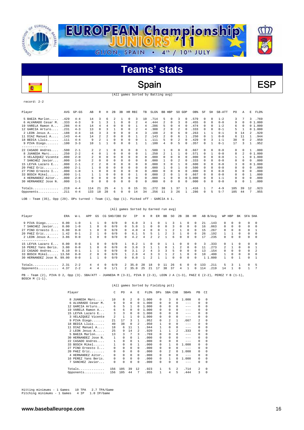

(All games Sorted by Batting avg)

Spain BSP

record: 2-2

ō

 $\overline{a}$ 

| Player                                                                                                                                                        | AVG   | $GP - GS$ | AB  | R        | н              | 2B       | 3B       | HR RBI   |    | TB       | SLG <sup>§</sup> | BB.                 | HBP          | SO GDP   |              | OB <sup>8</sup> | SF       | SH       | SB-ATT  | PO. | Α        | E        | FLD%   |
|---------------------------------------------------------------------------------------------------------------------------------------------------------------|-------|-----------|-----|----------|----------------|----------|----------|----------|----|----------|------------------|---------------------|--------------|----------|--------------|-----------------|----------|----------|---------|-----|----------|----------|--------|
| 5 BAEZA Marlon                                                                                                                                                | .429  | $4 - 4$   | 14  | 3        | 6              |          |          | $\Omega$ | 3  | 10       | .714             | 5.                  | $\Omega$     | 3        | 0            | .579            | 0        | $\Omega$ | $1 - 2$ | 3   |          | 3        | .769   |
| 6 ALVARADO Cesar M.                                                                                                                                           | .333  | $4 - 3$   | 9   |          | 3              |          | 0        | 0        | 2  | 4        | .444             | 2                   | 0            | 3        | 0            | .455            | 0        | n        | $0 - 0$ | 9   | 0        |          | 01.000 |
| 19 VARELA Ramon A                                                                                                                                             | . 286 | $4 - 4$   | 14  | 4        |                | $\Omega$ | 0        | $\Omega$ |    | 4        | .286             |                     | $\Omega$     | 4        | $\Omega$     | .474            | 0        | $\Omega$ | $1 - 2$ | 6   | 0        |          | 01.000 |
| 12 GARCIA Arturo                                                                                                                                              | .231  | $4 - 3$   | 13  | n        |                |          | 0        | $\Omega$ |    | 4        | .308             |                     | $\Omega$     |          | $\Omega$     | .333            | 0        | $\Omega$ | $0 - 1$ | 5   |          |          | 01.000 |
| 2 LEON Jesus A                                                                                                                                                | .188  | $4 - 4$   | 16  | 3        |                | $\Omega$ |          | 0        | 4  | 3        | .188             | 2                   | $\Omega$     | 6        | $\Omega$     | . 263           |          |          | $0 - 1$ | 9   | 14       | 2        | .920   |
| 11 DIAZ Manuel A                                                                                                                                              | .143  | $4 - 4$   | 14  | 2        | $\mathfrak{D}$ | $\Omega$ |          | $\Omega$ |    |          | .143             |                     | $\Omega$     | 6        |              | .250            | 0        |          | $0 - 0$ | 6   | 11       |          | .944   |
| 18 BEDIA Lluis                                                                                                                                                | .111  | $4 - 4$   | 9   | 2        |                | $\Omega$ | 0        | $\Omega$ | 0  | 1.       | .111             |                     | $\Omega$     |          | $\Omega$     | .429            | 0        | 3        | $1 - 1$ | 38  | $\Omega$ | 2.       | .950   |
| 9 PIVA Diego                                                                                                                                                  | .100  | $3 - 3$   | 10  |          |                | $\Omega$ | 0        | $\Omega$ |    |          | .100             | 4                   | 0            | 5        | n            | .357            | 0        |          | $0 - 1$ | 17  | 3        |          | .952   |
| --------------                                                                                                                                                |       |           |     |          |                |          |          |          |    |          |                  |                     |              |          |              |                 |          |          |         |     |          |          |        |
| 22 CASADO Andres                                                                                                                                              | .500  | $2 - 1$   | 2   | 2        |                | $\Omega$ | 0        | 0        | 0  | 1        | .500             |                     | 0            | 0        | $\Omega$     | .667            | 0        | $\Omega$ | $0 - 0$ | 0   | $\Omega$ |          | .000   |
| 8 JUANEDA Marc                                                                                                                                                | .250  | $2 - 2$   | 4   | $\Omega$ |                | $\Omega$ | 0        | 0        | 0  | 1        | .250             | 2                   | 1            |          | $\Omega$     | .571            | 0        |          | $0 - 0$ | 8   | 2        | $\Omega$ | 1,000  |
| 3 VELAZQUEZ Vicente                                                                                                                                           | .000  | $2 - 0$   |     | n        |                |          |          | 0        | 0  | 0        | .000             | 0                   | $\Omega$     | $\Omega$ | $\Omega$     | .000            | 0        | n        | $0 - 0$ |     |          |          | 01.000 |
| 7 SANCHEZ Javier                                                                                                                                              | . 000 | $1 - 0$   |     | n        | $\Omega$       | $\Omega$ | 0        | $\Omega$ | 0  | 0        | .000             |                     | $\Omega$     |          | O            | .333            | 0        | 0        | $0 - 0$ | 0   | 0        | 0        | .000   |
| 15 LEYVA Lazaro E                                                                                                                                             | .000  | $2 - 1$   |     | 2        | $\Omega$       | $\Omega$ | 0        | 0        | 0  | $\Omega$ | .000             |                     | $\Omega$     |          | n            | .600            | 0        | $\Omega$ | $0 - 0$ | 3   | $\Omega$ |          | 01.000 |
| 20 PAEZ Eric                                                                                                                                                  | . 000 | $2 - 1$   |     | n        | $\Omega$       | $\Omega$ | 0        | $\Omega$ | 0  | $\cap$   | .000             |                     | $\Omega$     |          | $\Omega$     | .500            | 0        | $\Omega$ | $0 - 0$ | 0   | 0        | 0        | .000   |
| 27 PINO Ernesto I                                                                                                                                             | .000  | $1 - 0$   |     | n        |                | n        |          | 0        | 0  | $\Omega$ | .000             |                     | $\Omega$     | U        | $\Omega$     | .000            | $\Omega$ | $\Omega$ | $0 - 0$ | 0   | 0        | 0        | .000   |
| 33 BOSCH Mikel                                                                                                                                                | .000  | $1 - 1$   |     |          | $\Omega$       | $\Omega$ | 0        | $\Omega$ |    | $\Omega$ | .000             | 2                   | $\Omega$     |          | $\Omega$     | .667            | $\Omega$ | $\Omega$ | $0 - 0$ | 0   | 0        |          | .000   |
| 4 HERNANDEZ Aitor                                                                                                                                             | .000  | $2 - 0$   | 0   | $\Omega$ | $\Omega$       | $\Omega$ | 0        | 0        | 0  | $\Omega$ | .000             |                     | $\Omega$     | $\Omega$ | $\Omega$     | 1.000           | 0        | $\Omega$ | $1 - 1$ | 0   | 0        | 0        | .000   |
| 30 HERNANDEZ Jose N.                                                                                                                                          | .000  | $1 - 1$   | 0   | n        |                | n        |          | $\Omega$ | 0  | O.       | .000             | 0                   | n            | U        | <sup>0</sup> | .000            | 0        | $\Omega$ | $0 - 0$ | 0   | 0        |          | .000   |
| $Totals$                                                                                                                                                      | .219  | $4 - 4$   | 114 | 21       | 25             | 4        | -1.      | 0        | 15 | 31       | .272             | 38                  | $\mathbf{1}$ | 37       | 1            | .416            | 1        |          | $4 - 9$ | 105 | 39       | 12       | .923   |
| Opponents                                                                                                                                                     | .211  | $4 - 4$   | 133 | 18       | 28             | 6        | $\Omega$ | 0        | 14 | 34       | .256             | 11                  | 3            | 26       |              | .286            | 0        | 5        | $5 - 7$ | 105 | 44       | 7        | .955   |
| $m_{22}$ $m_{12}$ $m_{13}$ $m_{24}$ $m_{25}$ $m_{26}$ $m_{27}$ $m_{18}$ $m_{29}$ $m_{19}$ $m_{10}$ $m_{11}$ $m_{12}$ $m_{13}$ $m_{15}$ $m_{16}$<br>$T \cap D$ |       |           |     |          |                |          |          |          |    |          |                  | $C1 + C1 + C2 + C3$ |              |          |              |                 |          |          |         |     |          |          |        |

OB - Team (35), Opp (29). DPs turned - Team (1), Opp (1). Picked off - GARCIA A 1.

#### (All games Sorted by Earned run avg)

| Player                     | ERA  | $W-L$   | APP          | GS         |          | CG SHO/CBO SV |              | ΙP   | Н  | R  | ER           | BB | SO. | 2B       | 3B       | HR       |     | AB B/Avq |               | WP HBP       | BK       | SFA SHA  |                |
|----------------------------|------|---------|--------------|------------|----------|---------------|--------------|------|----|----|--------------|----|-----|----------|----------|----------|-----|----------|---------------|--------------|----------|----------|----------------|
| 9 PIVA Diego               | 0.00 | $1 - 0$ |              |            | 0        | 0/0           | 0            | 6.0  |    |    |              |    |     |          | 0        | 0        | 21  | .143     | 0             | 0            | 0        | 0        | $\Omega$       |
| 7 SANCHEZ Javier           | 0.00 | $1 - 0$ |              | $\Omega$   | $\Omega$ | 0/0           | $\cap$       | 5.0  |    | 0  | $\Omega$     |    | ર   | $\Omega$ | 0        | $\Omega$ | 16  | .063     | $\Omega$      | $\Omega$     | $\Omega$ | $\Omega$ | $\Omega$       |
| 27 PINO Ernesto I          | 0.00 | $0 - 0$ |              | $^{\circ}$ | 0        | 0/0           | 0            | 4.0  |    | 0  | 0            |    |     |          | 0        |          | 15  | .267     | $\Omega$      | 0            | 0        | 0        |                |
| $20$ PAEZ Eric             | 1.42 | $0 - 1$ |              |            | $\Omega$ | 0/0           | $\cap$       | 6.1  | 5  | г, |              |    |     |          | $\Omega$ | $\Omega$ | 26  | .192     |               |              | $\Omega$ | 0        | $\Omega$       |
| 2 LEON Jesus A             | 3.86 | $0 - 0$ |              | $\Omega$   | 0        | 0/0           | $\Omega$     | 4.2  | 4  |    |              |    | 6   | $\Omega$ | 0        |          | 17  | .235     | 0             | $\Omega$     | $\Omega$ | $\Omega$ | $\Omega$       |
| --------------             |      |         |              |            |          |               |              |      |    |    |              |    |     |          |          |          |     |          |               |              |          |          |                |
| 15 LEYVA Lazaro E          | 0.00 | $0 - 0$ |              | $\Omega$   | $\Omega$ | 0/0           |              | 0.2  |    |    | <sup>0</sup> |    |     |          | 0        |          | 3   | .333     | 0             |              | $\Omega$ | $\Omega$ | $\Omega$       |
| 16 PEREZ Yans Beris.       | 3.00 | $0 - 0$ |              | $\Omega$   | $\Omega$ | 0/0           | <sup>n</sup> | 3.0  |    |    |              |    |     | 2        | n        |          |     | 273      | $\mathcal{L}$ |              | $\Omega$ | $\Omega$ |                |
| 22 CASADO Andres           | 8.10 | $0 - 1$ |              |            | $\Omega$ | 0/0           | ∩.           | 3.1  |    | 4  |              |    | ь.  |          | $\Omega$ |          | 13  | .154     | 0             | <sup>n</sup> | $\cap$   | 0        | $\mathfrak{D}$ |
| 33 BOSCH Mikel 13.50       |      | $0 - 0$ | $\mathbf{2}$ | $\Omega$   | 0        | 0/0           |              | 2.0  |    |    |              |    |     |          | 0        | 0        | 10  | .400     |               | $\Omega$     | $\Omega$ | $\Omega$ | $\Omega$       |
| 30 HERNANDEZ Jose N. 99.00 |      | $0 - 0$ |              |            | $\Omega$ | 0/0           | $\cap$       | 0.0  |    |    |              |    |     | $\Omega$ | 0        | $\Omega$ | 11  | .000     |               | $\Omega$     |          | 0        | $\overline{1}$ |
| Totals                     | 2.31 | $2 - 2$ | 4            | 4          | $\Omega$ | 0/0           |              | 35.0 | 28 | 18 | 9            |    | 26  | 6        | $\Omega$ |          | 133 | .211     | 5.            | 3            |          | $\Omega$ | 5              |
| Opponents                  | 4.37 | $2 - 2$ | 4            | 4          | $\Omega$ | 1/1           |              | 35.0 | 25 | 21 |              | 38 | 37  | 4        |          |          | 14  | .219     | 14            |              | $\cap$   |          | 7              |
|                            |      |         |              |            |          |               |              |      |    |    |              |    |     |          |          |          |     |          |               |              |          |          |                |

PB - Team (2), PIVA D 2, Opp (3). SBA/ATT - JUANEDA M (3-3), PIVA D (2-3), LEON J A (1-3), PAEZ E (2-2), PEREZ Y B (1-1),<br>BOSCH M (1-1).

#### (All games Sorted by Fielding pct)

| Player |                      | C   | P <sub>0</sub> | A        | E.       | FLD%  | DPs | SBA CSB        |              | SBA%    | PB       | CI       |
|--------|----------------------|-----|----------------|----------|----------|-------|-----|----------------|--------------|---------|----------|----------|
| 8.     | JUANEDA Marc         | 10  | 8              | 2        | 0        | 1,000 | 0   | 3              | 0            | 1,000   | $\Omega$ | $\Omega$ |
|        | 6 ALVARADO Cesar M.  | 9   | 9              | $\Omega$ | 0        | 1,000 | 0   | 0              | 0            | $- - -$ | $\Omega$ | $\Omega$ |
| 12.    | GARCIA Arturo        | 6   | 5              | 1        | $\Omega$ | 1,000 | 0   | 0              | 0            | $- - -$ | $\Omega$ | $\Omega$ |
|        | 19 VARELA Ramon A    | 6   | 6              | $\Omega$ | 0        | 1,000 | 0   | 0              | 0            | $- - -$ | $\Omega$ | $\Omega$ |
|        | 15 LEYVA Lazaro E    | 3   | 3              | $\Omega$ | $\Omega$ | 1,000 | 0   | 0              | <sup>0</sup> | $- - -$ | $\Omega$ | $\Omega$ |
|        | 3 VELAZQUEZ Vicente  | 2   | 1              | 1        | 0        | 1,000 | 0   | 0              | 0            | $- - -$ | $\Omega$ | $\Omega$ |
|        | 9 PIVA Diego         | 21  | 17             | 3        | 1        | .952  | 0   | 2              | 1            | .667    | 2        | 0        |
|        | 18 BEDIA Lluis       | 40  | 38             | $\Omega$ | 2        | .950  | 1   | 0              | 0            | $- - -$ | 0        | 0        |
|        | 11 DIAZ Manuel A     | 18  | 6              | 11       | 1        | .944  |     | 0              | 0            | $- - -$ | $\Omega$ | $\Omega$ |
|        | 2 LEON Jesus A       | 25  | 9              | 14       | 2        | .920  |     |                | 2.           | .333    | $\Omega$ | $\Omega$ |
|        | 5 BAEZA Marlon       | 13  | 3              | 7        | 3        | .769  | 0   | 0              | 0            | $-- -$  | 0        | 0        |
| 30.    | HERNANDEZ Jose N.    | 1   | 0              | $\Omega$ | 1        | .000  | 0   | 0              | 0            | $- - -$ | $\Omega$ | $\Omega$ |
|        | 22 CASADO Andres     | 1   | 0              | $\Omega$ | 1        | .000  | 0   | 0              | 0            | $- - -$ | $\Omega$ | $\Omega$ |
|        | 33 BOSCH Mikel       | 1   | 0              | $\Omega$ | 1        | .000  | 0   |                | <sup>0</sup> | 1,000   | 0        | $\Omega$ |
| 27     | PINO Ernesto I       | 0   | $\Omega$       | $\Omega$ | 0        | .000  | 0   | 0              | 0            | $- - -$ | $\Omega$ | $\Omega$ |
|        | 20 PAEZ Eric         | 0   | $\Omega$       | $\Omega$ | $\Omega$ | .000  | 0   | $\mathfrak{D}$ | <sup>0</sup> | 1,000   | $\Omega$ | $\Omega$ |
| 4      | HERNANDEZ Aitor      | 0   | $\Omega$       | $\Omega$ | $\Omega$ | .000  | 0   | 0              | <sup>0</sup> | $- - -$ | $\Omega$ | $\Omega$ |
|        | 16 PEREZ Yans Beris. | 0   | 0              | $\Omega$ | $\Omega$ | .000  | 0   | 1              | <sup>0</sup> | 1.000   | $\Omega$ | $\Omega$ |
| 7      | SANCHEZ Javier       | 0   | 0              | $\Omega$ | $\Omega$ | .000  | 0   | 0              | 0            | $--$    | $\Omega$ | $\Omega$ |
|        | Totals               | 156 | 105            | 39       | 12       | .923  | 1   | 5              | 2.           | .714    | 2        | $\Omega$ |
|        | Opponents            | 156 | 105            | 44       | 7        | .955  | 1   | 4              | 5            | .444    | 3        | 0        |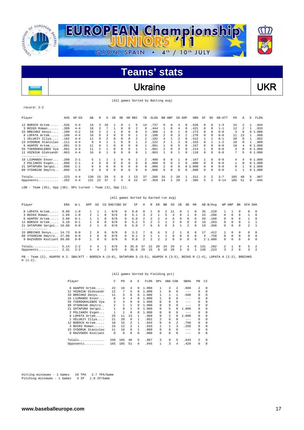

### Ukraine VKR

(All games Sorted by Batting avg)

record: 2-2

 $\overline{\phantom{a}}$ 

| Player                                                                                                                                                                                                                                                                                        | AVG  | $GP - GS$ | AB       | R                        | Н        | 2B       | 3B                   | HR       | RBI          | TВ       | SLG <sup>8</sup> | BB.      | HBP        | SO.      | GDP            | OB%  | SF       | SH       | SB-ATT   | PO.      | Α              | E | FLD%   |
|-----------------------------------------------------------------------------------------------------------------------------------------------------------------------------------------------------------------------------------------------------------------------------------------------|------|-----------|----------|--------------------------|----------|----------|----------------------|----------|--------------|----------|------------------|----------|------------|----------|----------------|------|----------|----------|----------|----------|----------------|---|--------|
| 12 BORSCH Artem                                                                                                                                                                                                                                                                               | .526 | $4 - 4$   | 19       | 3                        | 10       |          |                      |          | 5            | 14       | .737             | 0        | $\Omega$   | 3        | 0              | .526 |          |          | $1 - 3$  | 15       |                |   | .944   |
| 3 BOIKO Roman                                                                                                                                                                                                                                                                                 | .389 | $4 - 4$   | 18       |                          |          |          | $\Omega$             | $\Omega$ |              | 8        | .444             | 1        | $\Omega$   | 4        | $\Omega$       | .421 | $\Omega$ | $\Omega$ | $1 - 1$  | 12       | $\mathfrak{D}$ |   | .933   |
| 33 BRECHKO Denys                                                                                                                                                                                                                                                                              | .200 | $4 - 2$   | 10       | $\mathfrak{D}$           |          |          | 0                    | $\Omega$ | <sup>n</sup> | κ        | .300             |          | $\Omega$   |          |                | .273 | $\Omega$ |          | $0 - 0$  | 3        | я              |   | 01.000 |
| 8 LOPATA Artem                                                                                                                                                                                                                                                                                | .188 | $4 - 4$   | 16       |                          |          | $\Omega$ | <sup>n</sup>         | $\cap$   |              |          | .188             | 2        | $\Omega$   | κ        |                | .278 | $\Omega$ | $\Omega$ | $0 - 0$  | 11       | 13             |   | .960   |
| 1 VELUKIY Illya                                                                                                                                                                                                                                                                               | .182 | $4 - 4$   | 11       | $\Omega$                 |          | $\Omega$ | 0                    | $\Omega$ | 2            | 2        | .182             | 4        |            | 2        | 0              | .412 |          |          | $0 - 1$  | 20       | $\Omega$       |   | .952   |
| 23 SYDORUK Stanislav                                                                                                                                                                                                                                                                          | .111 | $4 - 4$   | 9        |                          |          |          |                      |          |              |          | .222             |          |            |          |                | .333 |          |          | $1 - 2$  | 1 O      |                |   | .909   |
| 6 AGAPOV Artem                                                                                                                                                                                                                                                                                | .091 | $3 - 3$   | 11       |                          |          |          |                      | $\Omega$ | U            |          | .091             |          | $\Omega$   | 5        |                | .167 |          |          | $0 - 0$  | 18       | 4              |   | 01.000 |
| 55 TVERDOKHLEBOV Vya                                                                                                                                                                                                                                                                          | .091 | $4 - 4$   | 11       | $\overline{\mathcal{L}}$ |          | $\Omega$ | 0                    | $\Omega$ |              |          | .091             | 2.       | $\Omega$   |          |                | .214 |          | $\Omega$ | $0 - 0$  | 3        | 0              |   | 01.000 |
| 11 VOZNIUK Oleksandr                                                                                                                                                                                                                                                                          | .063 | $4 - 4$   | 16       |                          |          | 0        |                      | $\Omega$ | 0            |          | 063              |          | $\Omega$   |          | $\Omega$       | .118 | 0        | $\Omega$ | $0 - 0$  | 7        | 5              |   | 01.000 |
| --------------                                                                                                                                                                                                                                                                                |      |           |          |                          |          |          |                      |          |              |          |                  |          |            |          |                |      |          |          |          |          |                |   |        |
| 16 LIUMANOV Enver                                                                                                                                                                                                                                                                             | .200 | $2 - 1$   |          |                          |          |          | 0                    | $\Omega$ |              | 2        | .400             | 0        | $\Omega$   |          | 0              | .167 |          | $\Omega$ | $0 - 0$  | 4        | 4              |   | 01.000 |
| 2 POLIAKOV Evgen                                                                                                                                                                                                                                                                              | .000 | $2 - 1$   | 4        | $\Omega$                 | $\Omega$ | $\Omega$ | $\Omega$             | $\Omega$ | $\Omega$     | 0        | .000             | $\Omega$ | $\Omega$   | 2        | $\Omega$       | .000 | $\Omega$ | $\Omega$ | $0 - 0$  |          | 0              |   | 01.000 |
| 21 SHTAPURA Sergei                                                                                                                                                                                                                                                                            | .000 | $1 - 1$   | $\Omega$ | $\Omega$                 | 0        | 0        | 0                    | $\Omega$ | $\Omega$     | $\Omega$ | .000             | 2.       | $^{\circ}$ | $\Omega$ | 0 <sub>1</sub> | .000 | $\Omega$ | 0        | $0 - 0$  | $\Omega$ |                |   | 01.000 |
| 88 VYSHNIAK Dmytro                                                                                                                                                                                                                                                                            | .000 | $1 - 0$   | $\Omega$ |                          | 0        | $\Omega$ | 0                    | 0        | 0            | 0        | .000             | 0        | 0          | 0        | 0              | .000 | $\Omega$ | 0        | $0 - 0$  |          |                |   | 01.000 |
| $Totals$                                                                                                                                                                                                                                                                                      | .223 | $4 - 4$   | 130      | 15                       | 29       | 5        |                      |          | 13           | 37       | .285             | 16       | 2.         | 28       |                | .311 | 3        |          | $3 - 7$  | 105      | 40             | 5 | .967   |
| Opponents                                                                                                                                                                                                                                                                                     | .282 | $4 - 4$   | 131      | 22                       | 37       |          | 4                    | $\Omega$ | 22           | 47       | .359             | 24       |            | 29       |                | .385 | 5        | 2        | $9 - 14$ | 105      | 51             | 9 | .945   |
| $\frac{1}{2}$ and $\frac{1}{2}$ are $\frac{1}{2}$ and $\frac{1}{2}$ are $\frac{1}{2}$ and $\frac{1}{2}$ are $\frac{1}{2}$ and $\frac{1}{2}$ are $\frac{1}{2}$ and $\frac{1}{2}$ are $\frac{1}{2}$ and $\frac{1}{2}$ are $\frac{1}{2}$ and $\frac{1}{2}$ are $\frac{1}{2}$ and $\frac{1}{2}$ a |      |           |          |                          |          |          | $\sim$ $\sim$ $\sim$ |          |              |          |                  |          |            |          |                |      |          |          |          |          |                |   |        |

LOB - Team (35), Opp (38). DPs turned - Team (3), Opp (1).

|                                                                                                  |                              |                                                     |                                 |                                    |                                              |                                 |                                                      | (All games Sorted by Earned run avg) |                    |                                     |          |              |                          |                              |                                       |                                                              |                                      |                                      |                                            |                                               |                                          |                                  |                                  |
|--------------------------------------------------------------------------------------------------|------------------------------|-----------------------------------------------------|---------------------------------|------------------------------------|----------------------------------------------|---------------------------------|------------------------------------------------------|--------------------------------------|--------------------|-------------------------------------|----------|--------------|--------------------------|------------------------------|---------------------------------------|--------------------------------------------------------------|--------------------------------------|--------------------------------------|--------------------------------------------|-----------------------------------------------|------------------------------------------|----------------------------------|----------------------------------|
| Player                                                                                           | ERA                          | W-L                                                 | APP                             | GS                                 |                                              | CG SHO/CBO SV                   |                                                      | ΙP                                   | Н                  | R                                   | ER       | BB           | SO.                      | 2B                           | 3B                                    | HR                                                           |                                      | AB B/Avg                             |                                            | WP HBP                                        | BK                                       | SFA SHA                          |                                  |
| 8 LOPATA Artem<br>3 BOIKO Roman<br>6 AGAPOV Artem<br>12 BORSCH Artem<br>21 SHTAPURA Sergei 10.80 | 0.00<br>1.69<br>3.00<br>3.18 | $1 - 0$<br>$1 - 0$<br>$0 - 1$<br>$0 - 1$<br>$0 - 0$ | $\mathcal{L}$<br>$\overline{2}$ | $\Omega$                           | $\Omega$<br>$\Omega$<br>$\Omega$<br>$\Omega$ | 0/0<br>0/0<br>0/0<br>0/0<br>0/0 | $\Omega$<br>$\Omega$<br>$\cap$<br>$\Omega$<br>$\cap$ | 9.0<br>5.1<br>6.0<br>5.2<br>5.0      | 3<br>$\mathcal{L}$ | $\mathcal{L}$<br>$\mathcal{L}$<br>6 | 2<br>б.  | 5.<br>4<br>6 | 4<br>6<br>ર<br>ર         | $\cap$<br>$\cap$<br>$\Omega$ | $\Omega$<br>$\Omega$<br>$\mathcal{L}$ | <sup>0</sup><br>$\Omega$<br>$\Omega$<br>$\Omega$<br>$\Omega$ | 35<br>15<br>$20^{\circ}$<br>19<br>19 | .229<br>.200<br>.100<br>.263<br>.368 | $\Omega$<br>$\cap$<br>$\Omega$<br>$\Omega$ | $\Omega$<br><sup>n</sup><br>0<br><sup>n</sup> | 0<br>$\Omega$<br>$\cap$<br>0<br>$\Omega$ | $\Omega$<br>$\mathfrak{D}$       | $\Omega$<br>$\Omega$<br>$\Omega$ |
| 33 BRECHKO Denys 14.73<br>88 VYSHNIAK Dmytro 27.00<br>9 RAZVODOV Kostiant 99.00                  |                              | $0 - 0$<br>$0 - 0$<br>$0 - 0$                       | 2                               | $^{\circ}$<br>$\Omega$<br>$\Omega$ | $^{\circ}$<br>$\Omega$<br>0                  | 0/0<br>0/0<br>0/0               | $\cap$<br>$\Omega$<br>$\Omega$                       | 3.2<br>0.1<br>0.0                    | 2                  | 6<br>$\mathcal{L}$                  | 6.<br>2. | 2            | <sup>0</sup><br>$\Omega$ | $\cap$<br>$\cap$             | $\Omega$<br>$\Omega$<br>$\Omega$      | $\Omega$<br>$\Omega$<br>$\Omega$                             | 17<br>4                              | .412<br>.750<br>2, 1, 000            | $\Omega$<br>$\cap$                         | 0<br>$\Omega$<br><sup>n</sup>                 | 0<br>0<br>$\Omega$                       | $\Omega$<br>$\Omega$<br>$\Omega$ | $\Omega$<br>$\Omega$<br>$\Omega$ |
| Totals<br>Opponents                                                                              | 5.14<br>2.31                 | $2 - 2$<br>$2 - 2$                                  | 4<br>4                          | 4<br>4                             | $\mathcal{L}$                                | 0/0<br>0/0                      | 0<br>0                                               | 35.0<br>35.0                         | 37<br>29           | 2.2.<br>15                          | 20<br>9  | 2.4<br>16    | 29<br>28                 | 2<br>5.                      | 4<br>$\Omega$                         | <sup>0</sup>                                                 | 131<br>130                           | .282<br>.223                         | $\overline{2}$<br>3.                       | $\mathcal{L}$                                 | $^{\circ}$<br>$\cap$                     | 5.<br>3                          | $\overline{2}$                   |

PB - Team (2), AGAPOV A 2. SBA/ATT - BORSCH A (6-8), SHTAPURA S (5-5), AGAPOV A (3-5), BOIKO R (1-4), LOPATA A (2-2), BRECHKO<br>D (1-2).

#### (All games Sorted by Fielding pct)

|     | Player               | Ċ    | PO           | A        | E | FLD%  | DPs            | SBA CSB      |              | SBA%    | PB       | CI       |
|-----|----------------------|------|--------------|----------|---|-------|----------------|--------------|--------------|---------|----------|----------|
| 6.  | AGAPOV Artem         | 2.2. | 18           | 4        | 0 | 1,000 | 1              | 3.           | 2            | .600    | 2        | 0        |
| 11. | VOZNIUK Oleksandr    | 12   | 7            | 5        | 0 | 1,000 | 1              | 0            | 0            | $-- -$  | 0        | 0        |
|     | 33 BRECHKO Denys     | 11   | 3            | 8        | 0 | 1,000 |                |              | 1            | .500    | 0        | 0        |
|     | 16 LIUMANOV Enver    | 8    | 4            | 4        | 0 | 1,000 |                |              | 0            | $- - -$ | $\Omega$ | 0        |
| 55. | TVERDOKHLEBOV Vya    | 3    | 3            | $\Omega$ | 0 | 1,000 | 0              |              | 0            | $- - -$ | $\Omega$ | 0        |
| 88. | VYSHNIAK Dmytro      | 2    | $\mathbf{1}$ |          | 0 | 1,000 | 0              | 0            | 0            | $- - -$ | $\Omega$ | 0        |
|     | 21 SHTAPURA Sergei   | 1    | 0            |          | 0 | 1,000 | 0              | 5            | 0            | 1.000   | $\Omega$ | 0        |
|     | 2 POLIAKOV Evgen     |      |              | $\Omega$ | 0 | 1,000 | 0              |              | 0            | $- - -$ | $\Omega$ | 0        |
|     | 8 LOPATA Artem       | 25   | 11           | 13       | 1 | .960  | 0              | 2            | <sup>0</sup> | 1.000   | 0        | 0        |
|     | VELUKIY Illya        | 21   | 20           | $\Omega$ |   | .952  | $\mathfrak{D}$ | 0            | 0            | $- - -$ | $\Omega$ | 0        |
|     | 12 BORSCH Artem      | 18   | 15           | 2        |   | .944  | 0              | 6            | 2.           | .750    | 0        | 0        |
|     | 3 BOIKO Roman        | 15   | 12           | 2        |   | .933  |                |              | ર            | .250    | 0        | 0        |
|     | 23 SYDORUK Stanislav | 11   | 10           | 0        | 1 | .909  | 0              | 0            | 0            | $-- -$  | $\Omega$ | 0        |
|     | 9 RAZVODOV Kostiant  | 0    | 0            | $\Omega$ | 0 | .000  | 0              | <sup>n</sup> | $\Omega$     | $- - -$ | 0        | $\Omega$ |
|     | Totals               | 150  | 105          | 40       | 5 | .967  | 3              | 9            | 5            | .643    | 2        | 0        |
|     | Opponents            | 165  | 105          | 51       | 9 | .945  |                | 3            | 4            | .429    | 0        | 0        |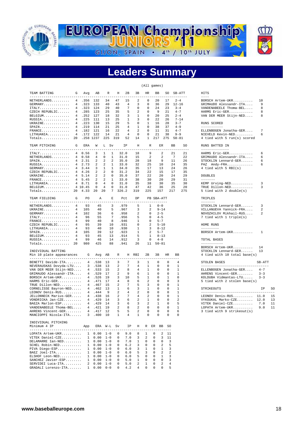

## **Leaders Summary**

(All games)

| TEAM BATTING                                    | G               | Avg             | AB                 | R                            | H       | 2B             | 3B             | <b>HR</b>      | BB           |             | SO           | SB-ATT          |         | HITS                                  |         |    |
|-------------------------------------------------|-----------------|-----------------|--------------------|------------------------------|---------|----------------|----------------|----------------|--------------|-------------|--------------|-----------------|---------|---------------------------------------|---------|----|
| ---------------------<br>NETHERLANDS            | $4\overline{ }$ | .356            | 132                | 34                           | 47      | 15             | 2              | 0              | 20           |             | 17           | $2 - 4$         |         | $---$<br>BORSCH Artem-UKR             | 10      |    |
|                                                 |                 |                 |                    |                              |         |                |                |                |              |             |              |                 |         |                                       |         |    |
| $GERMANY$                                       | 4               | .323            | 133                | 40                           | 43      | 4              | 3              | $\mathbf 0$    | 36           |             | 29           | $12 - 16$       |         | GRIMAUDO Alessandr-ITA                | 9       |    |
| ITALY.                                          | 4               | .323            | 124                | 29                           | 40      | 7              | 0              | 0              | 24           |             | 23           | $3 - 4$         |         | VANDENABEELE Thoma-BEL                | 8       |    |
| CZECH REPUBLIC                                  |                 | 4.285           | 123                | 25                           | 35      | 5              | $\mathfrak{D}$ | $\mathbf 0$    | 9            |             | 21           | $4 - 7$         |         | HARMS Eric-GER                        | 8       |    |
| BELGIUM                                         |                 | 4.252           | 127                | 18                           | 32      | 3              | $\mathbf{1}$   | $\mathbf 0$    | 20           |             | 25           | $2 - 4$         |         | VAN DER MEER Stijn-NED                | 8       |    |
| RUSSIA                                          |                 | 4.225           | 111                | 13                           | 25      | $\mathbf{1}$   | 3              | $\Omega$       | 22           |             | 26           | $7 - 14$        |         |                                       |         |    |
| UKRAINE                                         | $\overline{4}$  | . 223           | 130                | 15                           | 29      | 5              | $\mathbf 0$    | $\mathbf{1}$   | 16           |             | 28           | $3 - 7$         |         | RUNS SCORED                           |         |    |
| $SPAIN$                                         | $\overline{4}$  | .219            | 114                | 21                           | 25      | 4              | 1              | $\mathbf 0$    | 38           |             | 37           | $4 - 9$         |         | -----------                           |         |    |
| $\texttt{FRANCE} \dots \dots \dots \dots \dots$ | $\overline{4}$  | .182            | 121                | 16                           | 22      | 4              | $\overline{2}$ | $\mathbf 0$    | 11           |             | 31           | $4 - 7$         |         | ELLENBOGEN Jonatha-GER                | 7       |    |
| LITHUANIA                                       | $\overline{4}$  | .172            | 122                | 14                           | 21      | $\overline{4}$ | $\mathbf 0$    | $\mathbf 0$    | 21           |             | 38           | $9 - 9$         |         | NIEVELD Kevin-NED                     | 6       |    |
|                                                 |                 |                 |                    |                              | 319     |                |                |                |              |             |              | $50 - 81$       |         |                                       |         |    |
| Totals                                          | 20              | .258 1237       |                    | 225                          |         | 52             | 14             | $\mathbf{1}$   | 217          |             | 275          |                 |         | 4 tied with 5 run(s) scored           |         |    |
| TEAM PITCHING                                   | G               | ERA             | W                  | L Sv                         |         | ΙP             | Η              | R              |              | ER          |              | <b>BB</b>       | SO      | RUNS BATTED IN                        |         |    |
| -------------------------                       |                 |                 |                    |                              |         |                |                |                |              |             |              |                 | $- - -$ | --------------                        |         |    |
| ITALY.                                          | $\overline{4}$  | 0.56            | 3                  | 1<br>-1                      |         | 32.0           | 18             | 9              |              | 2           |              | 21              | 21      | HARMS Eric-GER                        | 6       |    |
| NETHERLANDS                                     | $\overline{4}$  | 0.58            | 4                  | 0<br>1                       |         | 31.0           | 15             | $\overline{2}$ |              | 2           |              | $7\phantom{.0}$ | 22      | GRIMAUDO Alessandr-ITA                | 6       |    |
| $SPAIN$                                         | $\overline{4}$  | 2.31            | 2                  | 2<br>2                       |         | 35.0           | 28             | 18             |              | 9           |              | 11              | 26      | STOCKLIN Lennard-GER                  | 6       |    |
| RUSSIA                                          | 4               | 2.73            | 2                  | 2<br>$\mathbf{1}$            |         | 33.0           | 32             | 25             |              | 10          |              | 24              | 35      | PAZ Andy-FRA                          | 6       |    |
| GERMANY                                         | 4               | 3.44            | 3                  | $\mathbf{1}$<br>$\mathbf{1}$ |         | 34.0           | 35             | 17             |              | 13          |              | 24              | 26      | 4 tied with 5 RBI(s)                  |         |    |
| CZECH REPUBLIC                                  |                 | 4 4.26          | 2                  | 2<br>0                       |         | 31.2           | 34             | 22             |              | 15          |              | 17              | 35      |                                       |         |    |
|                                                 |                 |                 |                    |                              |         |                |                |                |              |             |              |                 |         |                                       |         |    |
| $UKRAINE$                                       |                 | 4, 5.14         | 2                  | 2<br>0                       |         | 35.0           | 37             | 22             |              | 20          |              | 24              | 29      | <b>DOUBLES</b>                        |         |    |
| $\texttt{FRANCE} \dots \dots \dots \dots \dots$ |                 | 4 5.45          | 2                  | 2<br>1                       |         | 33.0           | 38             | 30             |              | 20          |              | 29              | 31      | -------                               |         |    |
| LITHUANIA                                       |                 | 4 8.71          | 0                  | 0<br>4                       |         | 31.0           | 35             | 38             |              | 30          |              | 35              | 30      | KEMP Urving-NED                       | 3       |    |
| BELGIUM                                         |                 | 4 10.45         | 0                  | $\overline{4}$<br>0          |         | 31.0           | 47             | 42             |              | 36          |              | 25              | 20      | TRUE Dillon-NED                       | 3       |    |
| $Totals$ 20                                     |                 | 4.33            | 20                 | 20<br>7                      |         | 326.2          | 319            | 225            |              | 157         | 217          |                 | 275     | 5 tied with 2 double(s)               |         |    |
| TEAM FIELDING                                   | G               | PO              | Α                  | Е                            |         | Pct            | DP             |                | PB SBA-ATT   |             |              |                 |         | TRIPLES                               |         |    |
| --------------------------                      |                 | $- - - -$       |                    | $- -$                        |         | ----           |                | ----           |              | ------      |              |                 |         | -------                               |         |    |
| NETHERLANDS                                     | 4               | 93              | 45                 | 3                            |         | .979           | 5              | 1              |              | $0 - 0$     |              |                 |         | STOCKLIN Lennard-GER                  | 3       |    |
| UKRAINE                                         | 4               | 105             | 40                 | 5                            |         | .967           | 3              | 2              |              | $9 - 14$    |              |                 |         | VILLANUEVA Yannick-FRA                | 2       |    |
| $GERMANY$                                       | 4               | 102             | 36                 | 6                            |         | .958           | 2              | $\mathbf 0$    |              | $2 - 5$     |              |                 |         | NOVOZHILOV Mikhail-RUS                | 2       |    |
| ITALY                                           | $\overline{4}$  | 96              | 55                 | 7                            |         | .956           | 5              | $\mathbf 0$    |              | $4 - 5$     |              |                 |         | 7 tied with 1 triple(s)               |         |    |
| $\texttt{FRANCE} \dots \dots \dots \dots$       | 4               | 99              | 40                 | 8                            |         | .946           | 1              | $\mathbf 0$    |              | $5 - 7$     |              |                 |         |                                       |         |    |
|                                                 |                 |                 |                    |                              |         |                |                |                |              |             |              |                 |         |                                       |         |    |
| CZECH REPUBLIC                                  | $\overline{4}$  | 95              | 39                 | 10                           |         | .931           | 0              | 2              |              | $5 - 10$    |              |                 |         | HOME RUNS                             |         |    |
| LITHUANIA                                       | $\overline{4}$  | 93              | 40                 | 10                           |         | .930           | $\mathbf{1}$   | 3              |              | $8 - 12$    |              |                 |         | ---------                             |         |    |
| SPAIN.                                          | $\overline{4}$  | 105             | 39                 | 12                           |         | .923           | 1              | $\overline{a}$ |              | $5 - 7$     |              |                 |         | BORSCH Artem-UKR                      | 1       |    |
| BELGIUM.                                        | $\overline{4}$  | 93              | 45                 | 13                           |         | .914           | 5              | $\mathbf{1}$   |              | $8 - 13$    |              |                 |         |                                       |         |    |
| RUSSIA                                          | 4               | 99              | 46                 | 14                           |         | .912           | 3              | $\mathbf 0$    |              | $4 - 8$     |              |                 |         | TOTAL BASES                           |         |    |
| Totals 20                                       |                 | 980             | 425                | 88                           |         | .941           | 26             | 11             |              | $50 - 81$   |              |                 |         | -----------                           |         |    |
|                                                 |                 |                 |                    |                              |         |                |                |                |              |             |              |                 |         | BORSCH Artem-UKR                      | 14      |    |
| INDIVIDUAL BATTING                              |                 |                 |                    |                              |         |                |                |                |              |             |              |                 |         | STOCKLIN Lennard-GER                  | 13      |    |
| Min 10 plate appearances                        |                 | G               | Avg                | AB                           | R       |                | H RBI          | 2B             | 3B           |             | <b>HR</b>    | BB              |         | 4 tied with 10 total base(s)          |         |    |
| -------------------------------                 |                 |                 |                    |                              | $- - -$ |                |                |                |              |             |              |                 |         |                                       |         |    |
| BENETTI Davide-ITA                              |                 | 4               | .538               | 13                           | 3       | 7              | 3              | 1              | 0            |             | 0            | 4               |         | STOLEN BASES                          | SB-ATT  |    |
| NEVERAUSKAS Dovyda-LTU                          |                 | 3               | .538               | 13                           | 2       | $\overline{7}$ | 4              | $\mathbf{1}$   | $\mathbf 0$  |             | 0            | $\mathbf{1}$    |         | _____________________________________ |         |    |
| VAN DER MEER Stijn-NED                          |                 | 4               | .533               | 15                           | 2       | 8              | 4              | 1              | 0            |             | $\mathbf 0$  | $\mathbf{1}$    |         | ELLENBOGEN Jonatha-GER                | $4 - 7$ |    |
| GRIMAUDO Alessandr-ITA                          |                 | $\overline{4}$  | .529               | 17                           | 2       | 9              | 6              | 1              | 0            |             | 0            | $\mathbf{1}$    |         | AHRENS Vincent-GER                    | $3 - 3$ |    |
| BORSCH Artem-UKR                                |                 | $\overline{4}$  | .526               | 19                           | 3       | 10             | 5              | $\mathbf{1}$   | $\mathbf 0$  |             | $\mathbf{1}$ | $\mathbf 0$     |         | KOLDUBA Vidmantas-LTU                 | $3 - 3$ |    |
| HARMS Eric-GER                                  |                 | $\overline{4}$  | .471               | 17                           | 4       | 8              | 6              | $\overline{c}$ | $\mathbf 0$  |             | 0            | 3               |         | 5 tied with 2 stolen base(s)          |         |    |
|                                                 |                 | $\overline{4}$  |                    |                              |         | 7              | 5              |                |              |             |              |                 |         |                                       |         |    |
| TRUE Dillon-NED                                 |                 |                 | .467               | 15                           | 2       |                |                | 3              | $\mathbf 0$  |             | 0            | $\mathbf{1}$    |         |                                       |         |    |
| CORNELISSE Bayron-NED                           |                 | $\overline{4}$  | .462               | 13                           | 1       | 6              | 3              | 1              | 0            |             | 0            | $\mathbf{1}$    |         | STRIKEOUTS                            | IP      | SO |
| LEONOV Denis-RUS                                |                 | $\overline{4}$  | .444               | 9                            | 2       | $\overline{4}$ | 2              | $\Omega$       | $\Omega$     |             | $\Omega$     | $\mathbf{1}$    |         | ___________________________________   |         |    |
| JELLONNECK Marius-GER                           |                 |                 | 4.438              | 16                           | 2       | 7              | $\overline{4}$ | 2              | 0            |             | 0            | $\mathbf{1}$    |         | $LEONOV$ Denis-RUS 11.0               |         | 15 |
| VONDRICKA Jan-CZE                               |                 | $\overline{4}$  | .429               | 14                           | 3       | 6              | $\overline{a}$ | $\mathbf{1}$   | $\mathbf 0$  |             | $\mathbf 0$  | $\overline{a}$  |         | VYKOUKAL Marko-CZE 12.0               |         | 13 |
| BAEZA Marlon-ESP                                |                 | $4\overline{ }$ | .429               | 14                           | 3       | 6              | 3              | 2              | 1            |             | $\mathbf 0$  | 5               |         | $VITERK$ Daniel-CZE                   | 7.0     | 11 |
| VANDENABEELE Thoma-BEL                          |                 | 4               | .421               | 19                           | 2       | 8              | 2              | 0              | 0            |             | 0            | 1               |         | LOPATA Artem-UKR                      | 9.0     | 11 |
|                                                 |                 |                 |                    |                              |         |                |                |                |              |             |              |                 |         |                                       |         |    |
| AHRENS Vincent-GER                              |                 | $\overline{4}$  | .417               | 12                           | 5       | 5              | $\overline{a}$ | $\mathbf 0$    | 0            |             | $\mathbf 0$  | 6               |         | 3 tied with 9 strikeout(s)            |         |    |
| MANCIOPPI Nicola-ITA                            |                 |                 | 3.400              | 10                           | 1       | $\overline{4}$ | $\mathbf{1}$   | $\mathbf 0$    | $\mathbf 0$  |             | $\mathbf 0$  | 0               |         |                                       |         |    |
| INDIVIDUAL PITCHING                             |                 |                 |                    |                              |         |                |                |                |              |             |              |                 |         |                                       |         |    |
|                                                 |                 |                 |                    | ERA W-L Sv                   |         |                |                |                |              |             |              |                 |         |                                       |         |    |
| Minimum 4 IP<br><u>uuuuuuuuuu</u>               |                 | App             |                    |                              |         | ΙP             | Н              |                | R ER BB      |             | - SO         |                 |         |                                       |         |    |
| LOPATA Artem-UKR                                |                 |                 | $1 \t 0.00 \t 1-0$ |                              | 0       | 9.0            | 8              | 1              | $\Omega$     | 2           | 11           |                 |         |                                       |         |    |
| VITEK Daniel-CZE                                |                 | $\mathbf{1}$    | 0.00               | $1 - 0$                      | 0       | 7.0            | 3              | 2              | $\Omega$     | 3           | 11           |                 |         |                                       |         |    |
|                                                 |                 |                 |                    |                              |         |                |                |                | $\mathbf{0}$ |             |              |                 |         |                                       |         |    |
| DELAMARRE Ian-NED                               |                 | $\mathbf{1}$    | 0.00               | $1 - 0$                      | 0       | 7.0            | 1              | 0              |              | 0           | 3            |                 |         |                                       |         |    |
| $SCHEL$ $Robin-NED$                             |                 |                 | $1 \quad 0.00$     | $1 - 0$                      | 0       | 6.2            | 3              | 0              | $\mathbf 0$  | 2           | 5            |                 |         |                                       |         |    |
| PIVA Diego-ESP                                  |                 |                 | $1 \quad 0.00$     | $1 - 0$                      | 0       | 6.0            | 3              | 1              | $\mathbf 0$  | 1           | 3            |                 |         |                                       |         |    |
| BAEZ Joel-ITA                                   |                 | $\mathbf{1}$    | 0.00               | $1 - 0$                      | 0       | 6.0            | 5              | 3              | $\mathbf 0$  | 2           | 2            |                 |         |                                       |         |    |
| ELSHOF Leon-NED                                 |                 | $\mathbf{1}$    | 0.00               | $1 - 0$                      | 0       | 6.0            | 5              | 0              | $\mathbf{0}$ | 1           | 3            |                 |         |                                       |         |    |
| SANCHEZ Javier-ESP                              |                 | $\mathbf{1}$    | 0.00               | $1 - 0$                      | 0       | 5.0            | 1              | 0              | $\mathbf 0$  | $\Omega$    | 3            |                 |         |                                       |         |    |
| SERVIDEI Luca-ITA                               |                 | 2               | 0.00               | $1 - 0$                      | 0       | 5.0            | 2              | 1              | 0            | 2           | 4            |                 |         |                                       |         |    |
| GRADALI Lorenzo-ITA                             |                 | 1               | 0.00               | $0 - 0$                      | 0       | 4.2            | $\overline{4}$ | $\mathsf 0$    | 0            | $\mathbf 0$ | 5            |                 |         |                                       |         |    |
|                                                 |                 |                 |                    |                              |         |                |                |                |              |             |              |                 |         |                                       |         |    |

| <b>IITS</b>                                                                                                                |                                                             |
|----------------------------------------------------------------------------------------------------------------------------|-------------------------------------------------------------|
| $- - - -$<br>BORSCH Artem-UKR<br>RIMAUDO Alessandr-ITA<br>/ANDENABEELE Thoma-BEL<br>ARMS Eric-GER<br>AN DER MEER Stijn-NED | 10<br>$\,9$<br>8<br>8<br>8                                  |
| UNS SCORED<br>.                                                                                                            |                                                             |
| ELLENBOGEN Jonatha-GER<br>VIEVELD Kevin-NED<br>I tied with 5 run(s) scored                                                 | $\overline{7}$<br>6                                         |
| UNS BATTED IN<br>.                                                                                                         |                                                             |
| ARMS Eric-GER<br>RIMAUDO Alessandr-ITA<br>STOCKLIN Lennard-GER<br>PAZ Andy-FRA<br>I tied with 5 RBI(s)                     | 6<br>6<br>- 6<br>- 6                                        |
| <b>OUBLES</b>                                                                                                              |                                                             |
| -------<br>EMP Urving-NED<br>TRUE Dillon-NED<br>i tied with 2 double(s)                                                    | $\overline{\mathbf{3}}$<br>$\overline{3}$                   |
| <b>TRIPLES</b><br>-------                                                                                                  |                                                             |
| STOCKLIN Lennard-GER<br>/ILLANUEVA Yannick-FRA<br>WOVOZHILOV Mikhail-RUS<br>tied with 1 triple(s)                          | $\overline{\mathbf{3}}$<br>$\overline{2}$<br>$\overline{2}$ |
| <b>IOME RUNS</b>                                                                                                           |                                                             |
| .<br>BORSCH Artem-UKR                                                                                                      | $\mathbf{1}$                                                |
| TOTAL BASES<br>.                                                                                                           |                                                             |
| BORSCH Artem-UKR<br>STOCKLIN Lennard-GER<br>I tied with 10 total base(s)                                                   | 14<br>13                                                    |
| <b>STOLEN BASES</b>                                                                                                        | SB-ATT<br>------                                            |
| ELLENBOGEN Jonatha-GER<br>NHENS Vincent-GER<br>NHRENS Vincent-GER<br>COLDUBA Vidmantas-LTU<br>i tied with 2 stolen base(s) | $4 - 7$<br>$3 - 3$<br>$3 - 3$                               |
| <b>STRIKEOUTS</b><br>                                                                                                      | ΙP                                                          |
| EONOV Denis-RUS 11.0<br>YYKOUKAL Marko-CZE 12.0<br>/ITEK Daniel-CZE<br>.OPATA Artem-UKR<br>died with 9 strikeout (s)       | $7.0$<br>9.0                                                |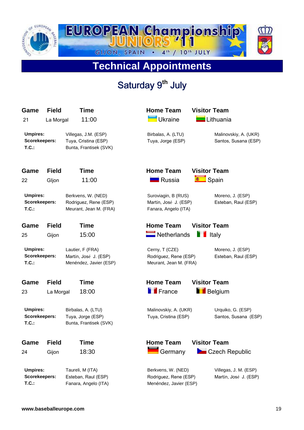

# **Technical Appointments**

# Saturday 9<sup>th</sup> July

| Game<br>21                               | <b>Field</b><br>La Morgal | <b>Time</b><br>11:00                                                   | <b>Home Team</b><br><b>Ukraine</b>                                    | <b>Visitor Team</b><br>Lithuania               |
|------------------------------------------|---------------------------|------------------------------------------------------------------------|-----------------------------------------------------------------------|------------------------------------------------|
| <b>Umpires:</b><br>Scorekeepers:<br>T.C. |                           | Villegas, J.M. (ESP)<br>Tuya, Cristina (ESP)<br>Bunta, Frantisek (SVK) | Birbalas, A. (LTU)<br>Tuya, Jorge (ESP)                               | Malinovskiy, A. (UKR)<br>Santos, Susana (ESP)  |
| Game                                     | <b>Field</b>              | <b>Time</b>                                                            | <b>Home Team</b>                                                      | <b>Visitor Team</b>                            |
| 22                                       | Gljon                     | 11:00                                                                  | <b>R</b> ussia                                                        | Spain                                          |
| <b>Umpires:</b><br>Scorekeepers:<br>T.C. |                           | Berkvens, W. (NED)<br>Rodriguez, Rene (ESP)<br>Meurant, Jean M. (FRA)  | Suroviagin, B (RUS)<br>Martín, José J. (ESP)<br>Fanara, Angelo (ITA)  | Moreno, J. (ESP)<br>Esteban, Raul (ESP)        |
| Game                                     | <b>Field</b>              | <b>Time</b>                                                            | <b>Home Team</b>                                                      | <b>Visitor Team</b>                            |
| 25                                       | Gijon                     | 15:00                                                                  | $\blacksquare$ Netherlands                                            | <b>T</b> Italy                                 |
| <b>Umpires:</b><br>Scorekeepers:<br>T.C. |                           | Lautier, F (FRA)<br>Martín, José J. (ESP)<br>Menéndez, Javier (ESP)    | Cerny, T (CZE)<br>Rodriguez, Rene (ESP)<br>Meurant, Jean M. (FRA)     | Moreno, J. (ESP)<br>Esteban, Raul (ESP)        |
| Game                                     | <b>Field</b>              | <b>Time</b>                                                            | <b>Home Team</b>                                                      | <b>Visitor Team</b>                            |
| 23                                       | La Morgal                 | 18:00                                                                  | <b>F</b> France                                                       | <b>Belgium</b>                                 |
| <b>Umpires:</b><br>Scorekeepers:<br>T.C. |                           | Birbalas, A. (LTU)<br>Tuya, Jorge (ESP)<br>Bunta, Frantisek (SVK)      | Malinovskiy, A. (UKR)<br>Tuya, Cristina (ESP)                         | Urquiko, G. (ESP)<br>Santos, Susana (ESP)      |
| Game<br>24                               | <b>Field</b><br>Gijon     | Time<br>18:30                                                          | <b>Home Team</b><br>$\blacksquare$ Germany                            | <b>Visitor Team</b><br>Czech Republic          |
| <b>Umpires:</b><br>Scorekeepers:<br>T.C. |                           | Taureli, M (ITA)<br>Esteban, Raul (ESP)<br>Fanara, Angelo (ITA)        | Berkvens, W. (NED)<br>Rodriguez, Rene (ESP)<br>Menéndez, Javier (ESP) | Villegas, J. M. (ESP)<br>Martín, José J. (ESP) |